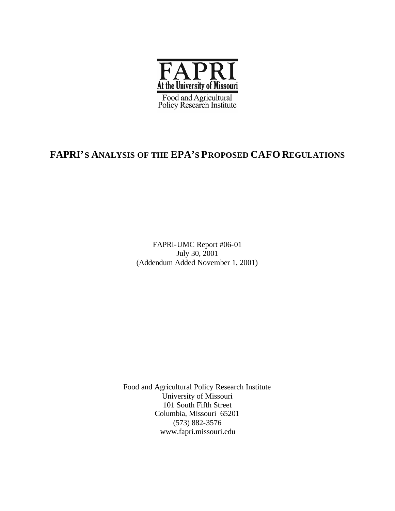

# **FAPRI'S ANALYSIS OF THE EPA'S PROPOSED CAFO REGULATIONS**

FAPRI-UMC Report #06-01 July 30, 2001 (Addendum Added November 1, 2001)

Food and Agricultural Policy Research Institute University of Missouri 101 South Fifth Street Columbia, Missouri 65201 (573) 882-3576 www.fapri.missouri.edu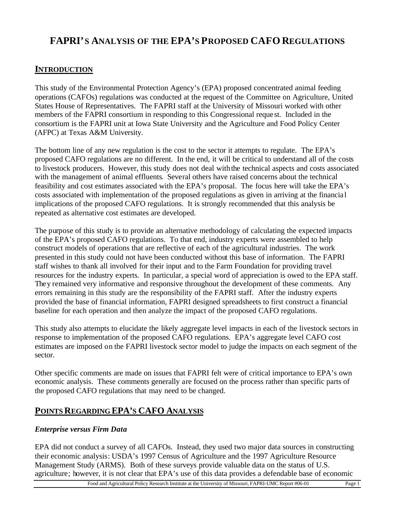# **FAPRI'S ANALYSIS OF THE EPA'S PROPOSED CAFO REGULATIONS**

# **INTRODUCTION**

This study of the Environmental Protection Agency's (EPA) proposed concentrated animal feeding operations (CAFOs) regulations was conducted at the request of the Committee on Agriculture, United States House of Representatives. The FAPRI staff at the University of Missouri worked with other members of the FAPRI consortium in responding to this Congressional reque st. Included in the consortium is the FAPRI unit at Iowa State University and the Agriculture and Food Policy Center (AFPC) at Texas A&M University.

The bottom line of any new regulation is the cost to the sector it attempts to regulate. The EPA's proposed CAFO regulations are no different. In the end, it will be critical to understand all of the costs to livestock producers. However, this study does not deal with the technical aspects and costs associated with the management of animal effluents. Several others have raised concerns about the technical feasibility and cost estimates associated with the EPA's proposal. The focus here will take the EPA's costs associated with implementation of the proposed regulations as given in arriving at the financia l implications of the proposed CAFO regulations. It is strongly recommended that this analysis be repeated as alternative cost estimates are developed.

The purpose of this study is to provide an alternative methodology of calculating the expected impacts of the EPA's proposed CAFO regulations. To that end, industry experts were assembled to help construct models of operations that are reflective of each of the agricultural industries. The work presented in this study could not have been conducted without this base of information. The FAPRI staff wishes to thank all involved for their input and to the Farm Foundation for providing travel resources for the industry experts. In particular, a special word of appreciation is owed to the EPA staff. They remained very informative and responsive throughout the development of these comments. Any errors remaining in this study are the responsibility of the FAPRI staff. After the industry experts provided the base of financial information, FAPRI designed spreadsheets to first construct a financial baseline for each operation and then analyze the impact of the proposed CAFO regulations.

This study also attempts to elucidate the likely aggregate level impacts in each of the livestock sectors in response to implementation of the proposed CAFO regulations. EPA's aggregate level CAFO cost estimates are imposed on the FAPRI livestock sector model to judge the impacts on each segment of the sector.

Other specific comments are made on issues that FAPRI felt were of critical importance to EPA's own economic analysis. These comments generally are focused on the process rather than specific parts of the proposed CAFO regulations that may need to be changed.

# **POINTS REGARDING EPA'S CAFO ANALYSIS**

# *Enterprise versus Firm Data*

EPA did not conduct a survey of all CAFOs. Instead, they used two major data sources in constructing their economic analysis: USDA's 1997 Census of Agriculture and the 1997 Agriculture Resource Management Study (ARMS). Both of these surveys provide valuable data on the status of U.S. agriculture; however, it is not clear that EPA's use of this data provides a defendable base of economic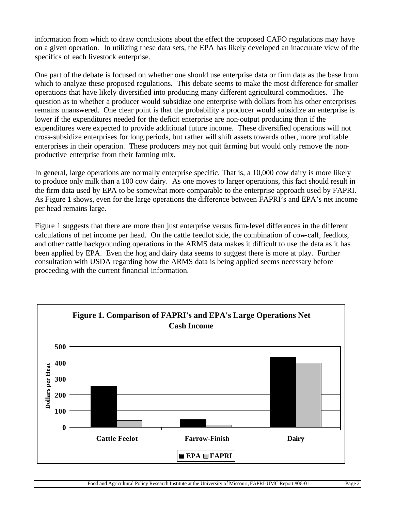information from which to draw conclusions about the effect the proposed CAFO regulations may have on a given operation. In utilizing these data sets, the EPA has likely developed an inaccurate view of the specifics of each livestock enterprise.

One part of the debate is focused on whether one should use enterprise data or firm data as the base from which to analyze these proposed regulations. This debate seems to make the most difference for smaller operations that have likely diversified into producing many different agricultural commodities. The question as to whether a producer would subsidize one enterprise with dollars from his other enterprises remains unanswered. One clear point is that the probability a producer would subsidize an enterprise is lower if the expenditures needed for the deficit enterprise are non-output producing than if the expenditures were expected to provide additional future income. These diversified operations will not cross-subsidize enterprises for long periods, but rather will shift assets towards other, more profitable enterprises in their operation. These producers may not quit farming but would only remove the nonproductive enterprise from their farming mix.

In general, large operations are normally enterprise specific. That is, a 10,000 cow dairy is more likely to produce only milk than a 100 cow dairy. As one moves to larger operations, this fact should result in the firm data used by EPA to be somewhat more comparable to the enterprise approach used by FAPRI. As Figure 1 shows, even for the large operations the difference between FAPRI's and EPA's net income per head remains large.

Figure 1 suggests that there are more than just enterprise versus firm-level differences in the different calculations of net income per head. On the cattle feedlot side, the combination of cow-calf, feedlots, and other cattle backgrounding operations in the ARMS data makes it difficult to use the data as it has been applied by EPA. Even the hog and dairy data seems to suggest there is more at play. Further consultation with USDA regarding how the ARMS data is being applied seems necessary before proceeding with the current financial information.

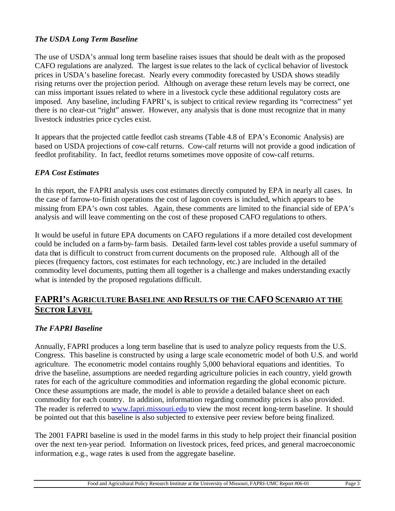## *The USDA Long Term Baseline*

The use of USDA's annual long term baseline raises issues that should be dealt with as the proposed CAFO regulations are analyzed. The largest issue relates to the lack of cyclical behavior of livestock prices in USDA's baseline forecast. Nearly every commodity forecasted by USDA shows steadily rising returns over the projection period. Although on average these return levels may be correct, one can miss important issues related to where in a livestock cycle these additional regulatory costs are imposed. Any baseline, including FAPRI's, is subject to critical review regarding its "correctness" yet there is no clear-cut "right" answer. However, any analysis that is done must recognize that in many livestock industries price cycles exist.

It appears that the projected cattle feedlot cash streams (Table 4.8 of EPA's Economic Analysis) are based on USDA projections of cow-calf returns. Cow-calf returns will not provide a good indication of feedlot profitability. In fact, feedlot returns sometimes move opposite of cow-calf returns.

### *EPA Cost Estimates*

In this report, the FAPRI analysis uses cost estimates directly computed by EPA in nearly all cases. In the case of farrow-to-finish operations the cost of lagoon covers is included, which appears to be missing from EPA's own cost tables. Again, these comments are limited to the financial side of EPA's analysis and will leave commenting on the cost of these proposed CAFO regulations to others.

It would be useful in future EPA documents on CAFO regulations if a more detailed cost development could be included on a farm-by-farm basis. Detailed farm-level cost tables provide a useful summary of data that is difficult to construct from current documents on the proposed rule. Although all of the pieces (frequency factors, cost estimates for each technology, etc.) are included in the detailed commodity level documents, putting them all together is a challenge and makes understanding exactly what is intended by the proposed regulations difficult.

# **FAPRI'S AGRICULTURE BASELINE AND RESULTS OF THE CAFO SCENARIO AT THE SECTOR LEVEL**

### *The FAPRI Baseline*

Annually, FAPRI produces a long term baseline that is used to analyze policy requests from the U.S. Congress. This baseline is constructed by using a large scale econometric model of both U.S. and world agriculture. The econometric model contains roughly 5,000 behavioral equations and identities. To drive the baseline, assumptions are needed regarding agriculture policies in each country, yield growth rates for each of the agriculture commodities and information regarding the global economic picture. Once these assumptions are made, the model is able to provide a detailed balance sheet on each commodity for each country. In addition, information regarding commodity prices is also provided. The reader is referred to www.fapri.missouri.edu to view the most recent long-term baseline. It should be pointed out that this baseline is also subjected to extensive peer review before being finalized.

The 2001 FAPRI baseline is used in the model farms in this study to help project their financial position over the next ten-year period. Information on livestock prices, feed prices, and general macroeconomic information, e.g., wage rates is used from the aggregate baseline.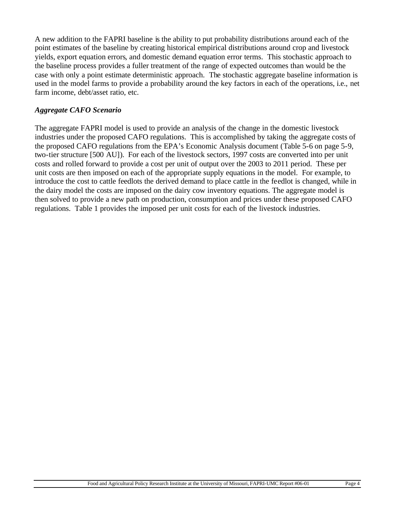A new addition to the FAPRI baseline is the ability to put probability distributions around each of the point estimates of the baseline by creating historical empirical distributions around crop and livestock yields, export equation errors, and domestic demand equation error terms. This stochastic approach to the baseline process provides a fuller treatment of the range of expected outcomes than would be the case with only a point estimate deterministic approach. The stochastic aggregate baseline information is used in the model farms to provide a probability around the key factors in each of the operations, i.e., net farm income, debt/asset ratio, etc.

#### *Aggregate CAFO Scenario*

The aggregate FAPRI model is used to provide an analysis of the change in the domestic livestock industries under the proposed CAFO regulations. This is accomplished by taking the aggregate costs of the proposed CAFO regulations from the EPA's Economic Analysis document (Table 5-6 on page 5-9, two-tier structure [500 AU]). For each of the livestock sectors, 1997 costs are converted into per unit costs and rolled forward to provide a cost per unit of output over the 2003 to 2011 period. These per unit costs are then imposed on each of the appropriate supply equations in the model. For example, to introduce the cost to cattle feedlots the derived demand to place cattle in the feedlot is changed, while in the dairy model the costs are imposed on the dairy cow inventory equations. The aggregate model is then solved to provide a new path on production, consumption and prices under these proposed CAFO regulations. Table 1 provides the imposed per unit costs for each of the livestock industries.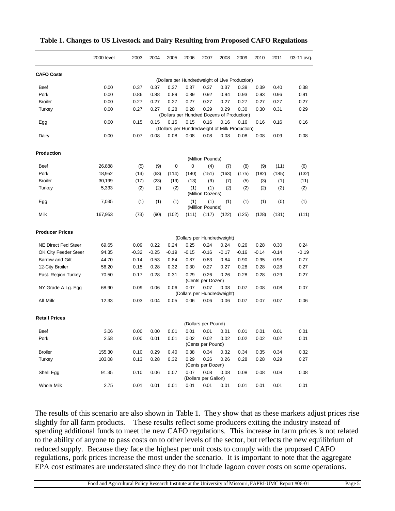|                            | 2000 level | 2003    | 2004    | 2005    | 2006                                                   | 2007                         | 2008  | 2009    | 2010    | 2011    | '03-'11 avg. |
|----------------------------|------------|---------|---------|---------|--------------------------------------------------------|------------------------------|-------|---------|---------|---------|--------------|
| <b>CAFO Costs</b>          |            |         |         |         |                                                        |                              |       |         |         |         |              |
|                            |            |         |         |         | (Dollars per Hundredweight of Live Production)         |                              |       |         |         |         |              |
| Beef                       | 0.00       | 0.37    | 0.37    | 0.37    | 0.37                                                   | 0.37                         | 0.37  | 0.38    | 0.39    | 0.40    | 0.38         |
| Pork                       | 0.00       | 0.86    | 0.88    | 0.89    | 0.89                                                   | 0.92                         | 0.94  | 0.93    | 0.93    | 0.96    | 0.91         |
| <b>Broiler</b>             | 0.00       | 0.27    | 0.27    | 0.27    | 0.27                                                   | 0.27                         | 0.27  | 0.27    | 0.27    | 0.27    | 0.27         |
| Turkey                     | 0.00       | 0.27    | 0.27    | 0.28    | 0.28<br>(Dollars per Hundred Dozens of Production)     | 0.29                         | 0.29  | 0.30    | 0.30    | 0.31    | 0.29         |
| Egg                        | 0.00       | 0.15    | 0.15    | 0.15    | 0.15<br>(Dollars per Hundredweight of Milk Production) | 0.16                         | 0.16  | 0.16    | 0.16    | 0.16    | 0.16         |
| Dairy                      | 0.00       | 0.07    | 0.08    | 0.08    | 0.08                                                   | 0.08                         | 0.08  | 0.08    | 0.08    | 0.09    | 0.08         |
| Production                 |            |         |         |         |                                                        |                              |       |         |         |         |              |
|                            |            |         |         |         |                                                        | (Million Pounds)             |       |         |         |         |              |
| Beef                       | 26,888     | (5)     | (9)     | 0       | 0                                                      | (4)                          | (7)   | (8)     | (9)     | (11)    | (6)          |
| Pork                       | 18,952     | (14)    | (63)    | (114)   | (140)                                                  | (151)                        | (163) | (175)   | (182)   | (185)   | (132)        |
| <b>Broiler</b>             | 30,199     | (17)    | (23)    | (19)    | (13)                                                   | (9)                          | (7)   | (5)     | (3)     | (1)     | (11)         |
| Turkey                     | 5,333      | (2)     | (2)     | (2)     | (1)                                                    | (1)<br>(Million Dozens)      | (2)   | (2)     | (2)     | (2)     | (2)          |
| Egg                        | 7,035      | (1)     | (1)     | (1)     | (1)                                                    | (1)<br>(Million Pounds)      | (1)   | (1)     | (1)     | (0)     | (1)          |
| Milk                       | 167,953    | (73)    | (90)    | (102)   | (111)                                                  | (117)                        | (122) | (125)   | (128)   | (131)   | (111)        |
| <b>Producer Prices</b>     |            |         |         |         |                                                        |                              |       |         |         |         |              |
|                            |            |         |         |         | (Dollars per Hundredweight)                            |                              |       |         |         |         |              |
| <b>NE Direct Fed Steer</b> | 69.65      | 0.09    | 0.22    | 0.24    | 0.25                                                   | 0.24                         | 0.24  | 0.26    | 0.28    | 0.30    | 0.24         |
| OK City Feeder Steer       | 94.35      | $-0.32$ | $-0.25$ | $-0.19$ | $-0.15$                                                | $-0.16$                      | -0.17 | $-0.16$ | $-0.14$ | $-0.14$ | $-0.19$      |
| Barrow and Gilt            | 44.70      | 0.14    | 0.53    | 0.84    | 0.87                                                   | 0.83                         | 0.84  | 0.90    | 0.95    | 0.98    | 0.77         |
| 12-City Broiler            | 56.20      | 0.15    | 0.28    | 0.32    | 0.30                                                   | 0.27                         | 0.27  | 0.28    | 0.28    | 0.28    | 0.27         |
| East. Region Turkey        | 70.50      | 0.17    | 0.28    | 0.31    | 0.29                                                   | 0.26<br>(Cents per Dozen)    | 0.26  | 0.28    | 0.28    | 0.29    | 0.27         |
| NY Grade A Lg. Egg         | 68.90      | 0.09    | 0.06    | 0.06    | 0.07<br>(Dollars per Hundredweight)                    | 0.07                         | 0.08  | 0.07    | 0.08    | 0.08    | 0.07         |
| All Milk                   | 12.33      | 0.03    | 0.04    | 0.05    | 0.06                                                   | 0.06                         | 0.06  | 0.07    | 0.07    | 0.07    | 0.06         |
| <b>Retail Prices</b>       |            |         |         |         |                                                        |                              |       |         |         |         |              |
|                            |            |         |         |         |                                                        | (Dollars per Pound)          |       |         |         |         |              |
| Beef                       | 3.06       | 0.00    | 0.00    | 0.01    | 0.01                                                   | 0.01                         | 0.01  | 0.01    | 0.01    | 0.01    | 0.01         |
| Pork                       | 2.58       | 0.00    | 0.01    | 0.01    | 0.02                                                   | 0.02<br>(Cents per Pound)    | 0.02  | 0.02    | 0.02    | 0.02    | 0.01         |
| <b>Broiler</b>             | 155.30     | 0.10    | 0.29    | 0.40    | 0.38                                                   | 0.34                         | 0.32  | 0.34    | 0.35    | 0.34    | 0.32         |
| Turkey                     | 103.08     | 0.13    | 0.28    | 0.32    | 0.29                                                   | 0.26<br>(Cents per Dozen)    | 0.26  | 0.28    | 0.28    | 0.29    | 0.27         |
| Shell Egg                  | 91.35      | 0.10    | 0.06    | 0.07    | 0.07                                                   | 0.08<br>(Dollars per Gallon) | 0.08  | 0.08    | 0.08    | 0.08    | 0.08         |
| <b>Whole Milk</b>          | 2.75       | 0.01    | 0.01    | 0.01    | 0.01                                                   | 0.01                         | 0.01  | 0.01    | 0.01    | 0.01    | 0.01         |

**Table 1. Changes to US Livestock and Dairy Resulting from Proposed CAFO Regulations**

The results of this scenario are also shown in Table 1. They show that as these markets adjust prices rise slightly for all farm products. These results reflect some producers exiting the industry instead of spending additional funds to meet the new CAFO regulations. This increase in farm prices is not related to the ability of anyone to pass costs on to other levels of the sector, but reflects the new equilibrium of reduced supply. Because they face the highest per unit costs to comply with the proposed CAFO regulations, pork prices increase the most under the scenario. It is important to note that the aggregate EPA cost estimates are understated since they do not include lagoon cover costs on some operations.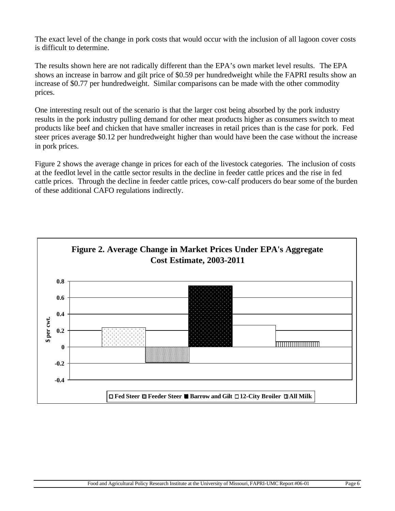The exact level of the change in pork costs that would occur with the inclusion of all lagoon cover costs is difficult to determine.

The results shown here are not radically different than the EPA's own market level results. The EPA shows an increase in barrow and gilt price of \$0.59 per hundredweight while the FAPRI results show an increase of \$0.77 per hundredweight. Similar comparisons can be made with the other commodity prices.

One interesting result out of the scenario is that the larger cost being absorbed by the pork industry results in the pork industry pulling demand for other meat products higher as consumers switch to meat products like beef and chicken that have smaller increases in retail prices than is the case for pork. Fed steer prices average \$0.12 per hundredweight higher than would have been the case without the increase in pork prices.

Figure 2 shows the average change in prices for each of the livestock categories. The inclusion of costs at the feedlot level in the cattle sector results in the decline in feeder cattle prices and the rise in fed cattle prices. Through the decline in feeder cattle prices, cow-calf producers do bear some of the burden of these additional CAFO regulations indirectly.

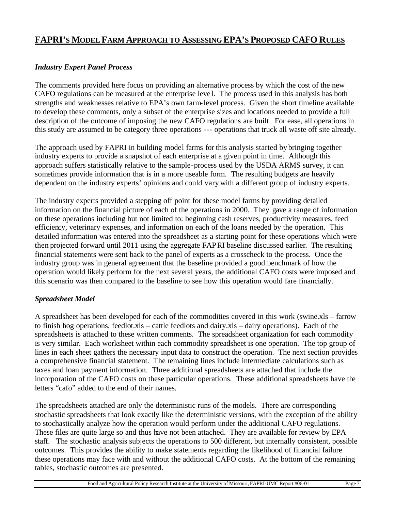# **FAPRI'S MODEL FARM APPROACH TO ASSESSING EPA'S PROPOSED CAFO RULES**

## *Industry Expert Panel Process*

The comments provided here focus on providing an alternative process by which the cost of the new CAFO regulations can be measured at the enterprise leve l. The process used in this analysis has both strengths and weaknesses relative to EPA's own farm-level process. Given the short timeline available to develop these comments, only a subset of the enterprise sizes and locations needed to provide a full description of the outcome of imposing the new CAFO regulations are built. For ease, all operations in this study are assumed to be category three operations --- operations that truck all waste off site already.

The approach used by FAPRI in building model farms for this analysis started by bringing together industry experts to provide a snapshot of each enterprise at a given point in time. Although this approach suffers statistically relative to the sample-process used by the USDA ARMS survey, it can sometimes provide information that is in a more useable form. The resulting budgets are heavily dependent on the industry experts' opinions and could vary with a different group of industry experts.

The industry experts provided a stepping off point for these model farms by providing detailed information on the financial picture of each of the operations in 2000. They gave a range of information on these operations including but not limited to: beginning cash reserves, productivity measures, feed efficiency, veterinary expenses, and information on each of the loans needed by the operation. This detailed information was entered into the spreadsheet as a starting point for these operations which were then projected forward until 2011 using the aggregate FAPRI baseline discussed earlier. The resulting financial statements were sent back to the panel of experts as a crosscheck to the process. Once the industry group was in general agreement that the baseline provided a good benchmark of how the operation would likely perform for the next several years, the additional CAFO costs were imposed and this scenario was then compared to the baseline to see how this operation would fare financially.

### *Spreadsheet Model*

A spreadsheet has been developed for each of the commodities covered in this work (swine.xls – farrow to finish hog operations, feedlot.xls – cattle feedlots and dairy.xls – dairy operations). Each of the spreadsheets is attached to these written comments. The spreadsheet organization for each commodity is very similar. Each worksheet within each commodity spreadsheet is one operation. The top group of lines in each sheet gathers the necessary input data to construct the operation. The next section provides a comprehensive financial statement. The remaining lines include intermediate calculations such as taxes and loan payment information. Three additional spreadsheets are attached that include the incorporation of the CAFO costs on these particular operations. These additional spreadsheets have the letters "cafo" added to the end of their names.

The spreadsheets attached are only the deterministic runs of the models. There are corresponding stochastic spreadsheets that look exactly like the deterministic versions, with the exception of the ability to stochastically analyze how the operation would perform under the additional CAFO regulations. These files are quite large so and thus have not been attached. They are available for review by EPA staff. The stochastic analysis subjects the operations to 500 different, but internally consistent, possible outcomes. This provides the ability to make statements regarding the likelihood of financial failure these operations may face with and without the additional CAFO costs. At the bottom of the remaining tables, stochastic outcomes are presented.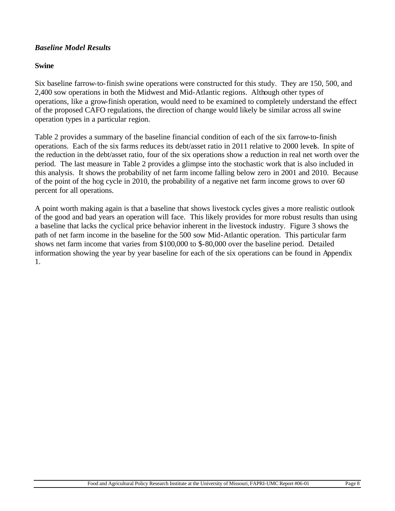#### *Baseline Model Results*

#### **Swine**

Six baseline farrow-to-finish swine operations were constructed for this study. They are 150, 500, and 2,400 sow operations in both the Midwest and Mid-Atlantic regions. Although other types of operations, like a grow-finish operation, would need to be examined to completely understand the effect of the proposed CAFO regulations, the direction of change would likely be similar across all swine operation types in a particular region.

Table 2 provides a summary of the baseline financial condition of each of the six farrow-to-finish operations. Each of the six farms reduces its debt/asset ratio in 2011 relative to 2000 levels. In spite of the reduction in the debt/asset ratio, four of the six operations show a reduction in real net worth over the period. The last measure in Table 2 provides a glimpse into the stochastic work that is also included in this analysis. It shows the probability of net farm income falling below zero in 2001 and 2010. Because of the point of the hog cycle in 2010, the probability of a negative net farm income grows to over 60 percent for all operations.

A point worth making again is that a baseline that shows livestock cycles gives a more realistic outlook of the good and bad years an operation will face. This likely provides for more robust results than using a baseline that lacks the cyclical price behavior inherent in the livestock industry. Figure 3 shows the path of net farm income in the baseline for the 500 sow Mid-Atlantic operation. This particular farm shows net farm income that varies from \$100,000 to \$-80,000 over the baseline period. Detailed information showing the year by year baseline for each of the six operations can be found in Appendix 1.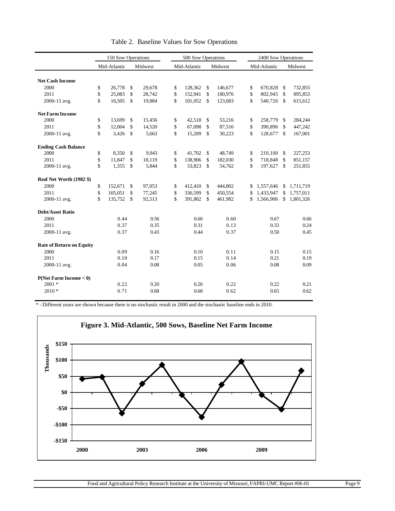|                                 |          | 150 Sow Operations |             |                  |          | 500 Sow Operations |          |                    |          | 2400 Sow Operations |              |                    |
|---------------------------------|----------|--------------------|-------------|------------------|----------|--------------------|----------|--------------------|----------|---------------------|--------------|--------------------|
|                                 |          | Mid-Atlantic       |             | Midwest          |          | Mid-Atlantic       |          | Midwest            |          | Mid-Atlantic        |              | Midwest            |
|                                 |          |                    |             |                  |          |                    |          |                    |          |                     |              |                    |
| <b>Net Cash Income</b>          |          |                    |             |                  |          |                    |          |                    |          |                     |              |                    |
| 2000<br>2011                    | \$<br>\$ | 26,778<br>25,083   | \$<br>\$    | 29,678<br>28,742 | \$<br>\$ | 128.362<br>152,941 | \$<br>\$ | 146,677<br>180,976 | \$<br>\$ | 670.828<br>802,945  | \$<br>\$     | 732.855<br>895,853 |
|                                 | \$       | 16,505             | $\mathbf S$ | 19,884           | \$       | 101,052            | \$       | 123,683            | \$       | 540,726             | $\mathbb{S}$ | 615,612            |
| 2000-11 avg.                    |          |                    |             |                  |          |                    |          |                    |          |                     |              |                    |
| <b>Net Farm Income</b>          |          |                    |             |                  |          |                    |          |                    |          |                     |              |                    |
| 2000                            | \$       | 13.699             | \$          | 15,456           | \$       | 42,518             | \$       | 53,216             | \$       | 258,779             | \$           | 284,244            |
| 2011                            | \$       | 12.004             | \$          | 14,520           | \$       | 67,098             | \$       | 87,516             | \$       | 390,896             | \$           | 447,242            |
| 2000-11 avg.                    | \$       | 3,426              | $\mathbf S$ | 5,663            | \$       | 15,209             | \$       | 30,223             | \$       | 128,677             | $\mathbf S$  | 167,001            |
| <b>Ending Cash Balance</b>      |          |                    |             |                  |          |                    |          |                    |          |                     |              |                    |
| 2000                            | \$       | 8.350              | \$          | 9,943            | \$       | 41.702             | \$       | 48,749             | \$       | 210,100             | \$           | 227,253            |
| 2011                            | \$       | 11,847             | \$          | 18,119           | \$       | 138,906            | \$       | 182,030            | \$       | 718,848             | \$           | 851,157            |
| 2000-11 avg.                    | \$       | 1,355              | \$          | 5,844            | \$       | 33,823             | \$       | 54,762             | \$       | 197,627             | \$           | 251,855            |
| Real Net Worth (1982 \$)        |          |                    |             |                  |          |                    |          |                    |          |                     |              |                    |
| 2000                            | \$       | 152,671            | \$          | 97,053           | \$       | 412,410            | \$       | 444,802            | \$       | 1,557,646           | \$           | 1,711,719          |
| 2011                            | \$       | 105,051            | \$          | 77,245           | \$       | 336,599            | \$       | 450,554            | \$       | 1,433,947           | \$           | 1,757,011          |
| 2000-11 avg.                    | \$       | 135,752            | \$          | 92,513           | \$       | 391,802            | \$       | 461,982            | \$       | 1,566,906           | \$           | 1,801,326          |
| <b>Debt/Asset Ratio</b>         |          |                    |             |                  |          |                    |          |                    |          |                     |              |                    |
| 2000                            |          | 0.44               |             | 0.56             |          | 0.60               |          | 0.60               |          | 0.67                |              | 0.66               |
| 2011                            |          | 0.37               |             | 0.35             |          | 0.31               |          | 0.13               |          | 0.33                |              | 0.24               |
| 2000-11 avg.                    |          | 0.37               |             | 0.43             |          | 0.44               |          | 0.37               |          | 0.50                |              | 0.45               |
| <b>Rate of Return on Equity</b> |          |                    |             |                  |          |                    |          |                    |          |                     |              |                    |
| 2000                            |          | 0.09               |             | 0.16             |          | 0.10               |          | 0.11               |          | 0.15                |              | 0.15               |
| 2011                            |          | 0.10               |             | 0.17             |          | 0.15               |          | 0.14               |          | 0.21                |              | 0.19               |
| 2000-11 avg.                    |          | 0.04               |             | 0.08             |          | 0.05               |          | 0.06               |          | 0.08                |              | 0.09               |
| P(Net Farm Income < 0)          |          |                    |             |                  |          |                    |          |                    |          |                     |              |                    |
| $2001 *$                        |          | 0.22               |             | 0.20             |          | 0.26               |          | 0.22               |          | 0.22                |              | 0.21               |
| $2010*$                         |          | 0.71               |             | 0.68             |          | 0.68               |          | 0.62               |          | 0.65                |              | 0.62               |
|                                 |          |                    |             |                  |          |                    |          |                    |          |                     |              |                    |

|  |  | Table 2. Baseline Values for Sow Operations |
|--|--|---------------------------------------------|
|  |  |                                             |

\* - Different years are shown because there is no stochastic result in 2000 and the stochastic baseline ends in 2010.

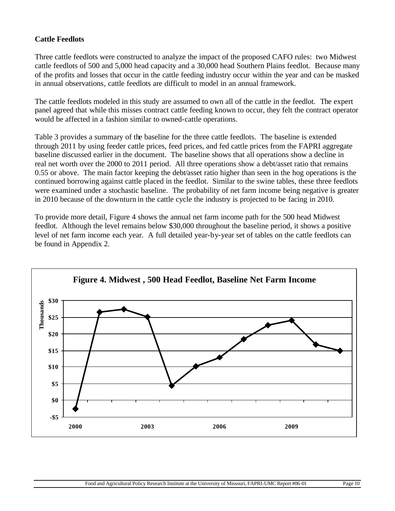## **Cattle Feedlots**

Three cattle feedlots were constructed to analyze the impact of the proposed CAFO rules: two Midwest cattle feedlots of 500 and 5,000 head capacity and a 30,000 head Southern Plains feedlot. Because many of the profits and losses that occur in the cattle feeding industry occur within the year and can be masked in annual observations, cattle feedlots are difficult to model in an annual framework.

The cattle feedlots modeled in this study are assumed to own all of the cattle in the feedlot. The expert panel agreed that while this misses contract cattle feeding known to occur, they felt the contract operator would be affected in a fashion similar to owned-cattle operations.

Table 3 provides a summary of the baseline for the three cattle feedlots. The baseline is extended through 2011 by using feeder cattle prices, feed prices, and fed cattle prices from the FAPRI aggregate baseline discussed earlier in the document. The baseline shows that all operations show a decline in real net worth over the 2000 to 2011 period. All three operations show a debt/asset ratio that remains 0.55 or above. The main factor keeping the debt/asset ratio higher than seen in the hog operations is the continued borrowing against cattle placed in the feedlot. Similar to the swine tables, these three feedlots were examined under a stochastic baseline. The probability of net farm income being negative is greater in 2010 because of the downturn in the cattle cycle the industry is projected to be facing in 2010.

To provide more detail, Figure 4 shows the annual net farm income path for the 500 head Midwest feedlot. Although the level remains below \$30,000 throughout the baseline period, it shows a positive level of net farm income each year. A full detailed year-by-year set of tables on the cattle feedlots can be found in Appendix 2.

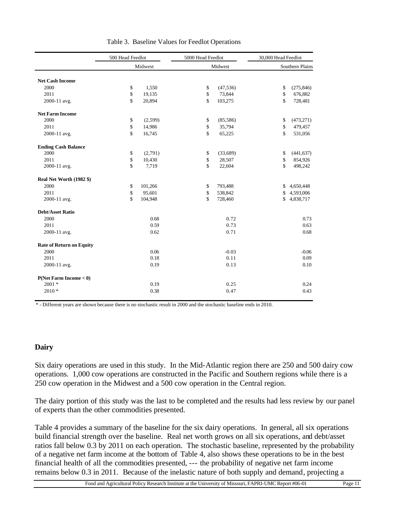|                                 | 500 Head Feedlot   |         | 5000 Head Feedlot  |           | 30,000 Head Feedlot |                 |
|---------------------------------|--------------------|---------|--------------------|-----------|---------------------|-----------------|
|                                 |                    | Midwest |                    | Midwest   |                     | Southern Plains |
|                                 |                    |         |                    |           |                     |                 |
| <b>Net Cash Income</b>          |                    |         |                    |           |                     |                 |
| 2000                            | \$                 | 1,550   | \$                 | (47, 536) | \$                  | (275, 846)      |
| 2011                            | \$                 | 19,135  | \$                 | 73,844    | \$                  | 676,882         |
| 2000-11 avg.                    | \$                 | 20,894  | \$                 | 103,275   | \$                  | 728,481         |
| <b>Net Farm Income</b>          |                    |         |                    |           |                     |                 |
| 2000                            | \$                 | (2,599) | $\mathbb{S}$       | (85, 586) | \$                  | (473, 271)      |
| 2011                            | \$                 | 14,986  | $\mathbb{S}$       | 35,794    | \$                  | 479,457         |
| 2000-11 avg.                    | $\mathbf{\hat{S}}$ | 16,745  | $\mathbf{\hat{S}}$ | 65,225    | \$                  | 531,056         |
| <b>Ending Cash Balance</b>      |                    |         |                    |           |                     |                 |
| 2000                            | \$                 | (2,791) | $\mathbb{S}$       | (33,689)  | \$                  | (441, 637)      |
| 2011                            | \$                 | 10,430  | $\mathbb{S}$       | 28,507    | \$                  | 854,926         |
| 2000-11 avg.                    | \$                 | 7,719   | \$                 | 22,604    | \$                  | 498,242         |
| Real Net Worth (1982 \$)        |                    |         |                    |           |                     |                 |
| 2000                            | \$                 | 101,266 | $\mathbb{S}$       | 793,488   | \$                  | 4,650,448       |
| 2011                            | \$                 | 95,601  | \$                 | 538,842   | \$                  | 4,593,006       |
| 2000-11 avg.                    | \$                 | 104,948 | $\mathbf{\hat{S}}$ | 728,460   | \$                  | 4,838,717       |
| <b>Debt/Asset Ratio</b>         |                    |         |                    |           |                     |                 |
| 2000                            |                    | 0.68    |                    | 0.72      |                     | 0.73            |
| 2011                            |                    | 0.59    |                    | 0.73      |                     | 0.63            |
| 2000-11 avg.                    |                    | 0.62    |                    | 0.71      |                     | 0.68            |
| <b>Rate of Return on Equity</b> |                    |         |                    |           |                     |                 |
| 2000                            |                    | 0.06    |                    | $-0.03$   |                     | $-0.06$         |
| 2011                            |                    | 0.18    |                    | 0.11      |                     | 0.09            |
| 2000-11 avg.                    |                    | 0.19    |                    | 0.13      |                     | 0.10            |
| P(Net Farm Income < 0)          |                    |         |                    |           |                     |                 |
| $2001 *$                        |                    | 0.19    |                    | 0.25      |                     | 0.24            |
| $2010*$                         |                    | 0.38    |                    | 0.47      |                     | 0.43            |
|                                 |                    |         |                    |           |                     |                 |

|  |  | Table 3. Baseline Values for Feedlot Operations |
|--|--|-------------------------------------------------|
|  |  |                                                 |

\* - Different years are shown because there is no stochastic result in 2000 and the stochastic baseline ends in 2010.

### **Dairy**

Six dairy operations are used in this study. In the Mid-Atlantic region there are 250 and 500 dairy cow operations. 1,000 cow operations are constructed in the Pacific and Southern regions while there is a 250 cow operation in the Midwest and a 500 cow operation in the Central region.

The dairy portion of this study was the last to be completed and the results had less review by our panel of experts than the other commodities presented.

Table 4 provides a summary of the baseline for the six dairy operations. In general, all six operations build financial strength over the baseline. Real net worth grows on all six operations, and debt/asset ratios fall below 0.3 by 2011 on each operation. The stochastic baseline, represented by the probability of a negative net farm income at the bottom of Table 4, also shows these operations to be in the best financial health of all the commodities presented, --- the probability of negative net farm income remains below 0.3 in 2011. Because of the inelastic nature of both supply and demand, projecting a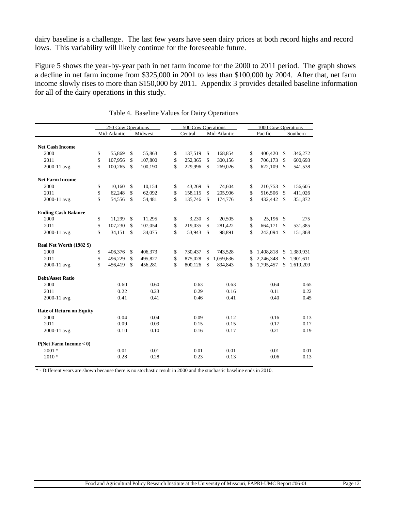dairy baseline is a challenge. The last few years have seen dairy prices at both record highs and record lows. This variability will likely continue for the foreseeable future.

Figure 5 shows the year-by-year path in net farm income for the 2000 to 2011 period. The graph shows a decline in net farm income from \$325,000 in 2001 to less than \$100,000 by 2004. After that, net farm income slowly rises to more than \$150,000 by 2011. Appendix 3 provides detailed baseline information for all of the dairy operations in this study.

|                                 | 250 Cow Operations |                    |         | 500 Cow Operations |         |    |              |    |             | 1000 Cow Operations |             |  |
|---------------------------------|--------------------|--------------------|---------|--------------------|---------|----|--------------|----|-------------|---------------------|-------------|--|
|                                 | Mid-Atlantic       |                    | Midwest |                    | Central |    | Mid-Atlantic |    | Pacific     |                     | Southern    |  |
|                                 |                    |                    |         |                    |         |    |              |    |             |                     |             |  |
| <b>Net Cash Income</b>          |                    |                    |         |                    |         |    |              |    |             |                     |             |  |
| 2000                            | \$<br>55,869       | \$                 | 55,863  | \$                 | 137,519 | \$ | 168,854      | \$ | 400,420     | \$                  | 346,272     |  |
| 2011                            | \$<br>107,956      | \$                 | 107,800 | \$                 | 252,365 | \$ | 300,156      | \$ | 706,173     | \$                  | 600,693     |  |
| 2000-11 avg.                    | \$<br>100,265      | \$                 | 100,190 | \$                 | 229,996 | \$ | 269,026      | \$ | 622,109     | \$                  | 541,538     |  |
| <b>Net Farm Income</b>          |                    |                    |         |                    |         |    |              |    |             |                     |             |  |
| 2000                            | \$<br>10,160       | <sup>\$</sup>      | 10,154  | \$                 | 43,269  | \$ | 74,604       | \$ | 210,753     | \$                  | 156,605     |  |
| 2011                            | \$<br>62,248       | \$                 | 62,092  | \$                 | 158,115 | \$ | 205,906      | \$ | 516,506     | \$                  | 411,026     |  |
| 2000-11 avg.                    | \$<br>54,556       | $\mathbf{\hat{s}}$ | 54,481  | \$                 | 135,746 | \$ | 174,776      | \$ | 432,442     | $\mathcal{S}$       | 351,872     |  |
| <b>Ending Cash Balance</b>      |                    |                    |         |                    |         |    |              |    |             |                     |             |  |
| 2000                            | \$<br>11,299       | $\mathcal{S}$      | 11,295  | \$                 | 3,230   | \$ | 20,505       | \$ | 25,196 \$   |                     | 275         |  |
| 2011                            | \$<br>107,230      | \$                 | 107,054 | \$                 | 219,035 | \$ | 281,422      | \$ | 664,171     | \$                  | 531,385     |  |
| 2000-11 avg.                    | \$<br>34,151       | \$                 | 34,075  | \$                 | 53,943  | \$ | 98,891       | \$ | 243,094     | \$                  | 151,868     |  |
| Real Net Worth (1982 \$)        |                    |                    |         |                    |         |    |              |    |             |                     |             |  |
| 2000                            | \$<br>406,376      | \$                 | 406,373 | \$                 | 730,437 | \$ | 743,528      |    | \$1,408,818 |                     | \$1,389,931 |  |
| 2011                            | \$<br>496,229      | \$                 | 495,827 | \$                 | 875,028 | \$ | 1,059,636    | \$ | 2,246,348   | \$                  | 1,901,611   |  |
| 2000-11 avg.                    | \$<br>456,419      | \$                 | 456,281 | \$                 | 800,126 | \$ | 894,843      | \$ | 1,795,457   | \$                  | 1,619,209   |  |
| <b>Debt/Asset Ratio</b>         |                    |                    |         |                    |         |    |              |    |             |                     |             |  |
| 2000                            | 0.60               |                    | 0.60    |                    | 0.63    |    | 0.63         |    | 0.64        |                     | 0.65        |  |
| 2011                            | 0.22               |                    | 0.23    |                    | 0.29    |    | 0.16         |    | 0.11        |                     | 0.22        |  |
| 2000-11 avg.                    | 0.41               |                    | 0.41    |                    | 0.46    |    | 0.41         |    | 0.40        |                     | 0.45        |  |
| <b>Rate of Return on Equity</b> |                    |                    |         |                    |         |    |              |    |             |                     |             |  |
| 2000                            | 0.04               |                    | 0.04    |                    | 0.09    |    | 0.12         |    | 0.16        |                     | 0.13        |  |
| 2011                            | 0.09               |                    | 0.09    |                    | 0.15    |    | 0.15         |    | 0.17        |                     | 0.17        |  |
| 2000-11 avg.                    | 0.10               |                    | 0.10    |                    | 0.16    |    | 0.17         |    | 0.21        |                     | 0.19        |  |
| P(Net Farm Income < 0)          |                    |                    |         |                    |         |    |              |    |             |                     |             |  |
| $2001 *$                        | 0.01               |                    | 0.01    |                    | 0.01    |    | 0.01         |    | 0.01        |                     | 0.01        |  |
| $2010*$                         | 0.28               |                    | 0.28    |                    | 0.23    |    | 0.13         |    | 0.06        |                     | 0.13        |  |

|  |  | Table 4. Baseline Values for Dairy Operations |  |
|--|--|-----------------------------------------------|--|
|  |  |                                               |  |

\* - Different years are shown because there is no stochastic result in 2000 and the stochastic baseline ends in 2010.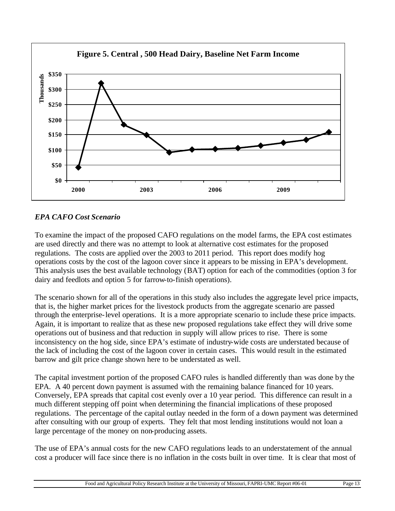

# *EPA CAFO Cost Scenario*

To examine the impact of the proposed CAFO regulations on the model farms, the EPA cost estimates are used directly and there was no attempt to look at alternative cost estimates for the proposed regulations. The costs are applied over the 2003 to 2011 period. This report does modify hog operations costs by the cost of the lagoon cover since it appears to be missing in EPA's development. This analysis uses the best available technology (BAT) option for each of the commodities (option 3 for dairy and feedlots and option 5 for farrow-to-finish operations).

The scenario shown for all of the operations in this study also includes the aggregate level price impacts, that is, the higher market prices for the livestock products from the aggregate scenario are passed through the enterprise-level operations. It is a more appropriate scenario to include these price impacts. Again, it is important to realize that as these new proposed regulations take effect they will drive some operations out of business and that reduction in supply will allow prices to rise. There is some inconsistency on the hog side, since EPA's estimate of industry-wide costs are understated because of the lack of including the cost of the lagoon cover in certain cases. This would result in the estimated barrow and gilt price change shown here to be understated as well.

The capital investment portion of the proposed CAFO rules is handled differently than was done by the EPA. A 40 percent down payment is assumed with the remaining balance financed for 10 years. Conversely, EPA spreads that capital cost evenly over a 10 year period. This difference can result in a much different stepping off point when determining the financial implications of these proposed regulations. The percentage of the capital outlay needed in the form of a down payment was determined after consulting with our group of experts. They felt that most lending institutions would not loan a large percentage of the money on non-producing assets.

The use of EPA's annual costs for the new CAFO regulations leads to an understatement of the annual cost a producer will face since there is no inflation in the costs built in over time. It is clear that most of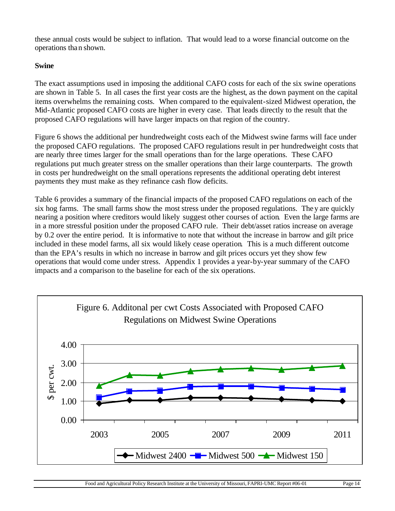these annual costs would be subject to inflation. That would lead to a worse financial outcome on the operations than shown.

## **Swine**

The exact assumptions used in imposing the additional CAFO costs for each of the six swine operations are shown in Table 5. In all cases the first year costs are the highest, as the down payment on the capital items overwhelms the remaining costs. When compared to the equivalent-sized Midwest operation, the Mid-Atlantic proposed CAFO costs are higher in every case. That leads directly to the result that the proposed CAFO regulations will have larger impacts on that region of the country.

Figure 6 shows the additional per hundredweight costs each of the Midwest swine farms will face under the proposed CAFO regulations. The proposed CAFO regulations result in per hundredweight costs that are nearly three times larger for the small operations than for the large operations. These CAFO regulations put much greater stress on the smaller operations than their large counterparts. The growth in costs per hundredweight on the small operations represents the additional operating debt interest payments they must make as they refinance cash flow deficits.

Table 6 provides a summary of the financial impacts of the proposed CAFO regulations on each of the six hog farms. The small farms show the most stress under the proposed regulations. They are quickly nearing a position where creditors would likely suggest other courses of action. Even the large farms are in a more stressful position under the proposed CAFO rule. Their debt/asset ratios increase on average by 0.2 over the entire period. It is informative to note that without the increase in barrow and gilt price included in these model farms, all six would likely cease operation. This is a much different outcome than the EPA's results in which no increase in barrow and gilt prices occurs yet they show few operations that would come under stress. Appendix 1 provides a year-by-year summary of the CAFO impacts and a comparison to the baseline for each of the six operations.

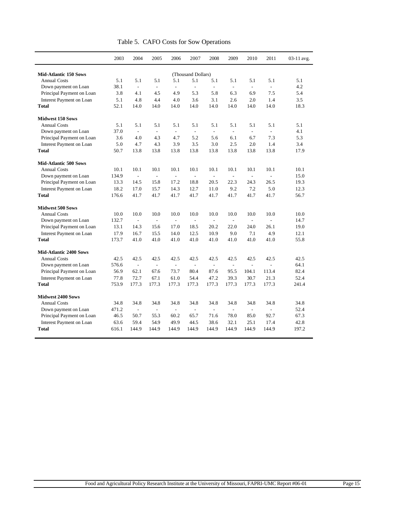|                                                     | 2003  | 2004                     | 2005                     | 2006                     | 2007                      | 2008           | 2009                     | 2010                     | 2011                     | 03-11 avg. |
|-----------------------------------------------------|-------|--------------------------|--------------------------|--------------------------|---------------------------|----------------|--------------------------|--------------------------|--------------------------|------------|
|                                                     |       |                          |                          |                          |                           |                |                          |                          |                          |            |
| <b>Mid-Atlantic 150 Sows</b><br><b>Annual Costs</b> | 5.1   | 5.1                      | 5.1                      | 5.1                      | (Thousand Dollars)<br>5.1 | 5.1            | 5.1                      | 5.1                      | 5.1                      | 5.1        |
|                                                     | 38.1  | $\overline{\phantom{a}}$ | $\overline{\phantom{a}}$ | $\overline{\phantom{a}}$ | $\frac{1}{2}$             | $\overline{a}$ | $\frac{1}{2}$            | $\overline{\phantom{a}}$ | $\overline{\phantom{a}}$ | 4.2        |
| Down payment on Loan<br>Principal Payment on Loan   | 3.8   | 4.1                      | 4.5                      | 4.9                      | 5.3                       | 5.8            | 6.3                      | 6.9                      | 7.5                      | 5.4        |
|                                                     | 5.1   | 4.8                      | 4.4                      | 4.0                      | 3.6                       | 3.1            | 2.6                      | 2.0                      | 1.4                      | 3.5        |
| <b>Interest Payment on Loan</b><br><b>Total</b>     |       | 14.0                     |                          |                          | 14.0                      | 14.0           | 14.0                     | 14.0                     | 14.0                     | 18.3       |
|                                                     | 52.1  |                          | 14.0                     | 14.0                     |                           |                |                          |                          |                          |            |
| <b>Midwest 150 Sows</b>                             |       |                          |                          |                          |                           |                |                          |                          |                          |            |
| <b>Annual Costs</b>                                 | 5.1   | 5.1                      | 5.1                      | 5.1                      | 5.1                       | 5.1            | 5.1                      | 5.1                      | 5.1                      | 5.1        |
| Down payment on Loan                                | 37.0  | $\overline{\phantom{a}}$ | $\overline{\phantom{a}}$ | $\overline{\phantom{a}}$ | $\overline{\phantom{a}}$  | $\frac{1}{2}$  | $\overline{\phantom{a}}$ | $\overline{\phantom{a}}$ | $\overline{\phantom{a}}$ | 4.1        |
| Principal Payment on Loan                           | 3.6   | 4.0                      | 4.3                      | 4.7                      | 5.2                       | 5.6            | 6.1                      | 6.7                      | 7.3                      | 5.3        |
| Interest Payment on Loan                            | 5.0   | 4.7                      | 4.3                      | 3.9                      | 3.5                       | 3.0            | 2.5                      | 2.0                      | 1.4                      | 3.4        |
| <b>Total</b>                                        | 50.7  | 13.8                     | 13.8                     | 13.8                     | 13.8                      | 13.8           | 13.8                     | 13.8                     | 13.8                     | 17.9       |
|                                                     |       |                          |                          |                          |                           |                |                          |                          |                          |            |
| <b>Mid-Atlantic 500 Sows</b>                        |       |                          |                          |                          |                           |                |                          |                          |                          |            |
| <b>Annual Costs</b>                                 | 10.1  | 10.1                     | 10.1                     | 10.1                     | 10.1                      | 10.1           | 10.1                     | 10.1                     | 10.1                     | 10.1       |
| Down payment on Loan                                | 134.9 | $\sim$                   | $\overline{a}$           | $\overline{a}$           | $\overline{a}$            |                | $\overline{a}$           | $\overline{a}$           | $\overline{a}$           | 15.0       |
| Principal Payment on Loan                           | 13.3  | 14.5                     | 15.8                     | 17.2                     | 18.8                      | 20.5           | 22.3                     | 24.3                     | 26.5                     | 19.3       |
| Interest Payment on Loan                            | 18.2  | 17.0                     | 15.7                     | 14.3                     | 12.7                      | 11.0           | 9.2                      | 7.2                      | 5.0                      | 12.3       |
| <b>Total</b>                                        | 176.6 | 41.7                     | 41.7                     | 41.7                     | 41.7                      | 41.7           | 41.7                     | 41.7                     | 41.7                     | 56.7       |
| <b>Midwest 500 Sows</b>                             |       |                          |                          |                          |                           |                |                          |                          |                          |            |
| <b>Annual Costs</b>                                 | 10.0  | 10.0                     | 10.0                     | 10.0                     | 10.0                      | 10.0           | 10.0                     | 10.0                     | 10.0                     | 10.0       |
| Down payment on Loan                                | 132.7 | $\sim$                   | $\overline{\phantom{a}}$ | $\frac{1}{2}$            | $\frac{1}{2}$             | $\overline{a}$ | $\overline{a}$           | $\frac{1}{2}$            | $\overline{a}$           | 14.7       |
| Principal Payment on Loan                           | 13.1  | 14.3                     | 15.6                     | 17.0                     | 18.5                      | 20.2           | 22.0                     | 24.0                     | 26.1                     | 19.0       |
| Interest Payment on Loan                            | 17.9  | 16.7                     | 15.5                     | 14.0                     | 12.5                      | 10.9           | 9.0                      | 7.1                      | 4.9                      | 12.1       |
| Total                                               | 173.7 | 41.0                     | 41.0                     | 41.0                     | 41.0                      | 41.0           | 41.0                     | 41.0                     | 41.0                     | 55.8       |
|                                                     |       |                          |                          |                          |                           |                |                          |                          |                          |            |
| <b>Mid-Atlantic 2400 Sows</b>                       |       |                          |                          |                          |                           |                |                          |                          |                          |            |
| <b>Annual Costs</b>                                 | 42.5  | 42.5                     | 42.5                     | 42.5                     | 42.5                      | 42.5           | 42.5                     | 42.5                     | 42.5                     | 42.5       |
| Down payment on Loan                                | 576.6 | $\sim$                   | $\overline{a}$           | $\frac{1}{2}$            | L.                        | $\sim$         | $\overline{a}$           | $\overline{a}$           | $\overline{a}$           | 64.1       |
| Principal Payment on Loan                           | 56.9  | 62.1                     | 67.6                     | 73.7                     | 80.4                      | 87.6           | 95.5                     | 104.1                    | 113.4                    | 82.4       |
| <b>Interest Payment on Loan</b>                     | 77.8  | 72.7                     | 67.1                     | 61.0                     | 54.4                      | 47.2           | 39.3                     | 30.7                     | 21.3                     | 52.4       |
| <b>Total</b>                                        | 753.9 | 177.3                    | 177.3                    | 177.3                    | 177.3                     | 177.3          | 177.3                    | 177.3                    | 177.3                    | 241.4      |
| <b>Midwest 2400 Sows</b>                            |       |                          |                          |                          |                           |                |                          |                          |                          |            |
| <b>Annual Costs</b>                                 | 34.8  | 34.8                     | 34.8                     | 34.8                     | 34.8                      | 34.8           | 34.8                     | 34.8                     | 34.8                     | 34.8       |
| Down payment on Loan                                | 471.2 | $\sim$                   | $\overline{a}$           | $\overline{\phantom{a}}$ | $\overline{a}$            | $\overline{a}$ | $\overline{\phantom{a}}$ | $\overline{a}$           | $\overline{\phantom{a}}$ | 52.4       |
| Principal Payment on Loan                           | 46.5  | 50.7                     | 55.3                     | 60.2                     | 65.7                      | 71.6           | 78.0                     | 85.0                     | 92.7                     | 67.3       |
| <b>Interest Payment on Loan</b>                     | 63.6  | 59.4                     | 54.9                     | 49.9                     | 44.5                      | 38.6           | 32.1                     | 25.1                     | 17.4                     | 42.8       |
| <b>Total</b>                                        | 616.1 | 144.9                    | 144.9                    | 144.9                    | 144.9                     | 144.9          | 144.9                    | 144.9                    | 144.9                    | 197.2      |
|                                                     |       |                          |                          |                          |                           |                |                          |                          |                          |            |

Table 5. CAFO Costs for Sow Operations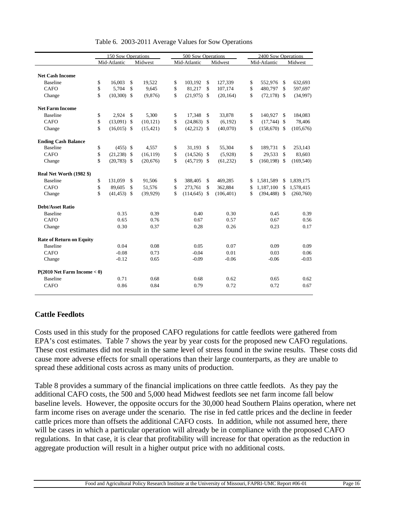|                                  | 150 Sow Operations   |    |           | 500 Sow Operations  |                    |            | 2400 Sow Operations |                 |               |            |
|----------------------------------|----------------------|----|-----------|---------------------|--------------------|------------|---------------------|-----------------|---------------|------------|
|                                  | Mid-Atlantic         |    | Midwest   | Mid-Atlantic        |                    | Midwest    |                     | Mid-Atlantic    |               | Midwest    |
|                                  |                      |    |           |                     |                    |            |                     |                 |               |            |
| <b>Net Cash Income</b>           |                      |    |           |                     |                    |            |                     |                 |               |            |
| <b>Baseline</b>                  | \$<br>16.003         | \$ | 19,522    | \$<br>103,192       | $\mathbf{\hat{S}}$ | 127,339    | \$                  | 552,976         | $\mathcal{S}$ | 632.693    |
| <b>CAFO</b>                      | \$<br>5,704          | \$ | 9,645     | \$<br>81,217        | \$                 | 107,174    | \$                  | 480,797         | $\mathbf{\$}$ | 597,697    |
| Change                           | \$<br>$(10,300)$ \$  |    | (9,876)   | \$<br>$(21,975)$ \$ |                    | (20, 164)  | \$                  | $(72,178)$ \$   |               | (34,997)   |
| <b>Net Farm Income</b>           |                      |    |           |                     |                    |            |                     |                 |               |            |
| <b>Baseline</b>                  | \$<br>2,924          | \$ | 5,300     | \$<br>17,348        | $\mathcal{S}$      | 33,878     | \$                  | 140,927         | $\mathcal{S}$ | 184,083    |
| <b>CAFO</b>                      | \$<br>$(13,091)$ \$  |    | (10, 121) | \$<br>(24, 863)     | \$                 | (6,192)    | \$                  | $(17,744)$ \$   |               | 78,406     |
| Change                           | \$<br>$(16.015)$ \$  |    | (15, 421) | \$<br>$(42,212)$ \$ |                    | (40,070)   | \$                  | $(158,670)$ \$  |               | (105, 676) |
| <b>Ending Cash Balance</b>       |                      |    |           |                     |                    |            |                     |                 |               |            |
| <b>Baseline</b>                  | \$<br>$(455)$ \$     |    | 4,557     | \$<br>31,193        | $\mathbf{\hat{S}}$ | 55,304     | \$                  | 189,731         | \$            | 253,143    |
| <b>CAFO</b>                      | \$<br>(21, 238)      | -S | (16, 119) | \$<br>(14,526)      | -\$                | (5,928)    | \$                  | 29,533          | $\mathcal{S}$ | 83,603     |
| Change                           | \$<br>$(20,783)$ \$  |    | (20,676)  | \$<br>$(45,719)$ \$ |                    | (61, 232)  | \$                  | $(160, 198)$ \$ |               | (169, 540) |
| Real Net Worth (1982 \$)         |                      |    |           |                     |                    |            |                     |                 |               |            |
| <b>Baseline</b>                  | \$<br>131,059        | \$ | 91,506    | \$<br>388,405       | \$                 | 469,285    | \$                  | 1,581,589       | $\mathbb{S}$  | 1,839,175  |
| <b>CAFO</b>                      | \$<br>89.605         | \$ | 51,576    | \$<br>273,761       | \$                 | 362,884    | \$                  | 1,187,100       | -\$           | 1,578,415  |
| Change                           | \$<br>$(41, 453)$ \$ |    | (39, 929) | \$<br>(114, 645)    | -\$                | (106, 401) | \$                  | $(394, 488)$ \$ |               | (260,760)  |
| <b>Debt/Asset Ratio</b>          |                      |    |           |                     |                    |            |                     |                 |               |            |
| <b>Baseline</b>                  | 0.35                 |    | 0.39      | 0.40                |                    | 0.30       |                     | 0.45            |               | 0.39       |
| <b>CAFO</b>                      | 0.65                 |    | 0.76      | 0.67                |                    | 0.57       |                     | 0.67            |               | 0.56       |
| Change                           | 0.30                 |    | 0.37      | 0.28                |                    | 0.26       |                     | 0.23            |               | 0.17       |
| <b>Rate of Return on Equity</b>  |                      |    |           |                     |                    |            |                     |                 |               |            |
| <b>Baseline</b>                  | 0.04                 |    | 0.08      | 0.05                |                    | 0.07       |                     | 0.09            |               | 0.09       |
| <b>CAFO</b>                      | $-0.08$              |    | 0.73      | $-0.04$             |                    | 0.01       |                     | 0.03            |               | 0.06       |
| Change                           | $-0.12$              |    | 0.65      | $-0.09$             |                    | $-0.06$    |                     | $-0.06$         |               | $-0.03$    |
| $P(2010$ Net Farm Income $< 0$ ) |                      |    |           |                     |                    |            |                     |                 |               |            |
| <b>Baseline</b>                  | 0.71                 |    | 0.68      | 0.68                |                    | 0.62       |                     | 0.65            |               | 0.62       |
| CAFO                             | 0.86                 |    | 0.84      | 0.79                |                    | 0.72       |                     | 0.72            |               | 0.67       |

Table 6. 2003-2011 Average Values for Sow Operations

### **Cattle Feedlots**

Costs used in this study for the proposed CAFO regulations for cattle feedlots were gathered from EPA's cost estimates. Table 7 shows the year by year costs for the proposed new CAFO regulations. These cost estimates did not result in the same level of stress found in the swine results. These costs did cause more adverse effects for small operations than their large counterparts, as they are unable to spread these additional costs across as many units of production.

Table 8 provides a summary of the financial implications on three cattle feedlots. As they pay the additional CAFO costs, the 500 and 5,000 head Midwest feedlots see net farm income fall below baseline levels. However, the opposite occurs for the 30,000 head Southern Plains operation, where net farm income rises on average under the scenario. The rise in fed cattle prices and the decline in feeder cattle prices more than offsets the additional CAFO costs. In addition, while not assumed here, there will be cases in which a particular operation will already be in compliance with the proposed CAFO regulations. In that case, it is clear that profitability will increase for that operation as the reduction in aggregate production will result in a higher output price with no additional costs.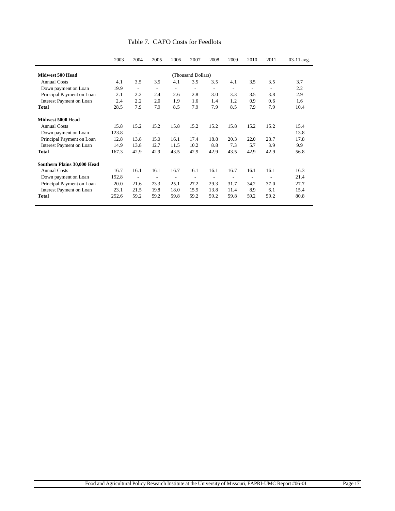|                             | 2003  | 2004                     | 2005                     | 2006                     | 2007                     | 2008                     | 2009                     | 2010                     | 2011           | 03-11 avg. |
|-----------------------------|-------|--------------------------|--------------------------|--------------------------|--------------------------|--------------------------|--------------------------|--------------------------|----------------|------------|
| Midwest 500 Head            |       |                          |                          |                          | (Thousand Dollars)       |                          |                          |                          |                |            |
| <b>Annual Costs</b>         | 4.1   | 3.5                      | 3.5                      | 4.1                      | 3.5                      | 3.5                      | 4.1                      | 3.5                      | 3.5            | 3.7        |
| Down payment on Loan        | 19.9  | $\overline{a}$           | ۰                        | $\overline{a}$           | ۰                        | $\overline{a}$           | ٠                        | $\overline{a}$           | $\overline{a}$ | 2.2        |
| Principal Payment on Loan   | 2.1   | 2.2                      | 2.4                      | 2.6                      | 2.8                      | 3.0                      | 3.3                      | 3.5                      | 3.8            | 2.9        |
| Interest Payment on Loan    | 2.4   | 2.2                      | 2.0                      | 1.9                      | 1.6                      | 1.4                      | 1.2                      | 0.9                      | 0.6            | 1.6        |
| <b>Total</b>                | 28.5  | 7.9                      | 7.9                      | 8.5                      | 7.9                      | 7.9                      | 8.5                      | 7.9                      | 7.9            | 10.4       |
| Midwest 5000 Head           |       |                          |                          |                          |                          |                          |                          |                          |                |            |
| <b>Annual Costs</b>         | 15.8  | 15.2                     | 15.2                     | 15.8                     | 15.2                     | 15.2                     | 15.8                     | 15.2                     | 15.2           | 15.4       |
| Down payment on Loan        | 123.8 | $\overline{a}$           | $\overline{a}$           | $\overline{a}$           | $\overline{\phantom{a}}$ | $\overline{\phantom{a}}$ | ٠                        | $\overline{\phantom{a}}$ | $\overline{a}$ | 13.8       |
| Principal Payment on Loan   | 12.8  | 13.8                     | 15.0                     | 16.1                     | 17.4                     | 18.8                     | 20.3                     | 22.0                     | 23.7           | 17.8       |
| Interest Payment on Loan    | 14.9  | 13.8                     | 12.7                     | 11.5                     | 10.2                     | 8.8                      | 7.3                      | 5.7                      | 3.9            | 9.9        |
| Total                       | 167.3 | 42.9                     | 42.9                     | 43.5                     | 42.9                     | 42.9                     | 43.5                     | 42.9                     | 42.9           | 56.8       |
| Southern Plains 30,000 Head |       |                          |                          |                          |                          |                          |                          |                          |                |            |
| <b>Annual Costs</b>         | 16.7  | 16.1                     | 16.1                     | 16.7                     | 16.1                     | 16.1                     | 16.7                     | 16.1                     | 16.1           | 16.3       |
| Down payment on Loan        | 192.8 | $\overline{\phantom{a}}$ | $\overline{\phantom{a}}$ | $\overline{\phantom{a}}$ | $\overline{\phantom{a}}$ | $\overline{\phantom{a}}$ | $\overline{\phantom{a}}$ | $\overline{\phantom{a}}$ | $\overline{a}$ | 21.4       |
| Principal Payment on Loan   | 20.0  | 21.6                     | 23.3                     | 25.1                     | 27.2                     | 29.3                     | 31.7                     | 34.2                     | 37.0           | 27.7       |
| Interest Payment on Loan    | 23.1  | 21.5                     | 19.8                     | 18.0                     | 15.9                     | 13.8                     | 11.4                     | 8.9                      | 6.1            | 15.4       |
| Total                       | 252.6 | 59.2                     | 59.2                     | 59.8                     | 59.2                     | 59.2                     | 59.8                     | 59.2                     | 59.2           | 80.8       |

Table 7. CAFO Costs for Feedlots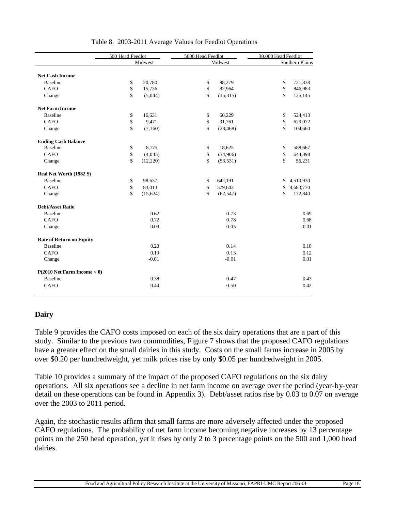|                                  | 500 Head Feedlot   |          | 5000 Head Feedlot  |           | 30,000 Head Feedlot |                 |  |
|----------------------------------|--------------------|----------|--------------------|-----------|---------------------|-----------------|--|
|                                  |                    | Midwest  |                    | Midwest   |                     | Southern Plains |  |
|                                  |                    |          |                    |           |                     |                 |  |
| <b>Net Cash Income</b>           |                    |          |                    |           |                     |                 |  |
| <b>Baseline</b>                  | \$                 | 20,780   | \$                 | 98,279    | \$                  | 721,838         |  |
| <b>CAFO</b>                      | \$                 | 15,736   | \$                 | 82,964    | \$                  | 846,983         |  |
| Change                           | $\mathbf{\hat{S}}$ | (5,044)  | $\mathbf{\hat{S}}$ | (15,315)  | \$                  | 125,145         |  |
| <b>Net Farm Income</b>           |                    |          |                    |           |                     |                 |  |
| <b>Baseline</b>                  | \$                 | 16,631   | \$                 | 60,229    | \$                  | 524,413         |  |
| <b>CAFO</b>                      | \$                 | 9,471    | \$                 | 31,761    | \$                  | 629,072         |  |
| Change                           | \$                 | (7,160)  | $\mathbf{\hat{S}}$ | (28, 468) | \$                  | 104,660         |  |
| <b>Ending Cash Balance</b>       |                    |          |                    |           |                     |                 |  |
| <b>Baseline</b>                  | \$                 | 8,175    | \$                 | 18,625    | \$                  | 588,667         |  |
| <b>CAFO</b>                      | \$                 | (4,045)  | \$                 | (34,906)  | \$                  | 644,898         |  |
| Change                           | \$                 | (12,220) | \$                 | (53, 531) | \$                  | 56,231          |  |
| Real Net Worth (1982 \$)         |                    |          |                    |           |                     |                 |  |
| <b>Baseline</b>                  | \$                 | 98,637   | \$                 | 642,191   | \$                  | 4,510,930       |  |
| <b>CAFO</b>                      | \$                 | 83,013   | \$                 | 579,643   | \$                  | 4,683,770       |  |
| Change                           | \$                 | (15,624) | \$                 | (62, 547) | \$                  | 172,840         |  |
| <b>Debt/Asset Ratio</b>          |                    |          |                    |           |                     |                 |  |
| <b>Baseline</b>                  |                    | 0.62     |                    | 0.73      |                     | 0.69            |  |
| <b>CAFO</b>                      |                    | 0.72     |                    | 0.78      |                     | 0.68            |  |
| Change                           |                    | 0.09     |                    | 0.05      |                     | $-0.01$         |  |
| <b>Rate of Return on Equity</b>  |                    |          |                    |           |                     |                 |  |
| <b>Baseline</b>                  |                    | 0.20     |                    | 0.14      |                     | 0.10            |  |
| <b>CAFO</b>                      |                    | 0.19     |                    | 0.13      |                     | 0.12            |  |
| Change                           |                    | $-0.01$  |                    | $-0.01$   |                     | 0.01            |  |
| $P(2010$ Net Farm Income $< 0$ ) |                    |          |                    |           |                     |                 |  |
| <b>Baseline</b>                  |                    | 0.38     |                    | 0.47      |                     | 0.43            |  |
| CAFO                             |                    | 0.44     |                    | 0.50      |                     | 0.42            |  |

#### Table 8. 2003-2011 Average Values for Feedlot Operations

#### **Dairy**

Table 9 provides the CAFO costs imposed on each of the six dairy operations that are a part of this study. Similar to the previous two commodities, Figure 7 shows that the proposed CAFO regulations have a greater effect on the small dairies in this study. Costs on the small farms increase in 2005 by over \$0.20 per hundredweight, yet milk prices rise by only \$0.05 per hundredweight in 2005.

Table 10 provides a summary of the impact of the proposed CAFO regulations on the six dairy operations. All six operations see a decline in net farm income on average over the period (year-by-year detail on these operations can be found in Appendix 3). Debt/asset ratios rise by 0.03 to 0.07 on average over the 2003 to 2011 period.

Again, the stochastic results affirm that small farms are more adversely affected under the proposed CAFO regulations. The probability of net farm income becoming negative increases by 13 percentage points on the 250 head operation, yet it rises by only 2 to 3 percentage points on the 500 and 1,000 head dairies.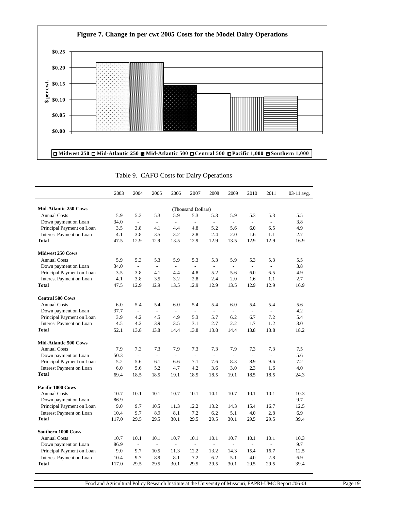

Table 9. CAFO Costs for Dairy Operations

|                                 | 2003  | 2004                     | 2005                     | 2006                     | 2007                     | 2008                     | 2009                     | 2010                     | 2011           | 03-11 avg. |
|---------------------------------|-------|--------------------------|--------------------------|--------------------------|--------------------------|--------------------------|--------------------------|--------------------------|----------------|------------|
| <b>Mid-Atlantic 250 Cows</b>    |       |                          |                          |                          | (Thousand Dollars)       |                          |                          |                          |                |            |
| <b>Annual Costs</b>             | 5.9   | 5.3                      | 5.3                      | 5.9                      | 5.3                      | 5.3                      | 5.9                      | 5.3                      | 5.3            | 5.5        |
| Down payment on Loan            | 34.0  | $\sim$                   | $\overline{a}$           | $\overline{a}$           | $\overline{\phantom{a}}$ | $\overline{\phantom{a}}$ | $\overline{\phantom{a}}$ | $\overline{\phantom{a}}$ | $\overline{a}$ | 3.8        |
| Principal Payment on Loan       | 3.5   | 3.8                      | 4.1                      | 4.4                      | 4.8                      | 5.2                      | 5.6                      | 6.0                      | 6.5            | 4.9        |
| Interest Payment on Loan        | 4.1   | 3.8                      | 3.5                      | 3.2                      | 2.8                      | 2.4                      | 2.0                      | 1.6                      | 1.1            | 2.7        |
| <b>Total</b>                    | 47.5  | 12.9                     | 12.9                     | 13.5                     | 12.9                     | 12.9                     | 13.5                     | 12.9                     | 12.9           | 16.9       |
| <b>Midwest 250 Cows</b>         |       |                          |                          |                          |                          |                          |                          |                          |                |            |
| <b>Annual Costs</b>             | 5.9   | 5.3                      | 5.3                      | 5.9                      | 5.3                      | 5.3                      | 5.9                      | 5.3                      | 5.3            | 5.5        |
| Down payment on Loan            | 34.0  | $\mathcal{L}$            | $\overline{a}$           | $\overline{\phantom{a}}$ | $\overline{a}$           | $\overline{a}$           | $\overline{\phantom{a}}$ | $\overline{\phantom{a}}$ | $\overline{a}$ | 3.8        |
| Principal Payment on Loan       | 3.5   | 3.8                      | 4.1                      | 4.4                      | 4.8                      | 5.2                      | 5.6                      | 6.0                      | 6.5            | 4.9        |
| <b>Interest Payment on Loan</b> | 4.1   | 3.8                      | 3.5                      | 3.2                      | 2.8                      | 2.4                      | 2.0                      | 1.6                      | 1.1            | 2.7        |
| <b>Total</b>                    | 47.5  | 12.9                     | 12.9                     | 13.5                     | 12.9                     | 12.9                     | 13.5                     | 12.9                     | 12.9           | 16.9       |
| <b>Central 500 Cows</b>         |       |                          |                          |                          |                          |                          |                          |                          |                |            |
| <b>Annual Costs</b>             | 6.0   | 5.4                      | 5.4                      | 6.0                      | 5.4                      | 5.4                      | 6.0                      | 5.4                      | 5.4            | 5.6        |
| Down payment on Loan            | 37.7  | $\sim$                   | $\overline{a}$           | $\overline{a}$           | $\overline{a}$           | $\overline{a}$           | $\overline{a}$           | $\overline{a}$           | $\overline{a}$ | 4.2        |
| Principal Payment on Loan       | 3.9   | 4.2                      | 4.5                      | 4.9                      | 5.3                      | 5.7                      | 6.2                      | 6.7                      | 7.2            | 5.4        |
| Interest Payment on Loan        | 4.5   | 4.2                      | 3.9                      | 3.5                      | 3.1                      | 2.7                      | 2.2                      | 1.7                      | 1.2            | 3.0        |
| Total                           | 52.1  | 13.8                     | 13.8                     | 14.4                     | 13.8                     | 13.8                     | 14.4                     | 13.8                     | 13.8           | 18.2       |
| <b>Mid-Atlantic 500 Cows</b>    |       |                          |                          |                          |                          |                          |                          |                          |                |            |
| <b>Annual Costs</b>             | 7.9   | 7.3                      | 7.3                      | 7.9                      | 7.3                      | 7.3                      | 7.9                      | 7.3                      | 7.3            | 7.5        |
| Down payment on Loan            | 50.3  | $\overline{\phantom{a}}$ | $\overline{\phantom{a}}$ | $\overline{\phantom{a}}$ | $\frac{1}{2}$            | $\overline{\phantom{a}}$ | $\overline{\phantom{a}}$ | $\overline{\phantom{a}}$ | $\overline{a}$ | 5.6        |
| Principal Payment on Loan       | 5.2   | 5.6                      | 6.1                      | 6.6                      | 7.1                      | 7.6                      | 8.3                      | 8.9                      | 9.6            | 7.2        |
| <b>Interest Payment on Loan</b> | 6.0   | 5.6                      | 5.2                      | 4.7                      | 4.2                      | 3.6                      | 3.0                      | 2.3                      | 1.6            | 4.0        |
| <b>Total</b>                    | 69.4  | 18.5                     | 18.5                     | 19.1                     | 18.5                     | 18.5                     | 19.1                     | 18.5                     | 18.5           | 24.3       |
| Pacific 1000 Cows               |       |                          |                          |                          |                          |                          |                          |                          |                |            |
| <b>Annual Costs</b>             | 10.7  | 10.1                     | 10.1                     | 10.7                     | 10.1                     | 10.1                     | 10.7                     | 10.1                     | 10.1           | 10.3       |
| Down payment on Loan            | 86.9  | $\overline{\phantom{a}}$ | $\overline{a}$           | $\overline{\phantom{a}}$ | $\overline{\phantom{0}}$ | $\overline{\phantom{a}}$ | $\overline{a}$           | $\frac{1}{2}$            | $\overline{a}$ | 9.7        |
| Principal Payment on Loan       | 9.0   | 9.7                      | 10.5                     | 11.3                     | 12.2                     | 13.2                     | 14.3                     | 15.4                     | 16.7           | 12.5       |
| Interest Payment on Loan        | 10.4  | 9.7                      | 8.9                      | 8.1                      | 7.2                      | 6.2                      | 5.1                      | 4.0                      | 2.8            | 6.9        |
| <b>Total</b>                    | 117.0 | 29.5                     | 29.5                     | 30.1                     | 29.5                     | 29.5                     | 30.1                     | 29.5                     | 29.5           | 39.4       |
| <b>Southern 1000 Cows</b>       |       |                          |                          |                          |                          |                          |                          |                          |                |            |
| <b>Annual Costs</b>             | 10.7  | 10.1                     | 10.1                     | 10.7                     | 10.1                     | 10.1                     | 10.7                     | 10.1                     | 10.1           | 10.3       |
| Down payment on Loan            | 86.9  | $\sim$                   | $\overline{a}$           | $\sim$                   | $\overline{a}$           | $\overline{a}$           | $\overline{a}$           | $\overline{a}$           | $\overline{a}$ | 9.7        |
| Principal Payment on Loan       | 9.0   | 9.7                      | 10.5                     | 11.3                     | 12.2                     | 13.2                     | 14.3                     | 15.4                     | 16.7           | 12.5       |
| Interest Payment on Loan        | 10.4  | 9.7                      | 8.9                      | 8.1                      | 7.2                      | 6.2                      | 5.1                      | 4.0                      | 2.8            | 6.9        |
| <b>Total</b>                    | 117.0 | 29.5                     | 29.5                     | 30.1                     | 29.5                     | 29.5                     | 30.1                     | 29.5                     | 29.5           | 39.4       |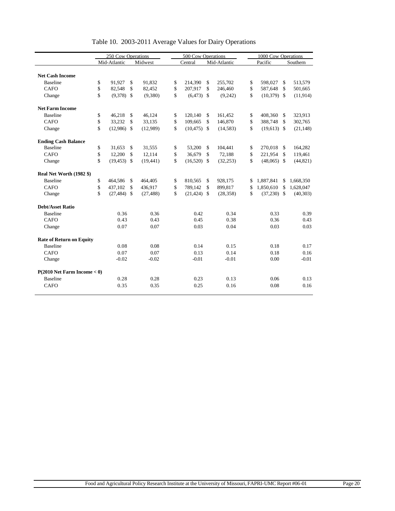|                                  | 250 Cow Operations |                |               | 500 Cow Operations |    |                |    |              | 1000 Cow Operations |               |               |           |
|----------------------------------|--------------------|----------------|---------------|--------------------|----|----------------|----|--------------|---------------------|---------------|---------------|-----------|
|                                  |                    | Mid-Atlantic   |               | Midwest            |    | Central        |    | Mid-Atlantic |                     | Pacific       |               | Southern  |
| <b>Net Cash Income</b>           |                    |                |               |                    |    |                |    |              |                     |               |               |           |
| <b>Baseline</b>                  | \$                 | 91.927         | \$            | 91.832             | \$ | 214,390        | \$ | 255,702      | \$                  | 598,027       | \$.           | 513,579   |
| CAFO                             | \$                 | 82,548         | \$            | 82,452             | \$ | 207,917        | \$ | 246,460      | \$                  | 587,648       | \$            | 501,665   |
| Change                           | \$                 | $(9,378)$ \$   |               | (9,380)            | \$ | $(6,473)$ \$   |    | (9,242)      | \$                  | $(10,379)$ \$ |               | (11,914)  |
| <b>Net Farm Income</b>           |                    |                |               |                    |    |                |    |              |                     |               |               |           |
| <b>Baseline</b>                  | \$                 | 46,218         | \$            | 46,124             | \$ | 120,140        | \$ | 161,452      | \$                  | 408,360       | $\mathbf{\$}$ | 323,913   |
| <b>CAFO</b>                      | \$                 | 33,232         | $\mathsf{\$}$ | 33,135             | \$ | 109,665        | \$ | 146,870      | \$                  | 388,748       | $\mathcal{S}$ | 302,765   |
| Change                           | \$                 | $(12,986)$ \$  |               | (12,989)           | \$ | $(10, 475)$ \$ |    | (14, 583)    | \$                  | $(19,613)$ \$ |               | (21, 148) |
| <b>Ending Cash Balance</b>       |                    |                |               |                    |    |                |    |              |                     |               |               |           |
| <b>Baseline</b>                  | \$                 | 31,653         | \$            | 31,555             | \$ | 53,200         | \$ | 104,441      | \$                  | 270,018 \$    |               | 164,282   |
| <b>CAFO</b>                      | \$                 | 12,200         | \$            | 12,114             | \$ | 36,679         | \$ | 72,188       | \$                  | 221,954       | \$            | 119,461   |
| Change                           | \$                 | $(19, 453)$ \$ |               | (19, 441)          | \$ | $(16,520)$ \$  |    | (32, 253)    | \$                  | $(48,065)$ \$ |               | (44, 821) |
| Real Net Worth (1982 \$)         |                    |                |               |                    |    |                |    |              |                     |               |               |           |
| <b>Baseline</b>                  | \$                 | 464.586        | \$            | 464,405            | \$ | 810.565        | \$ | 928,175      | \$                  | 1,887,841     | \$            | 1,668,350 |
| CAFO                             | \$                 | 437,102        | \$            | 436,917            | \$ | 789,142        | \$ | 899,817      | \$                  | 1,850,610     | $\mathbf{s}$  | 1,628,047 |
| Change                           | \$                 | $(27, 484)$ \$ |               | (27, 488)          | \$ | $(21, 424)$ \$ |    | (28, 358)    | \$                  | $(37,230)$ \$ |               | (40,303)  |
| <b>Debt/Asset Ratio</b>          |                    |                |               |                    |    |                |    |              |                     |               |               |           |
| <b>Baseline</b>                  |                    | 0.36           |               | 0.36               |    | 0.42           |    | 0.34         |                     | 0.33          |               | 0.39      |
| <b>CAFO</b>                      |                    | 0.43           |               | 0.43               |    | 0.45           |    | 0.38         |                     | 0.36          |               | 0.43      |
| Change                           |                    | 0.07           |               | 0.07               |    | 0.03           |    | 0.04         |                     | 0.03          |               | 0.03      |
| <b>Rate of Return on Equity</b>  |                    |                |               |                    |    |                |    |              |                     |               |               |           |
| <b>Baseline</b>                  |                    | 0.08           |               | 0.08               |    | 0.14           |    | 0.15         |                     | 0.18          |               | 0.17      |
| CAFO                             |                    | 0.07           |               | 0.07               |    | 0.13           |    | 0.14         |                     | 0.18          |               | 0.16      |
| Change                           |                    | $-0.02$        |               | $-0.02$            |    | $-0.01$        |    | $-0.01$      |                     | 0.00          |               | $-0.01$   |
| $P(2010$ Net Farm Income $< 0$ ) |                    |                |               |                    |    |                |    |              |                     |               |               |           |
| <b>Baseline</b>                  |                    | 0.28           |               | 0.28               |    | 0.23           |    | 0.13         |                     | 0.06          |               | 0.13      |
| <b>CAFO</b>                      |                    | 0.35           |               | 0.35               |    | 0.25           |    | 0.16         |                     | 0.08          |               | 0.16      |

## Table 10. 2003-2011 Average Values for Dairy Operations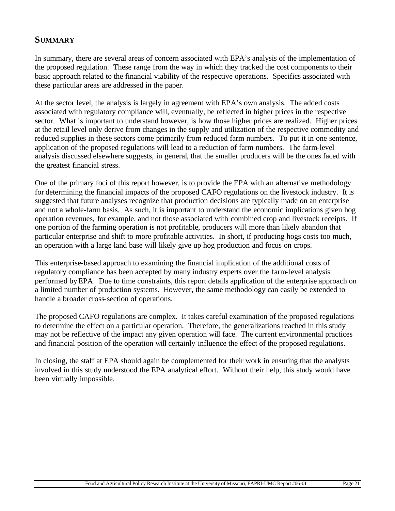# **SUMMARY**

In summary, there are several areas of concern associated with EPA's analysis of the implementation of the proposed regulation. These range from the way in which they tracked the cost components to their basic approach related to the financial viability of the respective operations. Specifics associated with these particular areas are addressed in the paper.

At the sector level, the analysis is largely in agreement with EPA's own analysis. The added costs associated with regulatory compliance will, eventually, be reflected in higher prices in the respective sector. What is important to understand however, is how those higher prices are realized. Higher prices at the retail level only derive from changes in the supply and utilization of the respective commodity and reduced supplies in these sectors come primarily from reduced farm numbers. To put it in one sentence, application of the proposed regulations will lead to a reduction of farm numbers. The farm-level analysis discussed elsewhere suggests, in general, that the smaller producers will be the ones faced with the greatest financial stress.

One of the primary foci of this report however, is to provide the EPA with an alternative methodology for determining the financial impacts of the proposed CAFO regulations on the livestock industry. It is suggested that future analyses recognize that production decisions are typically made on an enterprise and not a whole-farm basis. As such, it is important to understand the economic implications given hog operation revenues, for example, and not those associated with combined crop and livestock receipts. If one portion of the farming operation is not profitable, producers will more than likely abandon that particular enterprise and shift to more profitable activities. In short, if producing hogs costs too much, an operation with a large land base will likely give up hog production and focus on crops.

This enterprise-based approach to examining the financial implication of the additional costs of regulatory compliance has been accepted by many industry experts over the farm-level analysis performed by EPA. Due to time constraints, this report details application of the enterprise approach on a limited number of production systems. However, the same methodology can easily be extended to handle a broader cross-section of operations.

The proposed CAFO regulations are complex. It takes careful examination of the proposed regulations to determine the effect on a particular operation. Therefore, the generalizations reached in this study may not be reflective of the impact any given operation will face. The current environmental practices and financial position of the operation will certainly influence the effect of the proposed regulations.

In closing, the staff at EPA should again be complemented for their work in ensuring that the analysts involved in this study understood the EPA analytical effort. Without their help, this study would have been virtually impossible.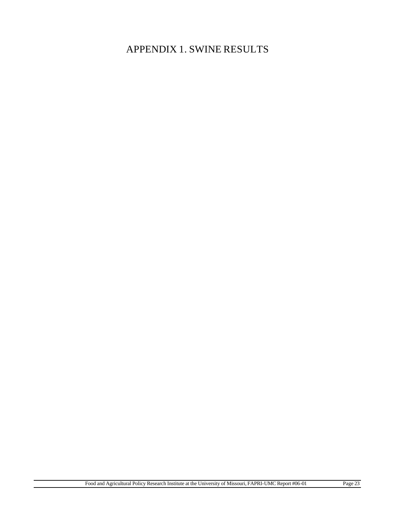# APPENDIX 1. SWINE RESULTS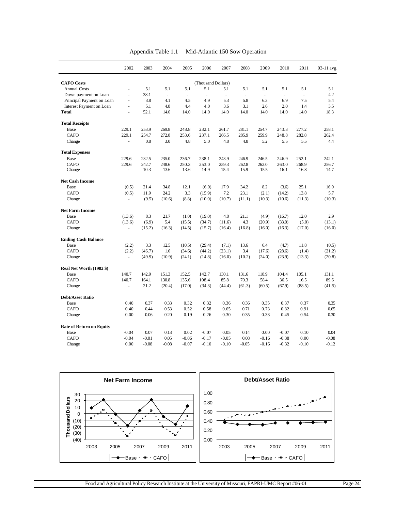|                                 | 2002           | 2003    | 2004    | 2005      | 2006                | 2007           | 2008                     | 2009    | 2010    | 2011    | 03-11 avg |
|---------------------------------|----------------|---------|---------|-----------|---------------------|----------------|--------------------------|---------|---------|---------|-----------|
| <b>CAFO</b> Costs               |                |         |         |           | (Thousand Dollars)  |                |                          |         |         |         |           |
| <b>Annual Costs</b>             | ÷,             | 5.1     | 5.1     | 5.1       | 5.1                 | 5.1            | 5.1                      | 5.1     | 5.1     | 5.1     | 5.1       |
| Down payment on Loan            | ÷,             | 38.1    | ä,      | $\bar{a}$ | $\bar{\phantom{a}}$ | $\blacksquare$ | $\overline{\phantom{a}}$ | ä,      | $\Box$  |         | 4.2       |
| Principal Payment on Loan       | L.             | 3.8     | 4.1     | 4.5       | 4.9                 | 5.3            | 5.8                      | 6.3     | 6.9     | 7.5     | 5.4       |
| Interest Payment on Loan        | ÷,             | 5.1     | 4.8     | 4.4       | 4.0                 | 3.6            | 3.1                      | 2.6     | 2.0     | 1.4     | 3.5       |
| <b>Total</b>                    | L.             | 52.1    | 14.0    | 14.0      | 14.0                | 14.0           | 14.0                     | 14.0    | 14.0    | 14.0    | 18.3      |
| <b>Total Receipts</b>           |                |         |         |           |                     |                |                          |         |         |         |           |
| Base                            | 229.1          | 253.9   | 269.8   | 248.8     | 232.1               | 261.7          | 281.1                    | 254.7   | 243.3   | 277.2   | 258.1     |
| <b>CAFO</b>                     | 229.1          | 254.7   | 272.8   | 253.6     | 237.1               | 266.5          | 285.9                    | 259.9   | 248.8   | 282.8   | 262.4     |
| Change                          | $\blacksquare$ | 0.8     | 3.0     | 4.8       | 5.0                 | 4.8            | 4.8                      | 5.2     | 5.5     | 5.5     | 4.4       |
| <b>Total Expenses</b>           |                |         |         |           |                     |                |                          |         |         |         |           |
| Base                            | 229.6          | 232.5   | 235.0   | 236.7     | 238.1               | 243.9          | 246.9                    | 246.5   | 246.9   | 252.1   | 242.1     |
| <b>CAFO</b>                     | 229.6          | 242.7   | 248.6   | 250.3     | 253.0               | 259.3          | 262.8                    | 262.0   | 263.0   | 268.9   | 256.7     |
| Change                          |                | 10.3    | 13.6    | 13.6      | 14.9                | 15.4           | 15.9                     | 15.5    | 16.1    | 16.8    | 14.7      |
| <b>Net Cash Income</b>          |                |         |         |           |                     |                |                          |         |         |         |           |
| Base                            | (0.5)          | 21.4    | 34.8    | 12.1      | (6.0)               | 17.9           | 34.2                     | 8.2     | (3.6)   | 25.1    | 16.0      |
| CAFO                            | (0.5)          | 11.9    | 24.2    | 3.3       | (15.9)              | 7.2            | 23.1                     | (2.1)   | (14.2)  | 13.8    | 5.7       |
| Change                          | ä,             | (9.5)   | (10.6)  | (8.8)     | (10.0)              | (10.7)         | (11.1)                   | (10.3)  | (10.6)  | (11.3)  | (10.3)    |
| <b>Net Farm Income</b>          |                |         |         |           |                     |                |                          |         |         |         |           |
| Base                            | (13.6)         | 8.3     | 21.7    | (1.0)     | (19.0)              | 4.8            | 21.1                     | (4.9)   | (16.7)  | 12.0    | 2.9       |
| <b>CAFO</b>                     | (13.6)         | (6.9)   | 5.4     | (15.5)    | (34.7)              | (11.6)         | 4.3                      | (20.9)  | (33.0)  | (5.0)   | (13.1)    |
| Change                          | ä,             | (15.2)  | (16.3)  | (14.5)    | (15.7)              | (16.4)         | (16.8)                   | (16.0)  | (16.3)  | (17.0)  | (16.0)    |
| <b>Ending Cash Balance</b>      |                |         |         |           |                     |                |                          |         |         |         |           |
| Base                            | (2.2)          | 3.3     | 12.5    | (10.5)    | (29.4)              | (7.1)          | 13.6                     | 6.4     | (4.7)   | 11.8    | (0.5)     |
| <b>CAFO</b>                     | (2.2)          | (46.7)  | 1.6     | (34.6)    | (44.2)              | (23.1)         | 3.4                      | (17.6)  | (28.6)  | (1.4)   | (21.2)    |
| Change                          | $\overline{a}$ | (49.9)  | (10.9)  | (24.1)    | (14.8)              | (16.0)         | (10.2)                   | (24.0)  | (23.9)  | (13.3)  | (20.8)    |
| Real Net Worth (1982 \$)        |                |         |         |           |                     |                |                          |         |         |         |           |
| Base                            | 140.7          | 142.9   | 151.3   | 152.5     | 142.7               | 130.1          | 131.6                    | 118.9   | 104.4   | 105.1   | 131.1     |
| CAFO                            | 140.7          | 164.1   | 130.8   | 135.6     | 108.4               | 85.8           | 70.3                     | 58.4    | 36.5    | 16.5    | 89.6      |
| Change                          | L.             | 21.2    | (20.4)  | (17.0)    | (34.3)              | (44.4)         | (61.3)                   | (60.5)  | (67.9)  | (88.5)  | (41.5)    |
| <b>Debt/Asset Ratio</b>         |                |         |         |           |                     |                |                          |         |         |         |           |
| Base                            | 0.40           | 0.37    | 0.33    | 0.32      | 0.32                | 0.36           | 0.36                     | 0.35    | 0.37    | 0.37    | 0.35      |
| CAFO                            | 0.40           | 0.44    | 0.53    | 0.52      | 0.58                | 0.65           | 0.71                     | 0.73    | 0.82    | 0.91    | 0.65      |
| Change                          | 0.00           | 0.06    | 0.20    | 0.19      | 0.26                | 0.30           | 0.35                     | 0.38    | 0.45    | 0.54    | 0.30      |
| <b>Rate of Return on Equity</b> |                |         |         |           |                     |                |                          |         |         |         |           |
| Base                            | $-0.04$        | 0.07    | 0.13    | 0.02      | $-0.07$             | 0.05           | 0.14                     | 0.00    | $-0.07$ | 0.10    | 0.04      |
| <b>CAFO</b>                     | $-0.04$        | $-0.01$ | 0.05    | $-0.06$   | $-0.17$             | $-0.05$        | 0.08                     | $-0.16$ | $-0.38$ | 0.00    | $-0.08$   |
| Change                          | 0.00           | $-0.08$ | $-0.08$ | $-0.07$   | $-0.10$             | $-0.10$        | $-0.05$                  | $-0.16$ | $-0.32$ | $-0.10$ | $-0.12$   |

Appendix Table 1.1 Mid-Atlantic 150 Sow Operation

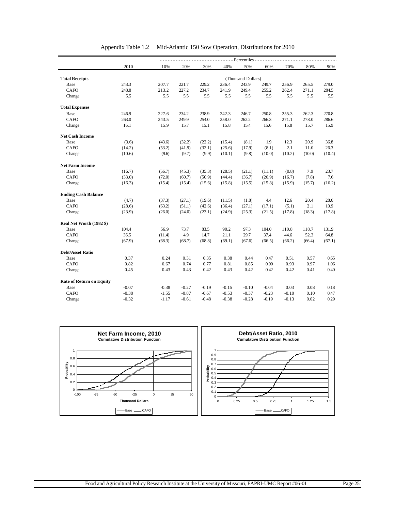| 2010<br>40%<br>50%<br>10%<br>20%<br>30%<br>60%<br>70%<br>80%<br><b>Total Receipts</b><br>(Thousand Dollars)<br>207.7<br>229.2<br>265.5<br>279.0<br>Base<br>243.3<br>221.7<br>236.4<br>243.9<br>249.7<br>256.9<br><b>CAFO</b><br>248.8<br>213.2<br>227.2<br>241.9<br>249.4<br>255.2<br>262.4<br>271.1<br>234.7<br>284.5<br>5.5<br>5.5<br>5.5<br>5.5<br>5.5<br>Change<br>5.5<br>5.5<br>5.5<br>5.5<br>5.5<br>270.8<br>Base<br>246.9<br>227.6<br>234.2<br>238.9<br>242.3<br>246.7<br>250.8<br>255.3<br>262.3<br><b>CAFO</b><br>243.5<br>249.9<br>258.0<br>278.0<br>263.0<br>254.0<br>262.2<br>266.3<br>271.1<br>286.6<br>16.1<br>15.9<br>15.7<br>15.1<br>15.4<br>15.6<br>15.8<br>15.7<br>15.9<br>15.8<br>Change<br>Base<br>20.9<br>36.8<br>(3.6)<br>(43.6)<br>(32.2)<br>(22.2)<br>(15.4)<br>(8.1)<br>1.9<br>12.3<br>2.1<br><b>CAFO</b><br>(53.2)<br>(32.1)<br>(25.6)<br>(17.9)<br>(8.1)<br>26.3<br>(14.2)<br>(41.9)<br>11.0<br>Change<br>(10.6)<br>(9.6)<br>(9.7)<br>(9.9)<br>(10.2)<br>(10.1)<br>(9.8)<br>(10.0)<br>(10.0)<br>7.9<br>23.7<br>Base<br>(16.7)<br>(45.3)<br>(35.3)<br>(28.5)<br>(21.1)<br>(11.1)<br>(0.8)<br>(56.7)<br><b>CAFO</b><br>(60.7)<br>7.6<br>(33.0)<br>(72.0)<br>(50.9)<br>(44.4)<br>(36.7)<br>(26.9)<br>(16.7)<br>(7.8)<br>Change<br>(16.3)<br>(15.4)<br>(15.4)<br>(15.8)<br>(15.5)<br>(15.8)<br>(15.9)<br>(15.7)<br>(15.6)<br><b>Ending Cash Balance</b><br>Base<br>(4.7)<br>(27.1)<br>(19.6)<br>4.4<br>12.6<br>20.4<br>28.6<br>(37.3)<br>(11.5)<br>(1.8)<br><b>CAFO</b><br>(5.1)<br>2.1<br>10.9<br>(63.2)<br>(51.1)<br>(42.6)<br>(36.4)<br>(27.1)<br>(17.1)<br>(28.6)<br>(23.9)<br>(26.0)<br>(24.0)<br>(23.1)<br>(24.9)<br>(25.3)<br>(21.5)<br>(17.8)<br>(18.3)<br>Change<br>Real Net Worth (1982 \$)<br>104.4<br>56.9<br>73.7<br>83.5<br>90.2<br>97.3<br>104.0<br>110.8<br>118.7<br>131.9<br>Base<br>36.5<br>52.3<br><b>CAFO</b><br>(11.4)<br>4.9<br>14.7<br>21.1<br>29.7<br>37.4<br>44.6<br>64.8<br>(67.9)<br>(68.3)<br>(68.7)<br>(68.8)<br>(69.1)<br>(67.6)<br>(66.5)<br>(66.2)<br>Change<br>(66.4)<br>0.37<br>0.31<br>0.38<br>0.44<br>0.47<br>0.51<br>Base<br>0.24<br>0.35<br>0.57<br><b>CAFO</b><br>0.81<br>0.82<br>0.67<br>0.74<br>0.77<br>0.85<br>0.90<br>0.93<br>0.97<br>0.43<br>0.42<br>0.45<br>0.43<br>0.43<br>0.42<br>0.42<br>0.42<br>0.41<br>Change<br><b>Rate of Return on Equity</b><br>$-0.07$<br>$-0.38$<br>$-0.27$<br>$-0.19$<br>$-0.15$<br>$-0.10$<br>$-0.04$<br>0.03<br>0.08<br>Base<br><b>CAFO</b><br>$-0.38$<br>$-0.87$<br>$-0.67$<br>$-0.53$<br>$-0.37$<br>$-0.23$<br>$-0.10$<br>0.10<br>$-1.55$<br>$-0.32$<br>$-1.17$<br>$-0.61$<br>$-0.48$<br>$-0.38$<br>$-0.28$<br>$-0.19$<br>$-0.13$<br>0.02<br>0.29<br>Change |                         |  |  | - Percentiles - - |  |        |
|-----------------------------------------------------------------------------------------------------------------------------------------------------------------------------------------------------------------------------------------------------------------------------------------------------------------------------------------------------------------------------------------------------------------------------------------------------------------------------------------------------------------------------------------------------------------------------------------------------------------------------------------------------------------------------------------------------------------------------------------------------------------------------------------------------------------------------------------------------------------------------------------------------------------------------------------------------------------------------------------------------------------------------------------------------------------------------------------------------------------------------------------------------------------------------------------------------------------------------------------------------------------------------------------------------------------------------------------------------------------------------------------------------------------------------------------------------------------------------------------------------------------------------------------------------------------------------------------------------------------------------------------------------------------------------------------------------------------------------------------------------------------------------------------------------------------------------------------------------------------------------------------------------------------------------------------------------------------------------------------------------------------------------------------------------------------------------------------------------------------------------------------------------------------------------------------------------------------------------------------------------------------------------------------------------------------------------------------------------------------------------------------------------------------------------------------------------------------------------------------------------------------------------------------------------------------------------------------------------------------------------------------------------------------|-------------------------|--|--|-------------------|--|--------|
|                                                                                                                                                                                                                                                                                                                                                                                                                                                                                                                                                                                                                                                                                                                                                                                                                                                                                                                                                                                                                                                                                                                                                                                                                                                                                                                                                                                                                                                                                                                                                                                                                                                                                                                                                                                                                                                                                                                                                                                                                                                                                                                                                                                                                                                                                                                                                                                                                                                                                                                                                                                                                                                                 |                         |  |  |                   |  | 90%    |
|                                                                                                                                                                                                                                                                                                                                                                                                                                                                                                                                                                                                                                                                                                                                                                                                                                                                                                                                                                                                                                                                                                                                                                                                                                                                                                                                                                                                                                                                                                                                                                                                                                                                                                                                                                                                                                                                                                                                                                                                                                                                                                                                                                                                                                                                                                                                                                                                                                                                                                                                                                                                                                                                 |                         |  |  |                   |  |        |
|                                                                                                                                                                                                                                                                                                                                                                                                                                                                                                                                                                                                                                                                                                                                                                                                                                                                                                                                                                                                                                                                                                                                                                                                                                                                                                                                                                                                                                                                                                                                                                                                                                                                                                                                                                                                                                                                                                                                                                                                                                                                                                                                                                                                                                                                                                                                                                                                                                                                                                                                                                                                                                                                 |                         |  |  |                   |  |        |
|                                                                                                                                                                                                                                                                                                                                                                                                                                                                                                                                                                                                                                                                                                                                                                                                                                                                                                                                                                                                                                                                                                                                                                                                                                                                                                                                                                                                                                                                                                                                                                                                                                                                                                                                                                                                                                                                                                                                                                                                                                                                                                                                                                                                                                                                                                                                                                                                                                                                                                                                                                                                                                                                 |                         |  |  |                   |  |        |
|                                                                                                                                                                                                                                                                                                                                                                                                                                                                                                                                                                                                                                                                                                                                                                                                                                                                                                                                                                                                                                                                                                                                                                                                                                                                                                                                                                                                                                                                                                                                                                                                                                                                                                                                                                                                                                                                                                                                                                                                                                                                                                                                                                                                                                                                                                                                                                                                                                                                                                                                                                                                                                                                 |                         |  |  |                   |  |        |
|                                                                                                                                                                                                                                                                                                                                                                                                                                                                                                                                                                                                                                                                                                                                                                                                                                                                                                                                                                                                                                                                                                                                                                                                                                                                                                                                                                                                                                                                                                                                                                                                                                                                                                                                                                                                                                                                                                                                                                                                                                                                                                                                                                                                                                                                                                                                                                                                                                                                                                                                                                                                                                                                 |                         |  |  |                   |  |        |
|                                                                                                                                                                                                                                                                                                                                                                                                                                                                                                                                                                                                                                                                                                                                                                                                                                                                                                                                                                                                                                                                                                                                                                                                                                                                                                                                                                                                                                                                                                                                                                                                                                                                                                                                                                                                                                                                                                                                                                                                                                                                                                                                                                                                                                                                                                                                                                                                                                                                                                                                                                                                                                                                 | <b>Total Expenses</b>   |  |  |                   |  |        |
|                                                                                                                                                                                                                                                                                                                                                                                                                                                                                                                                                                                                                                                                                                                                                                                                                                                                                                                                                                                                                                                                                                                                                                                                                                                                                                                                                                                                                                                                                                                                                                                                                                                                                                                                                                                                                                                                                                                                                                                                                                                                                                                                                                                                                                                                                                                                                                                                                                                                                                                                                                                                                                                                 |                         |  |  |                   |  |        |
|                                                                                                                                                                                                                                                                                                                                                                                                                                                                                                                                                                                                                                                                                                                                                                                                                                                                                                                                                                                                                                                                                                                                                                                                                                                                                                                                                                                                                                                                                                                                                                                                                                                                                                                                                                                                                                                                                                                                                                                                                                                                                                                                                                                                                                                                                                                                                                                                                                                                                                                                                                                                                                                                 |                         |  |  |                   |  |        |
|                                                                                                                                                                                                                                                                                                                                                                                                                                                                                                                                                                                                                                                                                                                                                                                                                                                                                                                                                                                                                                                                                                                                                                                                                                                                                                                                                                                                                                                                                                                                                                                                                                                                                                                                                                                                                                                                                                                                                                                                                                                                                                                                                                                                                                                                                                                                                                                                                                                                                                                                                                                                                                                                 |                         |  |  |                   |  |        |
|                                                                                                                                                                                                                                                                                                                                                                                                                                                                                                                                                                                                                                                                                                                                                                                                                                                                                                                                                                                                                                                                                                                                                                                                                                                                                                                                                                                                                                                                                                                                                                                                                                                                                                                                                                                                                                                                                                                                                                                                                                                                                                                                                                                                                                                                                                                                                                                                                                                                                                                                                                                                                                                                 | <b>Net Cash Income</b>  |  |  |                   |  |        |
|                                                                                                                                                                                                                                                                                                                                                                                                                                                                                                                                                                                                                                                                                                                                                                                                                                                                                                                                                                                                                                                                                                                                                                                                                                                                                                                                                                                                                                                                                                                                                                                                                                                                                                                                                                                                                                                                                                                                                                                                                                                                                                                                                                                                                                                                                                                                                                                                                                                                                                                                                                                                                                                                 |                         |  |  |                   |  |        |
|                                                                                                                                                                                                                                                                                                                                                                                                                                                                                                                                                                                                                                                                                                                                                                                                                                                                                                                                                                                                                                                                                                                                                                                                                                                                                                                                                                                                                                                                                                                                                                                                                                                                                                                                                                                                                                                                                                                                                                                                                                                                                                                                                                                                                                                                                                                                                                                                                                                                                                                                                                                                                                                                 |                         |  |  |                   |  |        |
|                                                                                                                                                                                                                                                                                                                                                                                                                                                                                                                                                                                                                                                                                                                                                                                                                                                                                                                                                                                                                                                                                                                                                                                                                                                                                                                                                                                                                                                                                                                                                                                                                                                                                                                                                                                                                                                                                                                                                                                                                                                                                                                                                                                                                                                                                                                                                                                                                                                                                                                                                                                                                                                                 |                         |  |  |                   |  | (10.4) |
|                                                                                                                                                                                                                                                                                                                                                                                                                                                                                                                                                                                                                                                                                                                                                                                                                                                                                                                                                                                                                                                                                                                                                                                                                                                                                                                                                                                                                                                                                                                                                                                                                                                                                                                                                                                                                                                                                                                                                                                                                                                                                                                                                                                                                                                                                                                                                                                                                                                                                                                                                                                                                                                                 | <b>Net Farm Income</b>  |  |  |                   |  |        |
|                                                                                                                                                                                                                                                                                                                                                                                                                                                                                                                                                                                                                                                                                                                                                                                                                                                                                                                                                                                                                                                                                                                                                                                                                                                                                                                                                                                                                                                                                                                                                                                                                                                                                                                                                                                                                                                                                                                                                                                                                                                                                                                                                                                                                                                                                                                                                                                                                                                                                                                                                                                                                                                                 |                         |  |  |                   |  |        |
|                                                                                                                                                                                                                                                                                                                                                                                                                                                                                                                                                                                                                                                                                                                                                                                                                                                                                                                                                                                                                                                                                                                                                                                                                                                                                                                                                                                                                                                                                                                                                                                                                                                                                                                                                                                                                                                                                                                                                                                                                                                                                                                                                                                                                                                                                                                                                                                                                                                                                                                                                                                                                                                                 |                         |  |  |                   |  |        |
|                                                                                                                                                                                                                                                                                                                                                                                                                                                                                                                                                                                                                                                                                                                                                                                                                                                                                                                                                                                                                                                                                                                                                                                                                                                                                                                                                                                                                                                                                                                                                                                                                                                                                                                                                                                                                                                                                                                                                                                                                                                                                                                                                                                                                                                                                                                                                                                                                                                                                                                                                                                                                                                                 |                         |  |  |                   |  | (16.2) |
|                                                                                                                                                                                                                                                                                                                                                                                                                                                                                                                                                                                                                                                                                                                                                                                                                                                                                                                                                                                                                                                                                                                                                                                                                                                                                                                                                                                                                                                                                                                                                                                                                                                                                                                                                                                                                                                                                                                                                                                                                                                                                                                                                                                                                                                                                                                                                                                                                                                                                                                                                                                                                                                                 |                         |  |  |                   |  |        |
|                                                                                                                                                                                                                                                                                                                                                                                                                                                                                                                                                                                                                                                                                                                                                                                                                                                                                                                                                                                                                                                                                                                                                                                                                                                                                                                                                                                                                                                                                                                                                                                                                                                                                                                                                                                                                                                                                                                                                                                                                                                                                                                                                                                                                                                                                                                                                                                                                                                                                                                                                                                                                                                                 |                         |  |  |                   |  |        |
|                                                                                                                                                                                                                                                                                                                                                                                                                                                                                                                                                                                                                                                                                                                                                                                                                                                                                                                                                                                                                                                                                                                                                                                                                                                                                                                                                                                                                                                                                                                                                                                                                                                                                                                                                                                                                                                                                                                                                                                                                                                                                                                                                                                                                                                                                                                                                                                                                                                                                                                                                                                                                                                                 |                         |  |  |                   |  |        |
|                                                                                                                                                                                                                                                                                                                                                                                                                                                                                                                                                                                                                                                                                                                                                                                                                                                                                                                                                                                                                                                                                                                                                                                                                                                                                                                                                                                                                                                                                                                                                                                                                                                                                                                                                                                                                                                                                                                                                                                                                                                                                                                                                                                                                                                                                                                                                                                                                                                                                                                                                                                                                                                                 |                         |  |  |                   |  | (17.8) |
|                                                                                                                                                                                                                                                                                                                                                                                                                                                                                                                                                                                                                                                                                                                                                                                                                                                                                                                                                                                                                                                                                                                                                                                                                                                                                                                                                                                                                                                                                                                                                                                                                                                                                                                                                                                                                                                                                                                                                                                                                                                                                                                                                                                                                                                                                                                                                                                                                                                                                                                                                                                                                                                                 |                         |  |  |                   |  |        |
|                                                                                                                                                                                                                                                                                                                                                                                                                                                                                                                                                                                                                                                                                                                                                                                                                                                                                                                                                                                                                                                                                                                                                                                                                                                                                                                                                                                                                                                                                                                                                                                                                                                                                                                                                                                                                                                                                                                                                                                                                                                                                                                                                                                                                                                                                                                                                                                                                                                                                                                                                                                                                                                                 |                         |  |  |                   |  |        |
|                                                                                                                                                                                                                                                                                                                                                                                                                                                                                                                                                                                                                                                                                                                                                                                                                                                                                                                                                                                                                                                                                                                                                                                                                                                                                                                                                                                                                                                                                                                                                                                                                                                                                                                                                                                                                                                                                                                                                                                                                                                                                                                                                                                                                                                                                                                                                                                                                                                                                                                                                                                                                                                                 |                         |  |  |                   |  |        |
|                                                                                                                                                                                                                                                                                                                                                                                                                                                                                                                                                                                                                                                                                                                                                                                                                                                                                                                                                                                                                                                                                                                                                                                                                                                                                                                                                                                                                                                                                                                                                                                                                                                                                                                                                                                                                                                                                                                                                                                                                                                                                                                                                                                                                                                                                                                                                                                                                                                                                                                                                                                                                                                                 |                         |  |  |                   |  | (67.1) |
|                                                                                                                                                                                                                                                                                                                                                                                                                                                                                                                                                                                                                                                                                                                                                                                                                                                                                                                                                                                                                                                                                                                                                                                                                                                                                                                                                                                                                                                                                                                                                                                                                                                                                                                                                                                                                                                                                                                                                                                                                                                                                                                                                                                                                                                                                                                                                                                                                                                                                                                                                                                                                                                                 | <b>Debt/Asset Ratio</b> |  |  |                   |  |        |
|                                                                                                                                                                                                                                                                                                                                                                                                                                                                                                                                                                                                                                                                                                                                                                                                                                                                                                                                                                                                                                                                                                                                                                                                                                                                                                                                                                                                                                                                                                                                                                                                                                                                                                                                                                                                                                                                                                                                                                                                                                                                                                                                                                                                                                                                                                                                                                                                                                                                                                                                                                                                                                                                 |                         |  |  |                   |  | 0.65   |
|                                                                                                                                                                                                                                                                                                                                                                                                                                                                                                                                                                                                                                                                                                                                                                                                                                                                                                                                                                                                                                                                                                                                                                                                                                                                                                                                                                                                                                                                                                                                                                                                                                                                                                                                                                                                                                                                                                                                                                                                                                                                                                                                                                                                                                                                                                                                                                                                                                                                                                                                                                                                                                                                 |                         |  |  |                   |  | 1.06   |
|                                                                                                                                                                                                                                                                                                                                                                                                                                                                                                                                                                                                                                                                                                                                                                                                                                                                                                                                                                                                                                                                                                                                                                                                                                                                                                                                                                                                                                                                                                                                                                                                                                                                                                                                                                                                                                                                                                                                                                                                                                                                                                                                                                                                                                                                                                                                                                                                                                                                                                                                                                                                                                                                 |                         |  |  |                   |  | 0.40   |
|                                                                                                                                                                                                                                                                                                                                                                                                                                                                                                                                                                                                                                                                                                                                                                                                                                                                                                                                                                                                                                                                                                                                                                                                                                                                                                                                                                                                                                                                                                                                                                                                                                                                                                                                                                                                                                                                                                                                                                                                                                                                                                                                                                                                                                                                                                                                                                                                                                                                                                                                                                                                                                                                 |                         |  |  |                   |  |        |
|                                                                                                                                                                                                                                                                                                                                                                                                                                                                                                                                                                                                                                                                                                                                                                                                                                                                                                                                                                                                                                                                                                                                                                                                                                                                                                                                                                                                                                                                                                                                                                                                                                                                                                                                                                                                                                                                                                                                                                                                                                                                                                                                                                                                                                                                                                                                                                                                                                                                                                                                                                                                                                                                 |                         |  |  |                   |  |        |
|                                                                                                                                                                                                                                                                                                                                                                                                                                                                                                                                                                                                                                                                                                                                                                                                                                                                                                                                                                                                                                                                                                                                                                                                                                                                                                                                                                                                                                                                                                                                                                                                                                                                                                                                                                                                                                                                                                                                                                                                                                                                                                                                                                                                                                                                                                                                                                                                                                                                                                                                                                                                                                                                 |                         |  |  |                   |  | 0.18   |
|                                                                                                                                                                                                                                                                                                                                                                                                                                                                                                                                                                                                                                                                                                                                                                                                                                                                                                                                                                                                                                                                                                                                                                                                                                                                                                                                                                                                                                                                                                                                                                                                                                                                                                                                                                                                                                                                                                                                                                                                                                                                                                                                                                                                                                                                                                                                                                                                                                                                                                                                                                                                                                                                 |                         |  |  |                   |  | 0.47   |
|                                                                                                                                                                                                                                                                                                                                                                                                                                                                                                                                                                                                                                                                                                                                                                                                                                                                                                                                                                                                                                                                                                                                                                                                                                                                                                                                                                                                                                                                                                                                                                                                                                                                                                                                                                                                                                                                                                                                                                                                                                                                                                                                                                                                                                                                                                                                                                                                                                                                                                                                                                                                                                                                 |                         |  |  |                   |  |        |

| Appendix Table 1.2 Mid-Atlantic 150 Sow Operation, Distributions for 2010 |  |  |
|---------------------------------------------------------------------------|--|--|

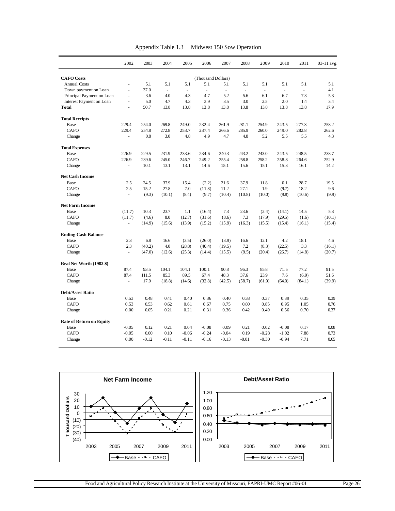| Appendix Table 1.3 | Midwest 150 Sow Operation |
|--------------------|---------------------------|
|--------------------|---------------------------|

|                                 | 2002                     | 2003    | 2004                     | 2005    | 2006               | 2007                     | 2008                     | 2009                     | 2010    | 2011          | 03-11 avg |
|---------------------------------|--------------------------|---------|--------------------------|---------|--------------------|--------------------------|--------------------------|--------------------------|---------|---------------|-----------|
| <b>CAFO</b> Costs               |                          |         |                          |         | (Thousand Dollars) |                          |                          |                          |         |               |           |
| <b>Annual Costs</b>             |                          | 5.1     | 5.1                      | 5.1     | 5.1                | 5.1                      | 5.1                      | 5.1                      | 5.1     | 5.1           | 5.1       |
| Down payment on Loan            | $\overline{a}$           | 37.0    | $\overline{\phantom{a}}$ | ÷,      | $\frac{1}{2}$      | $\overline{\phantom{a}}$ | $\overline{\phantom{a}}$ | $\overline{\phantom{a}}$ | $\Box$  | $\frac{1}{2}$ | 4.1       |
| Principal Payment on Loan       | $\blacksquare$           | 3.6     | 4.0                      | 4.3     | 4.7                | 5.2                      | 5.6                      | 6.1                      | 6.7     | 7.3           | 5.3       |
| <b>Interest Payment on Loan</b> | ä,                       | 5.0     | 4.7                      | 4.3     | 3.9                | 3.5                      | 3.0                      | 2.5                      | 2.0     | 1.4           | 3.4       |
| <b>Total</b>                    | ä,                       | 50.7    | 13.8                     | 13.8    | 13.8               | 13.8                     | 13.8                     | 13.8                     | 13.8    | 13.8          | 17.9      |
| <b>Total Receipts</b>           |                          |         |                          |         |                    |                          |                          |                          |         |               |           |
| Base                            | 229.4                    | 254.0   | 269.8                    | 249.0   | 232.4              | 261.9                    | 281.1                    | 254.9                    | 243.5   | 277.3         | 258.2     |
| CAFO                            | 229.4                    | 254.8   | 272.8                    | 253.7   | 237.4              | 266.6                    | 285.9                    | 260.0                    | 249.0   | 282.8         | 262.6     |
| Change                          |                          | 0.8     | 3.0                      | 4.8     | 4.9                | 4.7                      | 4.8                      | 5.2                      | 5.5     | 5.5           | 4.3       |
| <b>Total Expenses</b>           |                          |         |                          |         |                    |                          |                          |                          |         |               |           |
| Base                            | 226.9                    | 229.5   | 231.9                    | 233.6   | 234.6              | 240.3                    | 243.2                    | 243.0                    | 243.5   | 248.5         | 238.7     |
| <b>CAFO</b>                     | 226.9                    | 239.6   | 245.0                    | 246.7   | 249.2              | 255.4                    | 258.8                    | 258.2                    | 258.8   | 264.6         | 252.9     |
| Change                          | $\blacksquare$           | 10.1    | 13.1                     | 13.1    | 14.6               | 15.1                     | 15.6                     | 15.1                     | 15.3    | 16.1          | 14.2      |
| <b>Net Cash Income</b>          |                          |         |                          |         |                    |                          |                          |                          |         |               |           |
| Base                            | 2.5                      | 24.5    | 37.9                     | 15.4    | (2.2)              | 21.6                     | 37.9                     | 11.8                     | 0.1     | 28.7          | 19.5      |
| <b>CAFO</b>                     | 2.5                      | 15.2    | 27.8                     | 7.0     | (11.8)             | 11.2                     | 27.1                     | 1.9                      | (9.7)   | 18.2          | 9.6       |
| Change                          | ÷,                       | (9.3)   | (10.1)                   | (8.4)   | (9.7)              | (10.4)                   | (10.8)                   | (10.0)                   | (9.8)   | (10.6)        | (9.9)     |
| <b>Net Farm Income</b>          |                          |         |                          |         |                    |                          |                          |                          |         |               |           |
| Base                            | (11.7)                   | 10.3    | 23.7                     | 1.1     | (16.4)             | 7.3                      | 23.6                     | (2.4)                    | (14.1)  | 14.5          | 5.3       |
| <b>CAFO</b>                     | (11.7)                   | (4.6)   | 8.0                      | (12.7)  | (31.6)             | (8.6)                    | 7.3                      | (17.9)                   | (29.5)  | (1.6)         | (10.1)    |
| Change                          | $\Box$                   | (14.9)  | (15.6)                   | (13.9)  | (15.2)             | (15.9)                   | (16.3)                   | (15.5)                   | (15.4)  | (16.1)        | (15.4)    |
| <b>Ending Cash Balance</b>      |                          |         |                          |         |                    |                          |                          |                          |         |               |           |
| Base                            | 2.3                      | 6.8     | 16.6                     | (3.5)   | (26.0)             | (3.9)                    | 16.6                     | 12.1                     | 4.2     | 18.1          | 4.6       |
| CAFO                            | 2.3                      | (40.2)  | 4.0                      | (28.8)  | (40.4)             | (19.5)                   | 7.2                      | (8.3)                    | (22.5)  | 3.3           | (16.1)    |
| Change                          | $\overline{\phantom{a}}$ | (47.0)  | (12.6)                   | (25.3)  | (14.4)             | (15.5)                   | (9.5)                    | (20.4)                   | (26.7)  | (14.8)        | (20.7)    |
| Real Net Worth (1982 \$)        |                          |         |                          |         |                    |                          |                          |                          |         |               |           |
| Base                            | 87.4                     | 93.5    | 104.1                    | 104.1   | 100.1              | 90.8                     | 96.3                     | 85.8                     | 71.5    | 77.2          | 91.5      |
| CAFO                            | 87.4                     | 111.5   | 85.3                     | 89.5    | 67.4               | 48.3                     | 37.6                     | 23.9                     | 7.6     | (6.9)         | 51.6      |
| Change                          | $\blacksquare$           | 17.9    | (18.8)                   | (14.6)  | (32.8)             | (42.5)                   | (58.7)                   | (61.9)                   | (64.0)  | (84.1)        | (39.9)    |
| <b>Debt/Asset Ratio</b>         |                          |         |                          |         |                    |                          |                          |                          |         |               |           |
| Base                            | 0.53                     | 0.48    | 0.41                     | 0.40    | 0.36               | 0.40                     | 0.38                     | 0.37                     | 0.39    | 0.35          | 0.39      |
| <b>CAFO</b>                     | 0.53                     | 0.53    | 0.62                     | 0.61    | 0.67               | 0.75                     | 0.80                     | 0.85                     | 0.95    | 1.05          | 0.76      |
| Change                          | 0.00                     | 0.05    | 0.21                     | 0.21    | 0.31               | 0.36                     | 0.42                     | 0.49                     | 0.56    | 0.70          | 0.37      |
| <b>Rate of Return on Equity</b> |                          |         |                          |         |                    |                          |                          |                          |         |               |           |
| Base                            | $-0.05$                  | 0.12    | 0.21                     | 0.04    | $-0.08$            | 0.09                     | 0.21                     | 0.02                     | $-0.08$ | 0.17          | 0.08      |
| <b>CAFO</b>                     | $-0.05$                  | 0.00    | 0.10                     | $-0.06$ | $-0.24$            | $-0.04$                  | 0.19                     | $-0.28$                  | $-1.02$ | 7.88          | 0.73      |
| Change                          | 0.00                     | $-0.12$ | $-0.11$                  | $-0.11$ | $-0.16$            | $-0.13$                  | $-0.01$                  | $-0.30$                  | $-0.94$ | 7.71          | 0.65      |



Food and Agricultural Policy Research Institute at the University of Missouri, FAPRI-UMC Report #06-01 Page 26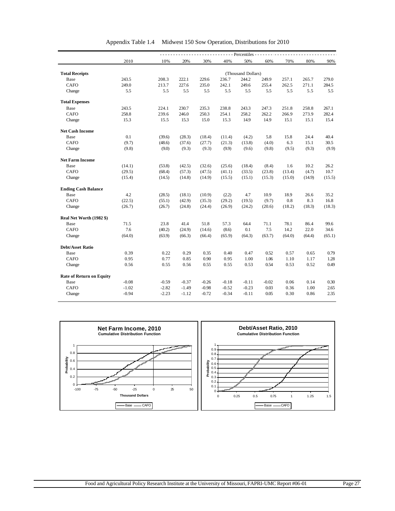|                                 |         |         |         |         |         | $---$ Percentiles - |         |        |        |        |
|---------------------------------|---------|---------|---------|---------|---------|---------------------|---------|--------|--------|--------|
|                                 | 2010    | 10%     | 20%     | 30%     | 40%     | 50%                 | 60%     | 70%    | 80%    | 90%    |
|                                 |         |         |         |         |         |                     |         |        |        |        |
| <b>Total Receipts</b>           |         |         |         |         |         | (Thousand Dollars)  |         |        |        |        |
| Base                            | 243.5   | 208.3   | 222.1   | 229.6   | 236.7   | 244.2               | 249.9   | 257.1  | 265.7  | 279.0  |
| <b>CAFO</b>                     | 249.0   | 213.7   | 227.6   | 235.0   | 242.1   | 249.6               | 255.4   | 262.5  | 271.1  | 284.5  |
| Change                          | 5.5     | 5.5     | 5.5     | 5.5     | 5.5     | 5.5                 | 5.5     | 5.5    | 5.5    | 5.5    |
| <b>Total Expenses</b>           |         |         |         |         |         |                     |         |        |        |        |
| Base                            | 243.5   | 224.1   | 230.7   | 235.3   | 238.8   | 243.3               | 247.3   | 251.8  | 258.8  | 267.1  |
| <b>CAFO</b>                     | 258.8   | 239.6   | 246.0   | 250.3   | 254.1   | 258.2               | 262.2   | 266.9  | 273.9  | 282.4  |
| Change                          | 15.3    | 15.5    | 15.3    | 15.0    | 15.3    | 14.9                | 14.9    | 15.1   | 15.1   | 15.4   |
| <b>Net Cash Income</b>          |         |         |         |         |         |                     |         |        |        |        |
| Base                            | 0.1     | (39.6)  | (28.3)  | (18.4)  | (11.4)  | (4.2)               | 5.8     | 15.8   | 24.4   | 40.4   |
| <b>CAFO</b>                     | (9.7)   | (48.6)  | (37.6)  | (27.7)  | (21.3)  | (13.8)              | (4.0)   | 6.3    | 15.1   | 30.5   |
| Change                          | (9.8)   | (9.0)   | (9.3)   | (9.3)   | (9.9)   | (9.6)               | (9.8)   | (9.5)  | (9.3)  | (9.9)  |
| <b>Net Farm Income</b>          |         |         |         |         |         |                     |         |        |        |        |
| Base                            | (14.1)  | (53.8)  | (42.5)  | (32.6)  | (25.6)  | (18.4)              | (8.4)   | 1.6    | 10.2   | 26.2   |
| <b>CAFO</b>                     | (29.5)  | (68.4)  | (57.3)  | (47.5)  | (41.1)  | (33.5)              | (23.8)  | (13.4) | (4.7)  | 10.7   |
| Change                          | (15.4)  | (14.5)  | (14.8)  | (14.9)  | (15.5)  | (15.1)              | (15.3)  | (15.0) | (14.9) | (15.5) |
| <b>Ending Cash Balance</b>      |         |         |         |         |         |                     |         |        |        |        |
| Base                            | 4.2     | (28.5)  | (18.1)  | (10.9)  | (2.2)   | 4.7                 | 10.9    | 18.9   | 26.6   | 35.2   |
| <b>CAFO</b>                     | (22.5)  | (55.1)  | (42.9)  | (35.3)  | (29.2)  | (19.5)              | (9.7)   | 0.8    | 8.3    | 16.8   |
| Change                          | (26.7)  | (26.7)  | (24.8)  | (24.4)  | (26.9)  | (24.2)              | (20.6)  | (18.2) | (18.3) | (18.3) |
| Real Net Worth (1982 \$)        |         |         |         |         |         |                     |         |        |        |        |
| Base                            | 71.5    | 23.8    | 41.4    | 51.8    | 57.3    | 64.4                | 71.1    | 78.1   | 86.4   | 99.6   |
| <b>CAFO</b>                     | 7.6     | (40.2)  | (24.9)  | (14.6)  | (8.6)   | 0.1                 | 7.5     | 14.2   | 22.0   | 34.6   |
| Change                          | (64.0)  | (63.9)  | (66.3)  | (66.4)  | (65.9)  | (64.3)              | (63.7)  | (64.0) | (64.4) | (65.1) |
| <b>Debt/Asset Ratio</b>         |         |         |         |         |         |                     |         |        |        |        |
| Base                            | 0.39    | 0.22    | 0.29    | 0.35    | 0.40    | 0.47                | 0.52    | 0.57   | 0.65   | 0.79   |
| <b>CAFO</b>                     | 0.95    | 0.77    | 0.85    | 0.90    | 0.95    | 1.00                | 1.06    | 1.10   | 1.17   | 1.28   |
| Change                          | 0.56    | 0.55    | 0.56    | 0.55    | 0.55    | 0.53                | 0.54    | 0.53   | 0.52   | 0.49   |
| <b>Rate of Return on Equity</b> |         |         |         |         |         |                     |         |        |        |        |
| Base                            | $-0.08$ | $-0.59$ | $-0.37$ | $-0.26$ | $-0.18$ | $-0.11$             | $-0.02$ | 0.06   | 0.14   | 0.30   |
|                                 | $-1.02$ | $-2.82$ | $-1.49$ | $-0.98$ | $-0.52$ | $-0.23$             | 0.03    | 0.36   | 1.00   | 2.65   |
| <b>CAFO</b>                     |         |         |         |         |         |                     |         |        |        |        |

Appendix Table 1.4 Midwest 150 Sow Operation, Distributions for 2010

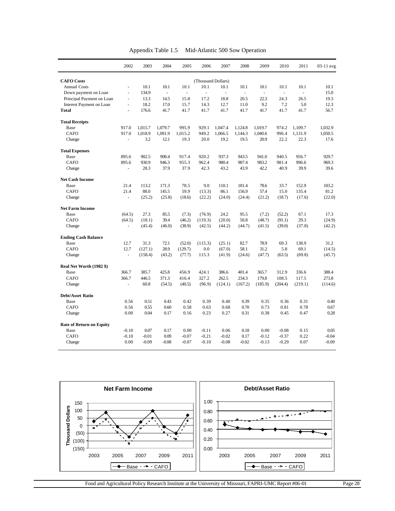| Appendix Table 1.5 | Mid-Atlantic 500 Sow Operation |  |
|--------------------|--------------------------------|--|
|--------------------|--------------------------------|--|

|                                 | 2002           | 2003    | 2004                     | 2005    | 2006               | 2007     | 2008    | 2009                     | 2010    | 2011    | 03-11 avg |
|---------------------------------|----------------|---------|--------------------------|---------|--------------------|----------|---------|--------------------------|---------|---------|-----------|
| <b>CAFO</b> Costs               |                |         |                          |         | (Thousand Dollars) |          |         |                          |         |         |           |
| <b>Annual Costs</b>             | $\blacksquare$ | 10.1    | 10.1                     | 10.1    | 10.1               | 10.1     | 10.1    | 10.1                     | 10.1    | 10.1    | 10.1      |
| Down payment on Loan            | L.             | 134.9   | $\overline{\phantom{a}}$ | L.      | $\overline{a}$     | $\omega$ | ÷,      | $\overline{\phantom{a}}$ | ÷,      |         | 15.0      |
| Principal Payment on Loan       | ä,             | 13.3    | 14.5                     | 15.8    | 17.2               | 18.8     | 20.5    | 22.3                     | 24.3    | 26.5    | 19.3      |
| Interest Payment on Loan        | L.             | 18.2    | 17.0                     | 15.7    | 14.3               | 12.7     | 11.0    | 9.2                      | 7.2     | 5.0     | 12.3      |
| <b>Total</b>                    | ä,             | 176.6   | 41.7                     | 41.7    | 41.7               | 41.7     | 41.7    | 41.7                     | 41.7    | 41.7    | 56.7      |
| <b>Total Receipts</b>           |                |         |                          |         |                    |          |         |                          |         |         |           |
| Base                            | 917.0          | 1.015.7 | 1,079.7                  | 995.9   | 929.1              | 1.047.4  | 1,124.8 | 1.019.7                  | 974.2   | 1,109.7 | 1.032.9   |
| <b>CAFO</b>                     | 917.0          | 1.018.9 | 1,091.9                  | 1,015.2 | 949.2              | 1.066.5  | 1,144.3 | 1.040.6                  | 996.4   | 1,131.9 | 1.050.5   |
| Change                          |                | 3.2     | 12.1                     | 19.3    | 20.0               | 19.2     | 19.5    | 20.9                     | 22.2    | 22.3    | 17.6      |
| <b>Total Expenses</b>           |                |         |                          |         |                    |          |         |                          |         |         |           |
| Base                            | 895.6          | 902.5   | 908.4                    | 917.4   | 920.2              | 937.3    | 943.5   | 941.0                    | 940.5   | 956.7   | 929.7     |
| <b>CAFO</b>                     | 895.6          | 930.9   | 946.3                    | 955.3   | 962.4              | 980.4    | 987.4   | 983.2                    | 981.4   | 996.6   | 969.3     |
| Change                          | ÷,             | 28.3    | 37.9                     | 37.9    | 42.3               | 43.2     | 43.9    | 42.2                     | 40.9    | 39.9    | 39.6      |
| <b>Net Cash Income</b>          |                |         |                          |         |                    |          |         |                          |         |         |           |
| Base                            | 21.4           | 113.2   | 171.3                    | 78.5    | 9.0                | 110.1    | 181.4   | 78.6                     | 33.7    | 152.9   | 103.2     |
| CAFO                            | 21.4           | 88.0    | 145.5                    | 59.9    | (13.3)             | 86.1     | 156.9   | 57.4                     | 15.0    | 135.4   | 81.2      |
| Change                          |                | (25.2)  | (25.8)                   | (18.6)  | (22.2)             | (24.0)   | (24.4)  | (21.2)                   | (18.7)  | (17.6)  | (22.0)    |
| <b>Net Farm Income</b>          |                |         |                          |         |                    |          |         |                          |         |         |           |
| Base                            | (64.5)         | 27.3    | 85.5                     | (7.3)   | (76.9)             | 24.2     | 95.5    | (7.2)                    | (52.2)  | 67.1    | 17.3      |
| CAFO                            | (64.5)         | (18.1)  | 39.4                     | (46.2)  | (119.3)            | (20.0)   | 50.8    | (48.7)                   | (91.1)  | 29.3    | (24.9)    |
| Change                          | ä,             | (45.4)  | (46.0)                   | (38.9)  | (42.5)             | (44.2)   | (44.7)  | (41.5)                   | (39.0)  | (37.8)  | (42.2)    |
| <b>Ending Cash Balance</b>      |                |         |                          |         |                    |          |         |                          |         |         |           |
| Base                            | 12.7           | 31.3    | 72.1                     | (52.0)  | (115.3)            | (25.1)   | 82.7    | 78.9                     | 69.3    | 138.9   | 31.2      |
| CAFO                            | 12.7           | (127.1) | 28.9                     | (129.7) | 0.0                | (67.0)   | 58.1    | 31.2                     | 5.8     | 69.1    | (14.5)    |
| Change                          | ä,             | (158.4) | (43.2)                   | (77.7)  | 115.3              | (41.9)   | (24.6)  | (47.7)                   | (63.5)  | (69.8)  | (45.7)    |
| Real Net Worth (1982 \$)        |                |         |                          |         |                    |          |         |                          |         |         |           |
| Base                            | 366.7          | 385.7   | 425.8                    | 456.9   | 424.1              | 386.6    | 401.4   | 365.7                    | 312.9   | 336.6   | 388.4     |
| <b>CAFO</b>                     | 366.7          | 446.5   | 371.3                    | 416.4   | 327.2              | 262.5    | 234.3   | 179.8                    | 108.5   | 117.5   | 273.8     |
| Change                          | $\blacksquare$ | 60.8    | (54.5)                   | (40.5)  | (96.9)             | (124.1)  | (167.2) | (185.9)                  | (204.4) | (219.1) | (114.6)   |
| <b>Debt/Asset Ratio</b>         |                |         |                          |         |                    |          |         |                          |         |         |           |
| Base                            | 0.56           | 0.51    | 0.43                     | 0.42    | 0.39               | 0.40     | 0.39    | 0.35                     | 0.36    | 0.31    | 0.40      |
| <b>CAFO</b>                     | 0.56           | 0.55    | 0.60                     | 0.58    | 0.63               | 0.68     | 0.70    | 0.73                     | 0.81    | 0.78    | 0.67      |
| Change                          | 0.00           | 0.04    | 0.17                     | 0.16    | 0.23               | 0.27     | 0.31    | 0.38                     | 0.45    | 0.47    | 0.28      |
| <b>Rate of Return on Equity</b> |                |         |                          |         |                    |          |         |                          |         |         |           |
| Base                            | $-0.10$        | 0.07    | 0.17                     | 0.00    | $-0.11$            | 0.06     | 0.18    | 0.00                     | $-0.08$ | 0.15    | 0.05      |
| <b>CAFO</b>                     | $-0.10$        | $-0.01$ | 0.09                     | $-0.07$ | $-0.21$            | $-0.02$  | 0.17    | $-0.12$                  | $-0.37$ | 0.22    | $-0.04$   |
| Change                          | 0.00           | $-0.09$ | $-0.08$                  | $-0.07$ | $-0.10$            | $-0.08$  | $-0.02$ | $-0.13$                  | $-0.29$ | 0.07    | $-0.09$   |



Food and Agricultural Policy Research Institute at the University of Missouri, FAPRI-UMC Report #06-01 Page 28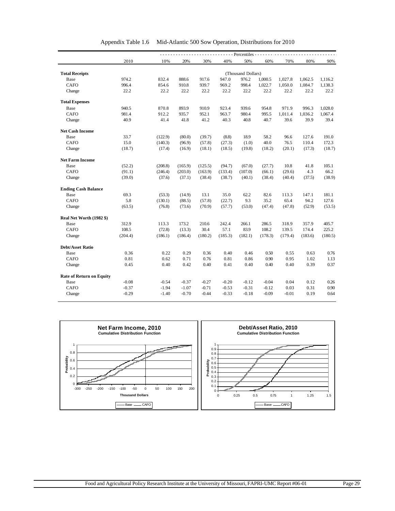|                                 |         |         |         |         |         | - - - - Percentiles - - - |         |         |         |         |
|---------------------------------|---------|---------|---------|---------|---------|---------------------------|---------|---------|---------|---------|
|                                 | 2010    | 10%     | 20%     | 30%     | 40%     | 50%                       | 60%     | 70%     | 80%     | 90%     |
|                                 |         |         |         |         |         |                           |         |         |         |         |
| <b>Total Receipts</b>           |         |         |         |         |         | (Thousand Dollars)        |         |         |         |         |
| Base                            | 974.2   | 832.4   | 888.6   | 917.6   | 947.0   | 976.2                     | 1,000.5 | 1,027.8 | 1,062.5 | 1,116.2 |
| <b>CAFO</b>                     | 996.4   | 854.6   | 910.8   | 939.7   | 969.2   | 998.4                     | 1,022.7 | 1,050.0 | 1,084.7 | 1,138.3 |
| Change                          | 22.2    | 22.2    | 22.2    | 22.2    | 22.2    | 22.2                      | 22.2    | 22.2    | 22.2    | 22.2    |
| <b>Total Expenses</b>           |         |         |         |         |         |                           |         |         |         |         |
| Base                            | 940.5   | 870.8   | 893.9   | 910.9   | 923.4   | 939.6                     | 954.8   | 971.9   | 996.3   | 1,028.0 |
| <b>CAFO</b>                     | 981.4   | 912.2   | 935.7   | 952.1   | 963.7   | 980.4                     | 995.5   | 1,011.4 | 1,036.2 | 1,067.4 |
| Change                          | 40.9    | 41.4    | 41.8    | 41.2    | 40.3    | 40.8                      | 40.7    | 39.6    | 39.9    | 39.4    |
| <b>Net Cash Income</b>          |         |         |         |         |         |                           |         |         |         |         |
| Base                            | 33.7    | (122.9) | (80.0)  | (39.7)  | (8.8)   | 18.9                      | 58.2    | 96.6    | 127.6   | 191.0   |
| <b>CAFO</b>                     | 15.0    | (140.3) | (96.9)  | (57.8)  | (27.3)  | (1.0)                     | 40.0    | 76.5    | 110.4   | 172.3   |
| Change                          | (18.7)  | (17.4)  | (16.9)  | (18.1)  | (18.5)  | (19.8)                    | (18.2)  | (20.1)  | (17.3)  | (18.7)  |
| <b>Net Farm Income</b>          |         |         |         |         |         |                           |         |         |         |         |
| Base                            | (52.2)  | (208.8) | (165.9) | (125.5) | (94.7)  | (67.0)                    | (27.7)  | 10.8    | 41.8    | 105.1   |
| <b>CAFO</b>                     | (91.1)  | (246.4) | (203.0) | (163.9) | (133.4) | (107.0)                   | (66.1)  | (29.6)  | 4.3     | 66.2    |
| Change                          | (39.0)  | (37.6)  | (37.1)  | (38.4)  | (38.7)  | (40.1)                    | (38.4)  | (40.4)  | (37.5)  | (38.9)  |
| <b>Ending Cash Balance</b>      |         |         |         |         |         |                           |         |         |         |         |
| Base                            | 69.3    | (53.3)  | (14.9)  | 13.1    | 35.0    | 62.2                      | 82.6    | 113.3   | 147.1   | 181.1   |
| <b>CAFO</b>                     | 5.8     | (130.1) | (88.5)  | (57.8)  | (22.7)  | 9.3                       | 35.2    | 65.4    | 94.2    | 127.6   |
| Change                          | (63.5)  | (76.8)  | (73.6)  | (70.9)  | (57.7)  | (53.0)                    | (47.4)  | (47.8)  | (52.9)  | (53.5)  |
| Real Net Worth (1982 \$)        |         |         |         |         |         |                           |         |         |         |         |
| Base                            | 312.9   | 113.3   | 173.2   | 210.6   | 242.4   | 266.1                     | 286.5   | 318.9   | 357.9   | 405.7   |
| <b>CAFO</b>                     | 108.5   | (72.8)  | (13.3)  | 30.4    | 57.1    | 83.9                      | 108.2   | 139.5   | 174.4   | 225.2   |
| Change                          | (204.4) | (186.1) | (186.4) | (180.2) | (185.3) | (182.1)                   | (178.3) | (179.4) | (183.6) | (180.5) |
| <b>Debt/Asset Ratio</b>         |         |         |         |         |         |                           |         |         |         |         |
| Base                            | 0.36    | 0.22    | 0.29    | 0.36    | 0.40    | 0.46                      | 0.50    | 0.55    | 0.63    | 0.76    |
| <b>CAFO</b>                     | 0.81    | 0.62    | 0.71    | 0.76    | 0.81    | 0.86                      | 0.90    | 0.95    | 1.02    | 1.13    |
| Change                          | 0.45    | 0.40    | 0.42    | 0.40    | 0.41    | 0.40                      | 0.40    | 0.40    | 0.39    | 0.37    |
| <b>Rate of Return on Equity</b> |         |         |         |         |         |                           |         |         |         |         |
| Base                            | $-0.08$ | $-0.54$ | $-0.37$ | $-0.27$ | $-0.20$ | $-0.12$                   | $-0.04$ | 0.04    | 0.12    | 0.26    |
| CAFO                            | $-0.37$ | $-1.94$ | $-1.07$ | $-0.71$ | $-0.53$ | $-0.31$                   | $-0.12$ | 0.03    | 0.31    | 0.90    |
|                                 | $-0.29$ |         |         |         | $-0.33$ | $-0.18$                   |         |         | 0.19    |         |

| Appendix Table 1.6 | Mid-Atlantic 500 Sow Operation, Distributions for 2010 |
|--------------------|--------------------------------------------------------|
|--------------------|--------------------------------------------------------|

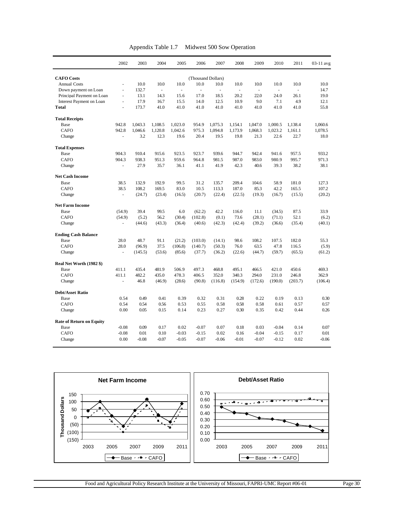| Appendix Table 1.7<br>Midwest 500 Sow Operation |
|-------------------------------------------------|
|-------------------------------------------------|

|                                 | 2002           | 2003    | 2004    | 2005    | 2006                | 2007     | 2008                     | 2009                     | 2010                     | 2011    | 03-11 avg |
|---------------------------------|----------------|---------|---------|---------|---------------------|----------|--------------------------|--------------------------|--------------------------|---------|-----------|
| <b>CAFO</b> Costs               |                |         |         |         | (Thousand Dollars)  |          |                          |                          |                          |         |           |
| <b>Annual Costs</b>             | $\blacksquare$ | 10.0    | 10.0    | 10.0    | 10.0                | 10.0     | 10.0                     | 10.0                     | 10.0                     | 10.0    | 10.0      |
| Down payment on Loan            | ä,             | 132.7   | ä,      | L,      | $\bar{\phantom{a}}$ | $\omega$ | $\overline{\phantom{a}}$ | $\overline{\phantom{a}}$ | $\overline{\phantom{a}}$ |         | 14.7      |
| Principal Payment on Loan       | $\blacksquare$ | 13.1    | 14.3    | 15.6    | 17.0                | 18.5     | 20.2                     | 22.0                     | 24.0                     | 26.1    | 19.0      |
| Interest Payment on Loan        | L.             | 17.9    | 16.7    | 15.5    | 14.0                | 12.5     | 10.9                     | 9.0                      | 7.1                      | 4.9     | 12.1      |
| <b>Total</b>                    | ä,             | 173.7   | 41.0    | 41.0    | 41.0                | 41.0     | 41.0                     | 41.0                     | 41.0                     | 41.0    | 55.8      |
| <b>Total Receipts</b>           |                |         |         |         |                     |          |                          |                          |                          |         |           |
| Base                            | 942.8          | 1.043.3 | 1.108.5 | 1,023.0 | 954.9               | 1.075.3  | 1.154.1                  | 1.047.0                  | 1,000.5                  | 1,138.4 | 1.060.6   |
| <b>CAFO</b>                     | 942.8          | 1.046.6 | 1,120.8 | 1,042.6 | 975.3               | 1.094.8  | 1,173.9                  | 1,068.3                  | 1,023.2                  | 1,161.1 | 1,078.5   |
| Change                          |                | 3.2     | 12.3    | 19.6    | 20.4                | 19.5     | 19.8                     | 21.3                     | 22.6                     | 22.7    | 18.0      |
| <b>Total Expenses</b>           |                |         |         |         |                     |          |                          |                          |                          |         |           |
| Base                            | 904.3          | 910.4   | 915.6   | 923.5   | 923.7               | 939.6    | 944.7                    | 942.4                    | 941.6                    | 957.5   | 933.2     |
| <b>CAFO</b>                     | 904.3          | 938.3   | 951.3   | 959.6   | 964.8               | 981.5    | 987.0                    | 983.0                    | 980.9                    | 995.7   | 971.3     |
| Change                          | L.             | 27.9    | 35.7    | 36.1    | 41.1                | 41.9     | 42.3                     | 40.6                     | 39.3                     | 38.2    | 38.1      |
| <b>Net Cash Income</b>          |                |         |         |         |                     |          |                          |                          |                          |         |           |
| Base                            | 38.5           | 132.9   | 192.9   | 99.5    | 31.2                | 135.7    | 209.4                    | 104.6                    | 58.9                     | 181.0   | 127.3     |
| CAFO                            | 38.5           | 108.2   | 169.5   | 83.0    | 10.5                | 113.3    | 187.0                    | 85.3                     | 42.2                     | 165.5   | 107.2     |
| Change                          |                | (24.7)  | (23.4)  | (16.5)  | (20.7)              | (22.4)   | (22.5)                   | (19.3)                   | (16.7)                   | (15.5)  | (20.2)    |
| <b>Net Farm Income</b>          |                |         |         |         |                     |          |                          |                          |                          |         |           |
| Base                            | (54.9)         | 39.4    | 99.5    | 6.0     | (62.2)              | 42.2     | 116.0                    | 11.1                     | (34.5)                   | 87.5    | 33.9      |
| <b>CAFO</b>                     | (54.9)         | (5.2)   | 56.2    | (30.4)  | (102.8)             | (0.1)    | 73.6                     | (28.1)                   | (71.1)                   | 52.1    | (6.2)     |
| Change                          | L,             | (44.6)  | (43.3)  | (36.4)  | (40.6)              | (42.3)   | (42.4)                   | (39.2)                   | (36.6)                   | (35.4)  | (40.1)    |
| <b>Ending Cash Balance</b>      |                |         |         |         |                     |          |                          |                          |                          |         |           |
| Base                            | 28.0           | 48.7    | 91.1    | (21.2)  | (103.0)             | (14.1)   | 98.6                     | 108.2                    | 107.5                    | 182.0   | 55.3      |
| CAFO                            | 28.0           | (96.9)  | 37.5    | (106.8) | (140.7)             | (50.3)   | 76.0                     | 63.5                     | 47.8                     | 116.5   | (5.9)     |
| Change                          | L.             | (145.5) | (53.6)  | (85.6)  | (37.7)              | (36.2)   | (22.6)                   | (44.7)                   | (59.7)                   | (65.5)  | (61.2)    |
| Real Net Worth (1982 \$)        |                |         |         |         |                     |          |                          |                          |                          |         |           |
| Base                            | 411.1          | 435.4   | 481.9   | 506.9   | 497.3               | 468.8    | 495.1                    | 466.5                    | 421.0                    | 450.6   | 469.3     |
| CAFO                            | 411.1          | 482.2   | 435.0   | 478.3   | 406.5               | 352.0    | 340.3                    | 294.0                    | 231.0                    | 246.8   | 362.9     |
| Change                          | ÷,             | 46.8    | (46.9)  | (28.6)  | (90.8)              | (116.8)  | (154.9)                  | (172.6)                  | (190.0)                  | (203.7) | (106.4)   |
| <b>Debt/Asset Ratio</b>         |                |         |         |         |                     |          |                          |                          |                          |         |           |
| Base                            | 0.54           | 0.49    | 0.41    | 0.39    | 0.32                | 0.31     | 0.28                     | 0.22                     | 0.19                     | 0.13    | 0.30      |
| <b>CAFO</b>                     | 0.54           | 0.54    | 0.56    | 0.53    | 0.55                | 0.58     | 0.58                     | 0.58                     | 0.61                     | 0.57    | 0.57      |
| Change                          | 0.00           | 0.05    | 0.15    | 0.14    | 0.23                | 0.27     | 0.30                     | 0.35                     | 0.42                     | 0.44    | 0.26      |
| <b>Rate of Return on Equity</b> |                |         |         |         |                     |          |                          |                          |                          |         |           |
| Base                            | $-0.08$        | 0.09    | 0.17    | 0.02    | $-0.07$             | 0.07     | 0.18                     | 0.03                     | $-0.04$                  | 0.14    | 0.07      |
| <b>CAFO</b>                     | $-0.08$        | 0.01    | 0.10    | $-0.03$ | $-0.15$             | 0.02     | 0.16                     | $-0.04$                  | $-0.15$                  | 0.17    | 0.01      |
| Change                          | 0.00           | $-0.08$ | $-0.07$ | $-0.05$ | $-0.07$             | $-0.06$  | $-0.01$                  | $-0.07$                  | $-0.12$                  | 0.02    | $-0.06$   |

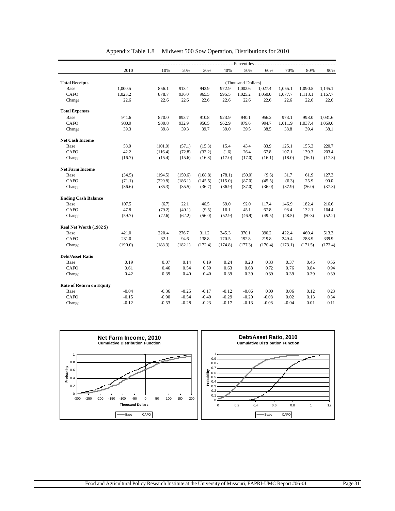|                                 | - Percentiles - - -<br>$\frac{1}{2} \left( \frac{1}{2} \right) \left( \frac{1}{2} \right) \left( \frac{1}{2} \right) \left( \frac{1}{2} \right)$ |         |         |         |         |                    |         |         |         |         |  |  |
|---------------------------------|--------------------------------------------------------------------------------------------------------------------------------------------------|---------|---------|---------|---------|--------------------|---------|---------|---------|---------|--|--|
|                                 | 2010                                                                                                                                             | 10%     | 20%     | 30%     | 40%     | 50%                | 60%     | 70%     | 80%     | 90%     |  |  |
| <b>Total Receipts</b>           |                                                                                                                                                  |         |         |         |         | (Thousand Dollars) |         |         |         |         |  |  |
| Base                            | 1.000.5                                                                                                                                          | 856.1   | 913.4   | 942.9   | 972.9   | 1,002.6            | 1,027.4 | 1,055.1 | 1,090.5 | 1,145.1 |  |  |
| CAFO                            | 1,023.2                                                                                                                                          | 878.7   | 936.0   | 965.5   | 995.5   | 1.025.2            | 1,050.0 | 1,077.7 | 1,113.1 | 1,167.7 |  |  |
| Change                          | 22.6                                                                                                                                             | 22.6    | 22.6    | 22.6    | 22.6    | 22.6               | 22.6    | 22.6    | 22.6    | 22.6    |  |  |
| <b>Total Expenses</b>           |                                                                                                                                                  |         |         |         |         |                    |         |         |         |         |  |  |
| Base                            | 941.6                                                                                                                                            | 870.0   | 893.7   | 910.8   | 923.9   | 940.1              | 956.2   | 973.1   | 998.0   | 1,031.6 |  |  |
| <b>CAFO</b>                     | 980.9                                                                                                                                            | 909.8   | 932.9   | 950.5   | 962.9   | 979.6              | 994.7   | 1.011.9 | 1.037.4 | 1,069.6 |  |  |
| Change                          | 39.3                                                                                                                                             | 39.8    | 39.3    | 39.7    | 39.0    | 39.5               | 38.5    | 38.8    | 39.4    | 38.1    |  |  |
| <b>Net Cash Income</b>          |                                                                                                                                                  |         |         |         |         |                    |         |         |         |         |  |  |
| Base                            | 58.9                                                                                                                                             | (101.0) | (57.1)  | (15.3)  | 15.4    | 43.4               | 83.9    | 125.1   | 155.3   | 220.7   |  |  |
| <b>CAFO</b>                     | 42.2                                                                                                                                             | (116.4) | (72.8)  | (32.2)  | (1.6)   | 26.4               | 67.8    | 107.1   | 139.3   | 203.4   |  |  |
| Change                          | (16.7)                                                                                                                                           | (15.4)  | (15.6)  | (16.8)  | (17.0)  | (17.0)             | (16.1)  | (18.0)  | (16.1)  | (17.3)  |  |  |
| <b>Net Farm Income</b>          |                                                                                                                                                  |         |         |         |         |                    |         |         |         |         |  |  |
| Base                            | (34.5)                                                                                                                                           | (194.5) | (150.6) | (108.8) | (78.1)  | (50.0)             | (9.6)   | 31.7    | 61.9    | 127.3   |  |  |
| <b>CAFO</b>                     | (71.1)                                                                                                                                           | (229.8) | (186.1) | (145.5) | (115.0) | (87.0)             | (45.5)  | (6.3)   | 25.9    | 90.0    |  |  |
| Change                          | (36.6)                                                                                                                                           | (35.3)  | (35.5)  | (36.7)  | (36.9)  | (37.0)             | (36.0)  | (37.9)  | (36.0)  | (37.3)  |  |  |
| <b>Ending Cash Balance</b>      |                                                                                                                                                  |         |         |         |         |                    |         |         |         |         |  |  |
| Base                            | 107.5                                                                                                                                            | (6.7)   | 22.1    | 46.5    | 69.0    | 92.0               | 117.4   | 146.9   | 182.4   | 216.6   |  |  |
| <b>CAFO</b>                     | 47.8                                                                                                                                             | (79.2)  | (40.1)  | (9.5)   | 16.1    | 45.1               | 67.8    | 98.4    | 132.1   | 164.4   |  |  |
| Change                          | (59.7)                                                                                                                                           | (72.6)  | (62.2)  | (56.0)  | (52.9)  | (46.9)             | (49.5)  | (48.5)  | (50.3)  | (52.2)  |  |  |
| Real Net Worth (1982 \$)        |                                                                                                                                                  |         |         |         |         |                    |         |         |         |         |  |  |
| Base                            | 421.0                                                                                                                                            | 220.4   | 276.7   | 311.2   | 345.3   | 370.1              | 390.2   | 422.4   | 460.4   | 513.3   |  |  |
| <b>CAFO</b>                     | 231.0                                                                                                                                            | 32.1    | 94.6    | 138.8   | 170.5   | 192.8              | 219.8   | 249.4   | 288.9   | 339.9   |  |  |
| Change                          | (190.0)                                                                                                                                          | (188.3) | (182.1) | (172.4) | (174.8) | (177.3)            | (170.4) | (173.1) | (171.5) | (173.4) |  |  |
| <b>Debt/Asset Ratio</b>         |                                                                                                                                                  |         |         |         |         |                    |         |         |         |         |  |  |
| Base                            | 0.19                                                                                                                                             | 0.07    | 0.14    | 0.19    | 0.24    | 0.28               | 0.33    | 0.37    | 0.45    | 0.56    |  |  |
| <b>CAFO</b>                     | 0.61                                                                                                                                             | 0.46    | 0.54    | 0.59    | 0.63    | 0.68               | 0.72    | 0.76    | 0.84    | 0.94    |  |  |
| Change                          | 0.42                                                                                                                                             | 0.39    | 0.40    | 0.40    | 0.39    | 0.39               | 0.39    | 0.39    | 0.39    | 0.39    |  |  |
| <b>Rate of Return on Equity</b> |                                                                                                                                                  |         |         |         |         |                    |         |         |         |         |  |  |
| Base                            | $-0.04$                                                                                                                                          | $-0.36$ | $-0.25$ | $-0.17$ | $-0.12$ | $-0.06$            | 0.00    | 0.06    | 0.12    | 0.23    |  |  |
| CAFO                            | $-0.15$                                                                                                                                          | $-0.90$ | $-0.54$ | $-0.40$ | $-0.29$ | $-0.20$            | $-0.08$ | 0.02    | 0.13    | 0.34    |  |  |
| Change                          | $-0.12$                                                                                                                                          | $-0.53$ | $-0.28$ | $-0.23$ | $-0.17$ | $-0.13$            | $-0.08$ | $-0.04$ | 0.01    | 0.11    |  |  |

Appendix Table 1.8 Midwest 500 Sow Operation, Distributions for 2010

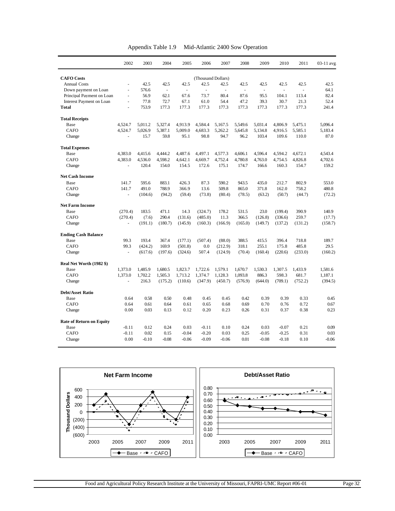| Appendix Table 1.9 | Mid-Atlantic 2400 Sow Operation |  |
|--------------------|---------------------------------|--|
|--------------------|---------------------------------|--|

|                                 | 2002           | 2003    | 2004     | 2005    | 2006               | 2007    | 2008                     | 2009                     | 2010    | 2011    | 03-11 avg |
|---------------------------------|----------------|---------|----------|---------|--------------------|---------|--------------------------|--------------------------|---------|---------|-----------|
| <b>CAFO</b> Costs               |                |         |          |         | (Thousand Dollars) |         |                          |                          |         |         |           |
| <b>Annual Costs</b>             | ä,             | 42.5    | 42.5     | 42.5    | 42.5               | 42.5    | 42.5                     | 42.5                     | 42.5    | 42.5    | 42.5      |
| Down payment on Loan            | L.             | 576.6   | $\omega$ | ÷.      | ÷,                 | $\sim$  | $\overline{\phantom{a}}$ | $\overline{\phantom{a}}$ | ÷.      |         | 64.1      |
| Principal Payment on Loan       | $\blacksquare$ | 56.9    | 62.1     | 67.6    | 73.7               | 80.4    | 87.6                     | 95.5                     | 104.1   | 113.4   | 82.4      |
| Interest Payment on Loan        | L.             | 77.8    | 72.7     | 67.1    | 61.0               | 54.4    | 47.2                     | 39.3                     | 30.7    | 21.3    | 52.4      |
| <b>Total</b>                    | L.             | 753.9   | 177.3    | 177.3   | 177.3              | 177.3   | 177.3                    | 177.3                    | 177.3   | 177.3   | 241.4     |
| <b>Total Receipts</b>           |                |         |          |         |                    |         |                          |                          |         |         |           |
| Base                            | 4,524.7        | 5,011.2 | 5,327.4  | 4,913.9 | 4,584.4            | 5,167.5 | 5,549.6                  | 5,031.4                  | 4,806.9 | 5,475.1 | 5,096.4   |
| CAFO                            | 4,524.7        | 5,026.9 | 5,387.1  | 5,009.0 | 4,683.3            | 5,262.2 | 5,645.8                  | 5,134.8                  | 4,916.5 | 5,585.1 | 5,183.4   |
| Change                          |                | 15.7    | 59.8     | 95.1    | 98.8               | 94.7    | 96.2                     | 103.4                    | 109.6   | 110.0   | 87.0      |
| <b>Total Expenses</b>           |                |         |          |         |                    |         |                          |                          |         |         |           |
| Base                            | 4,383.0        | 4,415.6 | 4,444.2  | 4,487.6 | 4,497.1            | 4,577.3 | 4,606.1                  | 4,596.4                  | 4,594.2 | 4,672.1 | 4.543.4   |
| CAFO                            | 4,383.0        | 4,536.0 | 4,598.2  | 4,642.1 | 4,669.7            | 4,752.4 | 4,780.8                  | 4,763.0                  | 4,754.5 | 4,826.8 | 4,702.6   |
| Change                          | ÷.             | 120.4   | 154.0    | 154.5   | 172.6              | 175.1   | 174.7                    | 166.6                    | 160.3   | 154.7   | 159.2     |
| <b>Net Cash Income</b>          |                |         |          |         |                    |         |                          |                          |         |         |           |
| Base                            | 141.7          | 595.6   | 883.1    | 426.3   | 87.3               | 590.2   | 943.5                    | 435.0                    | 212.7   | 802.9   | 553.0     |
| CAFO                            | 141.7          | 491.0   | 788.9    | 366.9   | 13.6               | 509.8   | 865.0                    | 371.8                    | 162.0   | 758.2   | 480.8     |
| Change                          |                | (104.6) | (94.2)   | (59.4)  | (73.8)             | (80.4)  | (78.5)                   | (63.2)                   | (50.7)  | (44.7)  | (72.2)    |
| <b>Net Farm Income</b>          |                |         |          |         |                    |         |                          |                          |         |         |           |
| Base                            | (270.4)        | 183.5   | 471.1    | 14.3    | (324.7)            | 178.2   | 531.5                    | 23.0                     | (199.4) | 390.9   | 140.9     |
| <b>CAFO</b>                     | (270.4)        | (7.6)   | 290.4    | (131.6) | (485.0)            | 11.3    | 366.5                    | (126.8)                  | (336.6) | 259.7   | (17.7)    |
| Change                          | ÷.             | (191.1) | (180.7)  | (145.9) | (160.3)            | (166.9) | (165.0)                  | (149.7)                  | (137.2) | (131.2) | (158.7)   |
| <b>Ending Cash Balance</b>      |                |         |          |         |                    |         |                          |                          |         |         |           |
| Base                            | 99.3           | 193.4   | 367.4    | (177.1) | (507.4)            | (88.0)  | 388.5                    | 415.5                    | 396.4   | 718.8   | 189.7     |
| CAFO                            | 99.3           | (424.2) | 169.9    | (501.8) | 0.0                | (212.9) | 318.1                    | 255.1                    | 175.8   | 485.8   | 29.5      |
| Change                          | ÷.             | (617.6) | (197.6)  | (324.6) | 507.4              | (124.9) | (70.4)                   | (160.4)                  | (220.6) | (233.0) | (160.2)   |
| Real Net Worth (1982 \$)        |                |         |          |         |                    |         |                          |                          |         |         |           |
| Base                            | 1,373.0        | 1,485.9 | 1,680.5  | 1.823.7 | 1,722.6            | 1,579.1 | 1,670.7                  | 1,530.3                  | 1,307.5 | 1,433.9 | 1.581.6   |
| CAFO                            | 1,373.0        | 1,702.2 | 1,505.3  | 1.713.2 | 1,374.7            | 1.128.3 | 1,093.8                  | 886.3                    | 598.3   | 681.7   | 1,187.1   |
| Change                          | L.             | 216.3   | (175.2)  | (110.6) | (347.9)            | (450.7) | (576.9)                  | (644.0)                  | (709.1) | (752.2) | (394.5)   |
| <b>Debt/Asset Ratio</b>         |                |         |          |         |                    |         |                          |                          |         |         |           |
| Base                            | 0.64           | 0.58    | 0.50     | 0.48    | 0.45               | 0.45    | 0.42                     | 0.39                     | 0.39    | 0.33    | 0.45      |
| <b>CAFO</b>                     | 0.64           | 0.61    | 0.64     | 0.61    | 0.65               | 0.68    | 0.69                     | 0.70                     | 0.76    | 0.72    | 0.67      |
| Change                          | 0.00           | 0.03    | 0.13     | 0.12    | 0.20               | 0.23    | 0.26                     | 0.31                     | 0.37    | 0.38    | 0.23      |
| <b>Rate of Return on Equity</b> |                |         |          |         |                    |         |                          |                          |         |         |           |
| Base                            | $-0.11$        | 0.12    | 0.24     | 0.03    | $-0.11$            | 0.10    | 0.24                     | 0.03                     | $-0.07$ | 0.21    | 0.09      |
| <b>CAFO</b>                     | $-0.11$        | 0.02    | 0.15     | $-0.04$ | $-0.20$            | 0.03    | 0.25                     | $-0.05$                  | $-0.25$ | 0.31    | 0.03      |
| Change                          | 0.00           | $-0.10$ | $-0.08$  | $-0.06$ | $-0.09$            | $-0.06$ | 0.01                     | $-0.08$                  | $-0.18$ | 0.10    | $-0.06$   |

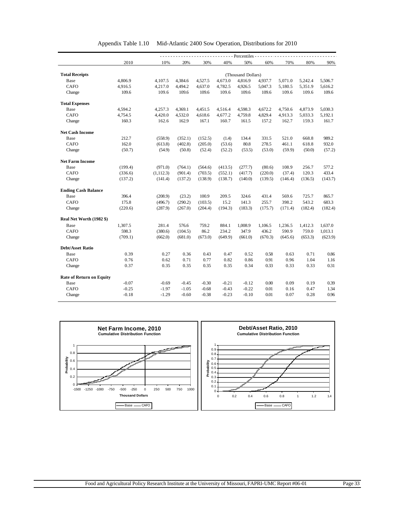|                                 | Percentiles - |            |         |         |         |                    |         |         |         |         |  |  |  |
|---------------------------------|---------------|------------|---------|---------|---------|--------------------|---------|---------|---------|---------|--|--|--|
|                                 | 2010          | 10%        | 20%     | 30%     | 40%     | 50%                | 60%     | 70%     | 80%     | 90%     |  |  |  |
|                                 |               |            |         |         |         |                    |         |         |         |         |  |  |  |
| <b>Total Receipts</b>           |               |            |         |         |         | (Thousand Dollars) |         |         |         |         |  |  |  |
| Base                            | 4,806.9       | 4,107.5    | 4,384.6 | 4,527.5 | 4,673.0 | 4,816.9            | 4,937.7 | 5,071.0 | 5,242.4 | 5,506.7 |  |  |  |
| <b>CAFO</b>                     | 4,916.5       | 4,217.0    | 4,494.2 | 4,637.0 | 4,782.5 | 4,926.5            | 5,047.3 | 5,180.5 | 5,351.9 | 5,616.2 |  |  |  |
| Change                          | 109.6         | 109.6      | 109.6   | 109.6   | 109.6   | 109.6              | 109.6   | 109.6   | 109.6   | 109.6   |  |  |  |
| <b>Total Expenses</b>           |               |            |         |         |         |                    |         |         |         |         |  |  |  |
| Base                            | 4,594.2       | 4,257.3    | 4,369.1 | 4,451.5 | 4,516.4 | 4,598.3            | 4,672.2 | 4,750.6 | 4,873.9 | 5,030.3 |  |  |  |
| CAFO                            | 4,754.5       | 4,420.0    | 4,532.0 | 4,618.6 | 4,677.2 | 4,759.8            | 4,829.4 | 4,913.3 | 5,033.3 | 5,192.1 |  |  |  |
| Change                          | 160.3         | 162.6      | 162.9   | 167.1   | 160.7   | 161.5              | 157.2   | 162.7   | 159.3   | 161.7   |  |  |  |
| <b>Net Cash Income</b>          |               |            |         |         |         |                    |         |         |         |         |  |  |  |
| Base                            | 212.7         | (558.9)    | (352.1) | (152.5) | (1.4)   | 134.4              | 331.5   | 521.0   | 668.8   | 989.2   |  |  |  |
| CAFO                            | 162.0         | (613.8)    | (402.8) | (205.0) | (53.6)  | 80.8               | 278.5   | 461.1   | 618.8   | 932.0   |  |  |  |
| Change                          | (50.7)        | (54.9)     | (50.8)  | (52.4)  | (52.2)  | (53.5)             | (53.0)  | (59.9)  | (50.0)  | (57.2)  |  |  |  |
| <b>Net Farm Income</b>          |               |            |         |         |         |                    |         |         |         |         |  |  |  |
| Base                            | (199.4)       | (971.0)    | (764.1) | (564.6) | (413.5) | (277.7)            | (80.6)  | 108.9   | 256.7   | 577.2   |  |  |  |
| CAFO                            | (336.6)       | (1, 112.3) | (901.4) | (703.5) | (552.1) | (417.7)            | (220.0) | (37.4)  | 120.3   | 433.4   |  |  |  |
| Change                          | (137.2)       | (141.4)    | (137.2) | (138.9) | (138.7) | (140.0)            | (139.5) | (146.4) | (136.5) | (143.7) |  |  |  |
| <b>Ending Cash Balance</b>      |               |            |         |         |         |                    |         |         |         |         |  |  |  |
| Base                            | 396.4         | (208.9)    | (23.2)  | 100.9   | 209.5   | 324.6              | 431.4   | 569.6   | 725.7   | 865.7   |  |  |  |
| CAFO                            | 175.8         | (496.7)    | (290.2) | (103.5) | 15.2    | 141.3              | 255.7   | 398.2   | 543.2   | 683.3   |  |  |  |
| Change                          | (220.6)       | (287.9)    | (267.0) | (204.4) | (194.3) | (183.3)            | (175.7) | (171.4) | (182.4) | (182.4) |  |  |  |
| Real Net Worth (1982 \$)        |               |            |         |         |         |                    |         |         |         |         |  |  |  |
| Base                            | 1,307.5       | 281.4      | 576.6   | 759.2   | 884.1   | 1,008.9            | 1,106.5 | 1,236.5 | 1,412.3 | 1,637.0 |  |  |  |
| CAFO                            | 598.3         | (380.6)    | (104.5) | 86.2    | 234.2   | 347.9              | 436.2   | 590.9   | 759.0   | 1,013.1 |  |  |  |
| Change                          | (709.1)       | (662.0)    | (681.0) | (673.0) | (649.9) | (661.0)            | (670.3) | (645.6) | (653.3) | (623.9) |  |  |  |
| <b>Debt/Asset Ratio</b>         |               |            |         |         |         |                    |         |         |         |         |  |  |  |
| Base                            | 0.39          | 0.27       | 0.36    | 0.43    | 0.47    | 0.52               | 0.58    | 0.63    | 0.71    | 0.86    |  |  |  |
| CAFO                            | 0.76          | 0.62       | 0.71    | 0.77    | 0.82    | 0.86               | 0.91    | 0.96    | 1.04    | 1.16    |  |  |  |
| Change                          | 0.37          | 0.35       | 0.35    | 0.35    | 0.35    | 0.34               | 0.33    | 0.33    | 0.33    | 0.31    |  |  |  |
| <b>Rate of Return on Equity</b> |               |            |         |         |         |                    |         |         |         |         |  |  |  |
| Base                            | $-0.07$       | $-0.69$    | $-0.45$ | $-0.30$ | $-0.21$ | $-0.12$            | 0.00    | 0.09    | 0.19    | 0.39    |  |  |  |
| CAFO                            | $-0.25$       | $-1.97$    | $-1.05$ | $-0.68$ | $-0.43$ | $-0.22$            | 0.01    | 0.16    | 0.47    | 1.34    |  |  |  |
| Change                          | $-0.18$       | $-1.29$    | $-0.60$ | $-0.38$ | $-0.23$ | $-0.10$            | 0.01    | 0.07    | 0.28    | 0.96    |  |  |  |

#### Appendix Table 1.10 Mid-Atlantic 2400 Sow Operation, Distributions for 2010

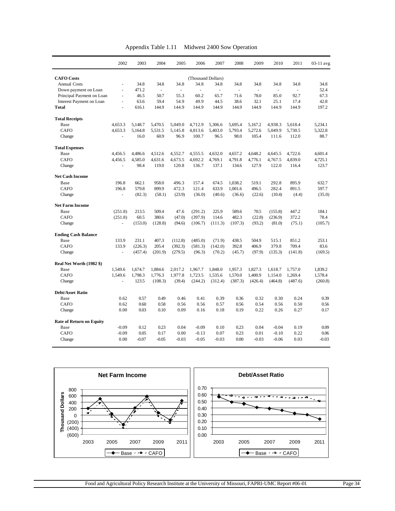| Appendix Table 1.11 | Midwest 2400 Sow Operation |
|---------------------|----------------------------|
|---------------------|----------------------------|

|                                 | 2002                     | 2003    | 2004                     | 2005    | 2006               | 2007     | 2008    | 2009                     | 2010    | 2011    | 03-11 avg |
|---------------------------------|--------------------------|---------|--------------------------|---------|--------------------|----------|---------|--------------------------|---------|---------|-----------|
| <b>CAFO</b> Costs               |                          |         |                          |         | (Thousand Dollars) |          |         |                          |         |         |           |
| <b>Annual Costs</b>             | $\blacksquare$           | 34.8    | 34.8                     | 34.8    | 34.8               | 34.8     | 34.8    | 34.8                     | 34.8    | 34.8    | 34.8      |
| Down payment on Loan            | ä,                       | 471.2   | $\overline{\phantom{a}}$ | ä,      | ÷,                 | $\omega$ | ä,      | $\overline{\phantom{a}}$ | ä,      |         | 52.4      |
| Principal Payment on Loan       | $\overline{\phantom{a}}$ | 46.5    | 50.7                     | 55.3    | 60.2               | 65.7     | 71.6    | 78.0                     | 85.0    | 92.7    | 67.3      |
| Interest Payment on Loan        | ä,                       | 63.6    | 59.4                     | 54.9    | 49.9               | 44.5     | 38.6    | 32.1                     | 25.1    | 17.4    | 42.8      |
| <b>Total</b>                    | ä,                       | 616.1   | 144.9                    | 144.9   | 144.9              | 144.9    | 144.9   | 144.9                    | 144.9   | 144.9   | 197.2     |
| <b>Total Receipts</b>           |                          |         |                          |         |                    |          |         |                          |         |         |           |
| Base                            | 4.653.3                  | 5.148.7 | 5.470.5                  | 5.049.0 | 4.712.9            | 5.306.6  | 5.695.4 | 5,167.2                  | 4,938.3 | 5,618.4 | 5.234.1   |
| CAFO                            | 4,653.3                  | 5.164.8 | 5,531.5                  | 5.145.8 | 4,813.6            | 5,403.0  | 5.793.4 | 5,272.6                  | 5,049.9 | 5,730.5 | 5,322.8   |
| Change                          |                          | 16.0    | 60.9                     | 96.9    | 100.7              | 96.5     | 98.0    | 105.4                    | 111.6   | 112.0   | 88.7      |
| <b>Total Expenses</b>           |                          |         |                          |         |                    |          |         |                          |         |         |           |
| Base                            | 4.456.5                  | 4.486.6 | 4.512.6                  | 4.552.7 | 4,555.5            | 4.632.0  | 4.657.2 | 4.648.2                  | 4.645.5 | 4,722.6 | 4.601.4   |
| <b>CAFO</b>                     | 4,456.5                  | 4,585.0 | 4,631.6                  | 4,673.5 | 4,692.2            | 4,769.1  | 4,791.8 | 4,776.1                  | 4,767.5 | 4,839.0 | 4.725.1   |
| Change                          | ÷.                       | 98.4    | 119.0                    | 120.8   | 136.7              | 137.1    | 134.6   | 127.9                    | 122.0   | 116.4   | 123.7     |
| <b>Net Cash Income</b>          |                          |         |                          |         |                    |          |         |                          |         |         |           |
| Base                            | 196.8                    | 662.1   | 958.0                    | 496.3   | 157.4              | 674.5    | 1,038.2 | 519.1                    | 292.8   | 895.9   | 632.7     |
| CAFO                            | 196.8                    | 579.8   | 899.9                    | 472.3   | 121.4              | 633.9    | 1,001.6 | 496.5                    | 282.4   | 891.5   | 597.7     |
| Change                          |                          | (82.3)  | (58.1)                   | (23.9)  | (36.0)             | (40.6)   | (36.6)  | (22.6)                   | (10.4)  | (4.4)   | (35.0)    |
| <b>Net Farm Income</b>          |                          |         |                          |         |                    |          |         |                          |         |         |           |
| Base                            | (251.8)                  | 213.5   | 509.4                    | 47.6    | (291.2)            | 225.9    | 589.6   | 70.5                     | (155.8) | 447.2   | 184.1     |
| CAFO                            | (251.8)                  | 60.5    | 380.6                    | (47.0)  | (397.9)            | 114.6    | 482.3   | (22.8)                   | (236.9) | 372.2   | 78.4      |
| Change                          | ä,                       | (153.0) | (128.8)                  | (94.6)  | (106.7)            | (111.3)  | (107.3) | (93.2)                   | (81.0)  | (75.1)  | (105.7)   |
| <b>Ending Cash Balance</b>      |                          |         |                          |         |                    |          |         |                          |         |         |           |
| Base                            | 133.9                    | 231.1   | 407.3                    | (112.8) | (485.0)            | (71.9)   | 438.5   | 504.9                    | 515.1   | 851.2   | 253.1     |
| <b>CAFO</b>                     | 133.9                    | (226.3) | 205.4                    | (392.3) | (581.3)            | (142.0)  | 392.8   | 406.9                    | 379.8   | 709.4   | 83.6      |
| Change                          | L.                       | (457.4) | (201.9)                  | (279.5) | (96.3)             | (70.2)   | (45.7)  | (97.9)                   | (135.3) | (141.8) | (169.5)   |
| Real Net Worth (1982 \$)        |                          |         |                          |         |                    |          |         |                          |         |         |           |
| Base                            | 1,549.6                  | 1,674.7 | 1,884.6                  | 2,017.2 | 1,967.7            | 1,848.0  | 1,957.3 | 1,827.3                  | 1,618.7 | 1,757.0 | 1,839.2   |
| CAFO                            | 1,549.6                  | 1,798.3 | 1,776.3                  | 1,977.8 | 1,723.5            | 1,535.6  | 1,570.0 | 1,400.9                  | 1,154.0 | 1,269.4 | 1,578.4   |
| Change                          | ä,                       | 123.5   | (108.3)                  | (39.4)  | (244.2)            | (312.4)  | (387.3) | (426.4)                  | (464.8) | (487.6) | (260.8)   |
| <b>Debt/Asset Ratio</b>         |                          |         |                          |         |                    |          |         |                          |         |         |           |
| Base                            | 0.62                     | 0.57    | 0.49                     | 0.46    | 0.41               | 0.39     | 0.36    | 0.32                     | 0.30    | 0.24    | 0.39      |
| <b>CAFO</b>                     | 0.62                     | 0.60    | 0.58                     | 0.56    | 0.56               | 0.57     | 0.56    | 0.54                     | 0.56    | 0.50    | 0.56      |
| Change                          | 0.00                     | 0.03    | 0.10                     | 0.09    | 0.16               | 0.18     | 0.19    | 0.22                     | 0.26    | 0.27    | 0.17      |
| <b>Rate of Return on Equity</b> |                          |         |                          |         |                    |          |         |                          |         |         |           |
| Base                            | $-0.09$                  | 0.12    | 0.23                     | 0.04    | $-0.09$            | 0.10     | 0.23    | 0.04                     | $-0.04$ | 0.19    | 0.09      |
| <b>CAFO</b>                     | $-0.09$                  | 0.05    | 0.17                     | 0.00    | $-0.13$            | 0.07     | 0.23    | 0.01                     | $-0.10$ | 0.22    | 0.06      |
| Change                          | 0.00                     | $-0.07$ | $-0.05$                  | $-0.03$ | $-0.05$            | $-0.03$  | 0.00    | $-0.03$                  | $-0.06$ | 0.03    | $-0.03$   |

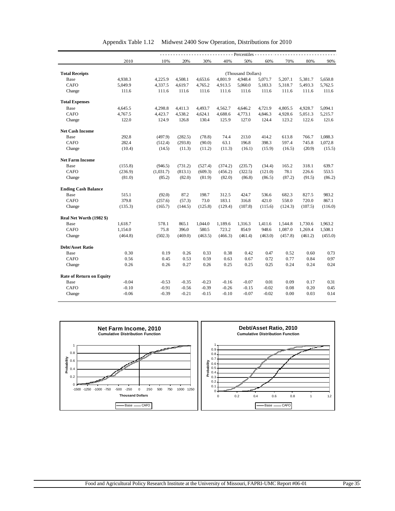|                                 | $---$ Percentiles - |           |         |         |         |                    |         |         |         |         |  |  |
|---------------------------------|---------------------|-----------|---------|---------|---------|--------------------|---------|---------|---------|---------|--|--|
|                                 | 2010                | 10%       | 20%     | 30%     | 40%     | 50%                | 60%     | 70%     | 80%     | 90%     |  |  |
|                                 |                     |           |         |         |         |                    |         |         |         |         |  |  |
| <b>Total Receipts</b>           |                     |           |         |         |         | (Thousand Dollars) |         |         |         |         |  |  |
| Base                            | 4,938.3             | 4,225.9   | 4,508.1 | 4,653.6 | 4,801.9 | 4,948.4            | 5,071.7 | 5,207.1 | 5,381.7 | 5,650.8 |  |  |
| <b>CAFO</b>                     | 5,049.9             | 4,337.5   | 4,619.7 | 4,765.2 | 4,913.5 | 5,060.0            | 5,183.3 | 5,318.7 | 5,493.3 | 5,762.5 |  |  |
| Change                          | 111.6               | 111.6     | 111.6   | 111.6   | 111.6   | 111.6              | 111.6   | 111.6   | 111.6   | 111.6   |  |  |
| <b>Total Expenses</b>           |                     |           |         |         |         |                    |         |         |         |         |  |  |
| Base                            | 4,645.5             | 4,298.8   | 4,411.3 | 4,493.7 | 4,562.7 | 4,646.2            | 4,721.9 | 4,805.5 | 4,928.7 | 5,094.1 |  |  |
| <b>CAFO</b>                     | 4,767.5             | 4,423.7   | 4,538.2 | 4,624.1 | 4,688.6 | 4,773.1            | 4,846.3 | 4,928.6 | 5,051.3 | 5,215.7 |  |  |
| Change                          | 122.0               | 124.9     | 126.8   | 130.4   | 125.9   | 127.0              | 124.4   | 123.2   | 122.6   | 121.6   |  |  |
| <b>Net Cash Income</b>          |                     |           |         |         |         |                    |         |         |         |         |  |  |
| Base                            | 292.8               | (497.9)   | (282.5) | (78.8)  | 74.4    | 213.0              | 414.2   | 613.8   | 766.7   | 1,088.3 |  |  |
| CAFO                            | 282.4               | (512.4)   | (293.8) | (90.0)  | 63.1    | 196.8              | 398.3   | 597.4   | 745.8   | 1,072.8 |  |  |
| Change                          | (10.4)              | (14.5)    | (11.3)  | (11.2)  | (11.3)  | (16.1)             | (15.9)  | (16.5)  | (20.9)  | (15.5)  |  |  |
| <b>Net Farm Income</b>          |                     |           |         |         |         |                    |         |         |         |         |  |  |
| Base                            | (155.8)             | (946.5)   | (731.2) | (527.4) | (374.2) | (235.7)            | (34.4)  | 165.2   | 318.1   | 639.7   |  |  |
| <b>CAFO</b>                     | (236.9)             | (1,031.7) | (813.1) | (609.3) | (456.2) | (322.5)            | (121.0) | 78.1    | 226.6   | 553.5   |  |  |
| Change                          | (81.0)              | (85.2)    | (82.0)  | (81.9)  | (82.0)  | (86.8)             | (86.5)  | (87.2)  | (91.5)  | (86.2)  |  |  |
| <b>Ending Cash Balance</b>      |                     |           |         |         |         |                    |         |         |         |         |  |  |
| Base                            | 515.1               | (92.0)    | 87.2    | 198.7   | 312.5   | 424.7              | 536.6   | 682.3   | 827.5   | 983.2   |  |  |
| <b>CAFO</b>                     | 379.8               | (257.6)   | (57.3)  | 73.0    | 183.1   | 316.8              | 421.0   | 558.0   | 720.0   | 867.1   |  |  |
| Change                          | (135.3)             | (165.7)   | (144.5) | (125.8) | (129.4) | (107.8)            | (115.6) | (124.3) | (107.5) | (116.0) |  |  |
| Real Net Worth (1982 \$)        |                     |           |         |         |         |                    |         |         |         |         |  |  |
| Base                            | 1,618.7             | 578.1     | 865.1   | 1,044.0 | 1,189.6 | 1,316.3            | 1,411.6 | 1,544.8 | 1,730.6 | 1,963.2 |  |  |
| <b>CAFO</b>                     | 1,154.0             | 75.8      | 396.0   | 580.5   | 723.2   | 854.9              | 948.6   | 1,087.0 | 1,269.4 | 1,508.1 |  |  |
| Change                          | (464.8)             | (502.3)   | (469.0) | (463.5) | (466.3) | (461.4)            | (463.0) | (457.8) | (461.2) | (455.0) |  |  |
| <b>Debt/Asset Ratio</b>         |                     |           |         |         |         |                    |         |         |         |         |  |  |
| Base                            | 0.30                | 0.19      | 0.26    | 0.33    | 0.38    | 0.42               | 0.47    | 0.52    | 0.60    | 0.73    |  |  |
| <b>CAFO</b>                     | 0.56                | 0.45      | 0.53    | 0.59    | 0.63    | 0.67               | 0.72    | 0.77    | 0.84    | 0.97    |  |  |
| Change                          | 0.26                | 0.26      | 0.27    | 0.26    | 0.25    | 0.25               | 0.25    | 0.24    | 0.24    | 0.24    |  |  |
| <b>Rate of Return on Equity</b> |                     |           |         |         |         |                    |         |         |         |         |  |  |
| Base                            | $-0.04$             | $-0.53$   | $-0.35$ | $-0.23$ | $-0.16$ | $-0.07$            | 0.01    | 0.09    | 0.17    | 0.31    |  |  |
|                                 |                     | $-0.91$   | $-0.56$ | $-0.39$ | $-0.26$ | $-0.15$            | $-0.02$ | 0.08    | 0.20    | 0.45    |  |  |
| <b>CAFO</b>                     | $-0.10$             |           |         |         |         |                    |         |         |         |         |  |  |

|  |  | Appendix Table 1.12 Midwest 2400 Sow Operation, Distributions for 2010 |  |
|--|--|------------------------------------------------------------------------|--|
|--|--|------------------------------------------------------------------------|--|

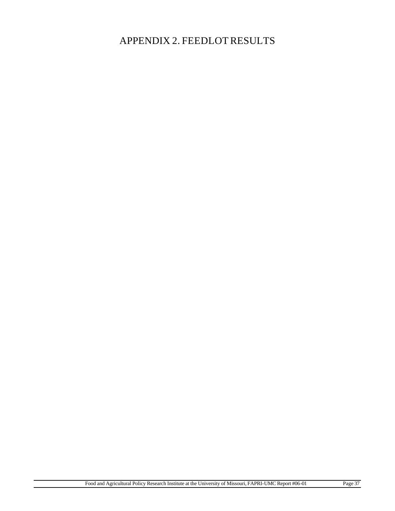APPENDIX 2. FEEDLOT RESULTS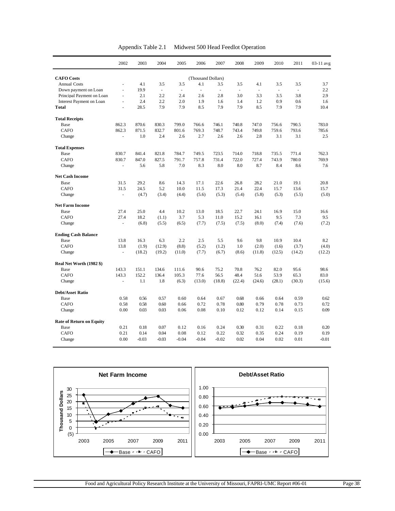| Appendix Table 2.1 | Midwest 500 Head Feedlot Operation |  |
|--------------------|------------------------------------|--|
|--------------------|------------------------------------|--|

|                                 | 2002                     | 2003    | 2004                     | 2005                     | 2006                     | 2007           | 2008   | 2009                     | 2010     | 2011   | 03-11 avg |
|---------------------------------|--------------------------|---------|--------------------------|--------------------------|--------------------------|----------------|--------|--------------------------|----------|--------|-----------|
| <b>CAFO</b> Costs               |                          |         |                          |                          | (Thousand Dollars)       |                |        |                          |          |        |           |
| <b>Annual Costs</b>             | ä,                       | 4.1     | 3.5                      | 3.5                      | 4.1                      | 3.5            | 3.5    | 4.1                      | 3.5      | 3.5    | 3.7       |
| Down payment on Loan            | L.                       | 19.9    | $\overline{\phantom{a}}$ | $\overline{\phantom{a}}$ | $\overline{\phantom{a}}$ | $\overline{a}$ | $\Box$ | $\overline{\phantom{a}}$ | $\omega$ |        | 2.2       |
| Principal Payment on Loan       | ÷,                       | 2.1     | 2.2                      | 2.4                      | 2.6                      | 2.8            | 3.0    | 3.3                      | 3.5      | 3.8    | 2.9       |
| Interest Payment on Loan        | L.                       | 2.4     | 2.2                      | 2.0                      | 1.9                      | 1.6            | 1.4    | 1.2                      | 0.9      | 0.6    | 1.6       |
| <b>Total</b>                    | ÷,                       | 28.5    | 7.9                      | 7.9                      | 8.5                      | 7.9            | 7.9    | 8.5                      | 7.9      | 7.9    | 10.4      |
| <b>Total Receipts</b>           |                          |         |                          |                          |                          |                |        |                          |          |        |           |
| Base                            | 862.3                    | 870.6   | 830.3                    | 799.0                    | 766.6                    | 746.1          | 740.8  | 747.0                    | 756.6    | 790.5  | 783.0     |
| <b>CAFO</b>                     | 862.3                    | 871.5   | 832.7                    | 801.6                    | 769.3                    | 748.7          | 743.4  | 749.8                    | 759.6    | 793.6  | 785.6     |
| Change                          | L.                       | 1.0     | 2.4                      | 2.6                      | 2.7                      | 2.6            | 2.6    | 2.8                      | 3.1      | 3.1    | 2.5       |
| <b>Total Expenses</b>           |                          |         |                          |                          |                          |                |        |                          |          |        |           |
| Base                            | 830.7                    | 841.4   | 821.8                    | 784.7                    | 749.5                    | 723.5          | 714.0  | 718.8                    | 735.5    | 771.4  | 762.3     |
| <b>CAFO</b>                     | 830.7                    | 847.0   | 827.5                    | 791.7                    | 757.8                    | 731.4          | 722.0  | 727.4                    | 743.9    | 780.0  | 769.9     |
| Change                          | ÷,                       | 5.6     | 5.8                      | 7.0                      | 8.3                      | 8.0            | 8.0    | 8.7                      | 8.4      | 8.6    | 7.6       |
| <b>Net Cash Income</b>          |                          |         |                          |                          |                          |                |        |                          |          |        |           |
| Base                            | 31.5                     | 29.2    | 8.6                      | 14.3                     | 17.1                     | 22.6           | 26.8   | 28.2                     | 21.0     | 19.1   | 20.8      |
| CAFO                            | 31.5                     | 24.5    | 5.2                      | 10.0                     | 11.5                     | 17.3           | 21.4   | 22.4                     | 15.7     | 13.6   | 15.7      |
| Change                          | $\overline{a}$           | (4.7)   | (3.4)                    | (4.4)                    | (5.6)                    | (5.3)          | (5.4)  | (5.8)                    | (5.3)    | (5.5)  | (5.0)     |
| <b>Net Farm Income</b>          |                          |         |                          |                          |                          |                |        |                          |          |        |           |
| Base                            | 27.4                     | 25.0    | 4.4                      | 10.2                     | 13.0                     | 18.5           | 22.7   | 24.1                     | 16.9     | 15.0   | 16.6      |
| CAFO                            | 27.4                     | 18.2    | (1.1)                    | 3.7                      | 5.3                      | 11.0           | 15.2   | 16.1                     | 9.5      | 7.3    | 9.5       |
| Change                          | $\overline{\phantom{a}}$ | (6.8)   | (5.5)                    | (6.5)                    | (7.7)                    | (7.5)          | (7.5)  | (8.0)                    | (7.4)    | (7.6)  | (7.2)     |
| <b>Ending Cash Balance</b>      |                          |         |                          |                          |                          |                |        |                          |          |        |           |
| Base                            | 13.8                     | 16.3    | 6.3                      | 2.2                      | 2.5                      | 5.5            | 9.6    | 9.8                      | 10.9     | 10.4   | 8.2       |
| CAFO                            | 13.8                     | (1.9)   | (12.9)                   | (8.8)                    | (5.2)                    | (1.2)          | 1.0    | (2.0)                    | (1.6)    | (3.7)  | (4.0)     |
| Change                          | ÷,                       | (18.2)  | (19.2)                   | (11.0)                   | (7.7)                    | (6.7)          | (8.6)  | (11.8)                   | (12.5)   | (14.2) | (12.2)    |
| Real Net Worth (1982 \$)        |                          |         |                          |                          |                          |                |        |                          |          |        |           |
| Base                            | 143.3                    | 151.1   | 134.6                    | 111.6                    | 90.6                     | 75.2           | 70.8   | 76.2                     | 82.0     | 95.6   | 98.6      |
| <b>CAFO</b>                     | 143.3                    | 152.2   | 136.4                    | 105.3                    | 77.6                     | 56.5           | 48.4   | 51.6                     | 53.9     | 65.3   | 83.0      |
| Change                          | $\frac{1}{2}$            | 1.1     | 1.8                      | (6.3)                    | (13.0)                   | (18.8)         | (22.4) | (24.6)                   | (28.1)   | (30.3) | (15.6)    |
| <b>Debt/Asset Ratio</b>         |                          |         |                          |                          |                          |                |        |                          |          |        |           |
| Base                            | 0.58                     | 0.56    | 0.57                     | 0.60                     | 0.64                     | 0.67           | 0.68   | 0.66                     | 0.64     | 0.59   | 0.62      |
| CAFO                            | 0.58                     | 0.58    | 0.60                     | 0.66                     | 0.72                     | 0.78           | 0.80   | 0.79                     | 0.78     | 0.73   | 0.72      |
| Change                          | 0.00                     | 0.03    | 0.03                     | 0.06                     | 0.08                     | 0.10           | 0.12   | 0.12                     | 0.14     | 0.15   | 0.09      |
| <b>Rate of Return on Equity</b> |                          |         |                          |                          |                          |                |        |                          |          |        |           |
| Base                            | 0.21                     | 0.18    | 0.07                     | 0.12                     | 0.16                     | 0.24           | 0.30   | 0.31                     | 0.22     | 0.18   | 0.20      |
| <b>CAFO</b>                     | 0.21                     | 0.14    | 0.04                     | 0.08                     | 0.12                     | 0.22           | 0.32   | 0.35                     | 0.24     | 0.19   | 0.19      |
| Change                          | 0.00                     | $-0.03$ | $-0.03$                  | $-0.04$                  | $-0.04$                  | $-0.02$        | 0.02   | 0.04                     | 0.02     | 0.01   | $-0.01$   |

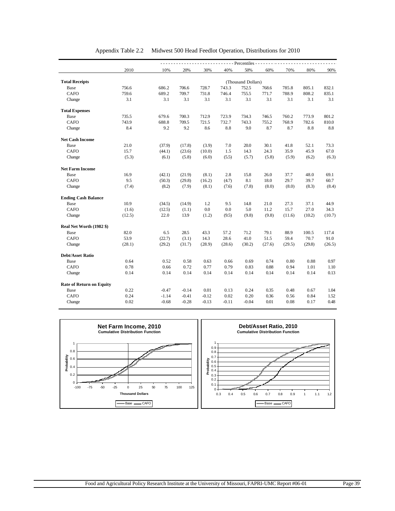|                                 | - Percentiles - |         |         |         |         |                    |        |        |        |        |  |  |  |
|---------------------------------|-----------------|---------|---------|---------|---------|--------------------|--------|--------|--------|--------|--|--|--|
|                                 | 2010            | 10%     | 20%     | 30%     | 40%     | 50%                | 60%    | 70%    | 80%    | 90%    |  |  |  |
| <b>Total Receipts</b>           |                 |         |         |         |         | (Thousand Dollars) |        |        |        |        |  |  |  |
| Base                            | 756.6           | 686.2   | 706.6   | 728.7   | 743.3   | 752.5              | 768.6  | 785.8  | 805.1  | 832.1  |  |  |  |
| CAFO                            | 759.6           | 689.2   | 709.7   | 731.8   | 746.4   | 755.5              | 771.7  | 788.9  | 808.2  | 835.1  |  |  |  |
| Change                          | 3.1             | 3.1     | 3.1     | 3.1     | 3.1     | 3.1                | 3.1    | 3.1    | 3.1    | 3.1    |  |  |  |
| <b>Total Expenses</b>           |                 |         |         |         |         |                    |        |        |        |        |  |  |  |
| Base                            | 735.5           | 679.6   | 700.3   | 712.9   | 723.9   | 734.3              | 746.5  | 760.2  | 773.9  | 801.2  |  |  |  |
| <b>CAFO</b>                     | 743.9           | 688.8   | 709.5   | 721.5   | 732.7   | 743.3              | 755.2  | 768.9  | 782.6  | 810.0  |  |  |  |
| Change                          | 8.4             | 9.2     | 9.2     | 8.6     | 8.8     | 9.0                | 8.7    | 8.7    | 8.8    | 8.8    |  |  |  |
| <b>Net Cash Income</b>          |                 |         |         |         |         |                    |        |        |        |        |  |  |  |
| Base                            | 21.0            | (37.9)  | (17.8)  | (3.9)   | 7.0     | 20.0               | 30.1   | 41.8   | 52.1   | 73.3   |  |  |  |
| <b>CAFO</b>                     | 15.7            | (44.1)  | (23.6)  | (10.0)  | 1.5     | 14.3               | 24.3   | 35.9   | 45.9   | 67.0   |  |  |  |
| Change                          | (5.3)           | (6.1)   | (5.8)   | (6.0)   | (5.5)   | (5.7)              | (5.8)  | (5.9)  | (6.2)  | (6.3)  |  |  |  |
| <b>Net Farm Income</b>          |                 |         |         |         |         |                    |        |        |        |        |  |  |  |
| Base                            | 16.9            | (42.1)  | (21.9)  | (8.1)   | 2.8     | 15.8               | 26.0   | 37.7   | 48.0   | 69.1   |  |  |  |
| <b>CAFO</b>                     | 9.5             | (50.3)  | (29.8)  | (16.2)  | (4.7)   | 8.1                | 18.0   | 29.7   | 39.7   | 60.7   |  |  |  |
| Change                          | (7.4)           | (8.2)   | (7.9)   | (8.1)   | (7.6)   | (7.8)              | (8.0)  | (8.0)  | (8.3)  | (8.4)  |  |  |  |
| <b>Ending Cash Balance</b>      |                 |         |         |         |         |                    |        |        |        |        |  |  |  |
| Base                            | 10.9            | (34.5)  | (14.9)  | 1.2     | 9.5     | 14.8               | 21.0   | 27.3   | 37.1   | 44.9   |  |  |  |
| CAFO                            | (1.6)           | (12.5)  | (1.1)   | 0.0     | 0.0     | 5.0                | 11.2   | 15.7   | 27.0   | 34.3   |  |  |  |
| Change                          | (12.5)          | 22.0    | 13.9    | (1.2)   | (9.5)   | (9.8)              | (9.8)  | (11.6) | (10.2) | (10.7) |  |  |  |
| Real Net Worth (1982 \$)        |                 |         |         |         |         |                    |        |        |        |        |  |  |  |
| Base                            | 82.0            | 6.5     | 28.5    | 43.3    | 57.2    | 71.2               | 79.1   | 88.9   | 100.5  | 117.4  |  |  |  |
| CAFO                            | 53.9            | (22.7)  | (3.1)   | 14.3    | 28.6    | 41.0               | 51.5   | 59.4   | 70.7   | 91.0   |  |  |  |
| Change                          | (28.1)          | (29.2)  | (31.7)  | (28.9)  | (28.6)  | (30.2)             | (27.6) | (29.5) | (29.8) | (26.5) |  |  |  |
| <b>Debt/Asset Ratio</b>         |                 |         |         |         |         |                    |        |        |        |        |  |  |  |
| Base                            | 0.64            | 0.52    | 0.58    | 0.63    | 0.66    | 0.69               | 0.74   | 0.80   | 0.88   | 0.97   |  |  |  |
| CAFO                            | 0.78            | 0.66    | 0.72    | 0.77    | 0.79    | 0.83               | 0.88   | 0.94   | 1.01   | 1.10   |  |  |  |
| Change                          | 0.14            | 0.14    | 0.14    | 0.14    | 0.14    | 0.14               | 0.14   | 0.14   | 0.14   | 0.13   |  |  |  |
| <b>Rate of Return on Equity</b> |                 |         |         |         |         |                    |        |        |        |        |  |  |  |
| Base                            | 0.22            | $-0.47$ | $-0.14$ | 0.01    | 0.13    | 0.24               | 0.35   | 0.48   | 0.67   | 1.04   |  |  |  |
| CAFO                            | 0.24            | $-1.14$ | $-0.41$ | $-0.12$ | 0.02    | 0.20               | 0.36   | 0.56   | 0.84   | 1.52   |  |  |  |
| Change                          | 0.02            | $-0.68$ | $-0.28$ | $-0.13$ | $-0.11$ | $-0.04$            | 0.01   | 0.08   | 0.17   | 0.48   |  |  |  |

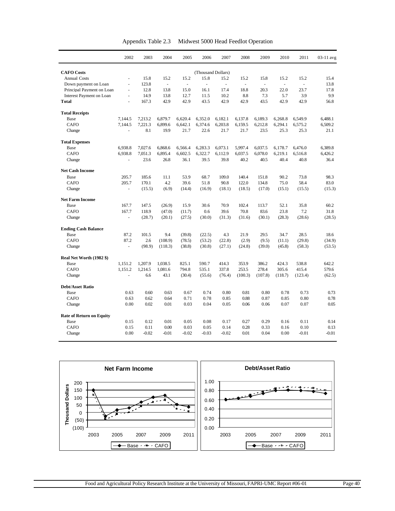| Appendix Table 2.3 | Midwest 5000 Head Feedlot Operation |
|--------------------|-------------------------------------|
|--------------------|-------------------------------------|

|                                 | 2002                     | 2003    | 2004    | 2005    | 2006               | 2007    | 2008    | 2009    | 2010    | 2011    | 03-11 avg |
|---------------------------------|--------------------------|---------|---------|---------|--------------------|---------|---------|---------|---------|---------|-----------|
| <b>CAFO</b> Costs               |                          |         |         |         | (Thousand Dollars) |         |         |         |         |         |           |
| <b>Annual Costs</b>             | L,                       | 15.8    | 15.2    | 15.2    | 15.8               | 15.2    | 15.2    | 15.8    | 15.2    | 15.2    | 15.4      |
| Down payment on Loan            | ä,                       | 123.8   | ÷,      | ÷,      | ä,                 | $\sim$  | ä,      | ä,      | ä,      |         | 13.8      |
| Principal Payment on Loan       | $\overline{\phantom{a}}$ | 12.8    | 13.8    | 15.0    | 16.1               | 17.4    | 18.8    | 20.3    | 22.0    | 23.7    | 17.8      |
| <b>Interest Payment on Loan</b> | L.                       | 14.9    | 13.8    | 12.7    | 11.5               | 10.2    | 8.8     | 7.3     | 5.7     | 3.9     | 9.9       |
| <b>Total</b>                    | ÷,                       | 167.3   | 42.9    | 42.9    | 43.5               | 42.9    | 42.9    | 43.5    | 42.9    | 42.9    | 56.8      |
| <b>Total Receipts</b>           |                          |         |         |         |                    |         |         |         |         |         |           |
| Base                            | 7,144.5                  | 7,213.2 | 6,879.7 | 6,620.4 | 6,352.0            | 6,182.1 | 6,137.8 | 6,189.3 | 6,268.8 | 6,549.9 | 6,488.1   |
| <b>CAFO</b>                     | 7.144.5                  | 7,221.3 | 6.899.6 | 6.642.1 | 6.374.6            | 6,203.8 | 6,159.5 | 6.212.8 | 6,294.1 | 6,575.2 | 6.509.2   |
| Change                          |                          | 8.1     | 19.9    | 21.7    | 22.6               | 21.7    | 21.7    | 23.5    | 25.3    | 25.3    | 21.1      |
| <b>Total Expenses</b>           |                          |         |         |         |                    |         |         |         |         |         |           |
| Base                            | 6,938.8                  | 7,027.6 | 6,868.6 | 6,566.4 | 6,283.3            | 6,073.1 | 5,997.4 | 6,037.5 | 6,178.7 | 6,476.0 | 6,389.8   |
| <b>CAFO</b>                     | 6,938.8                  | 7,051.3 | 6,895.4 | 6,602.5 | 6,322.7            | 6,112.9 | 6,037.5 | 6,078.0 | 6,219.1 | 6,516.8 | 6,426.2   |
| Change                          | L,                       | 23.6    | 26.8    | 36.1    | 39.5               | 39.8    | 40.2    | 40.5    | 40.4    | 40.8    | 36.4      |
| <b>Net Cash Income</b>          |                          |         |         |         |                    |         |         |         |         |         |           |
| Base                            | 205.7                    | 185.6   | 11.1    | 53.9    | 68.7               | 109.0   | 140.4   | 151.8   | 90.2    | 73.8    | 98.3      |
| <b>CAFO</b>                     | 205.7                    | 170.1   | 4.2     | 39.6    | 51.8               | 90.8    | 122.0   | 134.8   | 75.0    | 58.4    | 83.0      |
| Change                          |                          | (15.5)  | (6.9)   | (14.4)  | (16.9)             | (18.1)  | (18.5)  | (17.0)  | (15.1)  | (15.5)  | (15.3)    |
| <b>Net Farm Income</b>          |                          |         |         |         |                    |         |         |         |         |         |           |
| Base                            | 167.7                    | 147.5   | (26.9)  | 15.9    | 30.6               | 70.9    | 102.4   | 113.7   | 52.1    | 35.8    | 60.2      |
| <b>CAFO</b>                     | 167.7                    | 118.9   | (47.0)  | (11.7)  | 0.6                | 39.6    | 70.8    | 83.6    | 23.8    | 7.2     | 31.8      |
| Change                          | $\overline{\phantom{a}}$ | (28.7)  | (20.1)  | (27.5)  | (30.0)             | (31.3)  | (31.6)  | (30.1)  | (28.3)  | (28.6)  | (28.5)    |
| <b>Ending Cash Balance</b>      |                          |         |         |         |                    |         |         |         |         |         |           |
| Base                            | 87.2                     | 101.5   | 9.4     | (39.8)  | (22.5)             | 4.3     | 21.9    | 29.5    | 34.7    | 28.5    | 18.6      |
| <b>CAFO</b>                     | 87.2                     | 2.6     | (108.9) | (78.5)  | (53.2)             | (22.8)  | (2.9)   | (9.5)   | (11.1)  | (29.8)  | (34.9)    |
| Change                          | ÷.                       | (98.9)  | (118.3) | (38.8)  | (30.8)             | (27.1)  | (24.8)  | (39.0)  | (45.8)  | (58.3)  | (53.5)    |
| Real Net Worth (1982 \$)        |                          |         |         |         |                    |         |         |         |         |         |           |
| Base                            | 1,151.2                  | 1,207.9 | 1,038.5 | 825.1   | 590.7              | 414.3   | 353.9   | 386.2   | 424.3   | 538.8   | 642.2     |
| <b>CAFO</b>                     | 1.151.2                  | 1,214.5 | 1.081.6 | 794.8   | 535.1              | 337.8   | 253.5   | 278.4   | 305.6   | 415.4   | 579.6     |
| Change                          | L.                       | 6.6     | 43.1    | (30.4)  | (55.6)             | (76.4)  | (100.3) | (107.8) | (118.7) | (123.4) | (62.5)    |
| <b>Debt/Asset Ratio</b>         |                          |         |         |         |                    |         |         |         |         |         |           |
| Base                            | 0.63                     | 0.60    | 0.63    | 0.67    | 0.74               | 0.80    | 0.81    | 0.80    | 0.78    | 0.73    | 0.73      |
| <b>CAFO</b>                     | 0.63                     | 0.62    | 0.64    | 0.71    | 0.78               | 0.85    | 0.88    | 0.87    | 0.85    | 0.80    | 0.78      |
| Change                          | 0.00                     | 0.02    | 0.01    | 0.03    | 0.04               | 0.05    | 0.06    | 0.06    | 0.07    | 0.07    | 0.05      |
| <b>Rate of Return on Equity</b> |                          |         |         |         |                    |         |         |         |         |         |           |
| Base                            | 0.15                     | 0.12    | 0.01    | 0.05    | 0.08               | 0.17    | 0.27    | 0.29    | 0.16    | 0.11    | 0.14      |
| <b>CAFO</b>                     | 0.15                     | 0.11    | 0.00    | 0.03    | 0.05               | 0.14    | 0.28    | 0.33    | 0.16    | 0.10    | 0.13      |
| Change                          | 0.00                     | $-0.02$ | $-0.01$ | $-0.02$ | $-0.03$            | $-0.02$ | 0.01    | 0.04    | 0.00    | $-0.01$ | $-0.01$   |

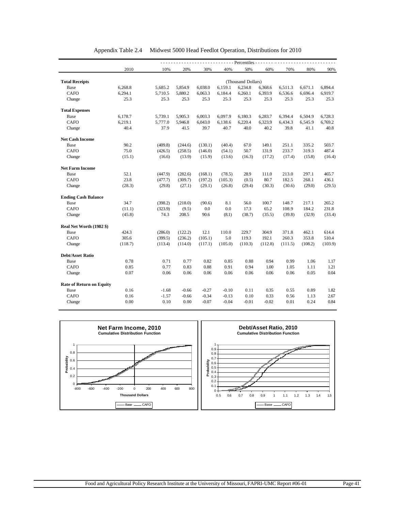|                                 |         |         |         |         |         | - Percentiles - - - |         |         |         |         |
|---------------------------------|---------|---------|---------|---------|---------|---------------------|---------|---------|---------|---------|
|                                 | 2010    | 10%     | 20%     | 30%     | 40%     | 50%                 | 60%     | 70%     | 80%     | 90%     |
|                                 |         |         |         |         |         |                     |         |         |         |         |
| <b>Total Receipts</b>           |         |         |         |         |         | (Thousand Dollars)  |         |         |         |         |
| Base                            | 6,268.8 | 5,685.2 | 5,854.9 | 6,038.0 | 6,159.1 | 6,234.8             | 6,368.6 | 6,511.3 | 6,671.1 | 6,894.4 |
| <b>CAFO</b>                     | 6,294.1 | 5,710.5 | 5,880.2 | 6,063.3 | 6,184.4 | 6,260.1             | 6,393.9 | 6,536.6 | 6,696.4 | 6,919.7 |
| Change                          | 25.3    | 25.3    | 25.3    | 25.3    | 25.3    | 25.3                | 25.3    | 25.3    | 25.3    | 25.3    |
| <b>Total Expenses</b>           |         |         |         |         |         |                     |         |         |         |         |
| Base                            | 6,178.7 | 5,739.1 | 5,905.3 | 6,003.3 | 6,097.9 | 6,180.3             | 6,283.7 | 6,394.4 | 6,504.9 | 6,728.3 |
| CAFO                            | 6,219.1 | 5,777.0 | 5,946.8 | 6,043.0 | 6,138.6 | 6,220.4             | 6,323.9 | 6,434.3 | 6,545.9 | 6,769.2 |
| Change                          | 40.4    | 37.9    | 41.5    | 39.7    | 40.7    | 40.0                | 40.2    | 39.8    | 41.1    | 40.8    |
| <b>Net Cash Income</b>          |         |         |         |         |         |                     |         |         |         |         |
| Base                            | 90.2    | (409.8) | (244.6) | (130.1) | (40.4)  | 67.0                | 149.1   | 251.1   | 335.2   | 503.7   |
| <b>CAFO</b>                     | 75.0    | (426.5) | (258.5) | (146.0) | (54.1)  | 50.7                | 131.9   | 233.7   | 319.3   | 487.4   |
| Change                          | (15.1)  | (16.6)  | (13.9)  | (15.9)  | (13.6)  | (16.3)              | (17.2)  | (17.4)  | (15.8)  | (16.4)  |
| <b>Net Farm Income</b>          |         |         |         |         |         |                     |         |         |         |         |
| Base                            | 52.1    | (447.9) | (282.6) | (168.1) | (78.5)  | 28.9                | 111.0   | 213.0   | 297.1   | 465.7   |
| <b>CAFO</b>                     | 23.8    | (477.7) | (309.7) | (197.2) | (105.3) | (0.5)               | 80.7    | 182.5   | 268.1   | 436.1   |
| Change                          | (28.3)  | (29.8)  | (27.1)  | (29.1)  | (26.8)  | (29.4)              | (30.3)  | (30.6)  | (29.0)  | (29.5)  |
| <b>Ending Cash Balance</b>      |         |         |         |         |         |                     |         |         |         |         |
| Base                            | 34.7    | (398.2) | (218.0) | (90.6)  | 8.1     | 56.0                | 100.7   | 148.7   | 217.1   | 265.2   |
| CAFO                            | (11.1)  | (323.9) | (9.5)   | 0.0     | 0.0     | 17.3                | 65.2    | 108.9   | 184.2   | 231.8   |
| Change                          | (45.8)  | 74.3    | 208.5   | 90.6    | (8.1)   | (38.7)              | (35.5)  | (39.8)  | (32.9)  | (33.4)  |
| Real Net Worth (1982 \$)        |         |         |         |         |         |                     |         |         |         |         |
| Base                            | 424.3   | (286.0) | (122.2) | 12.1    | 110.0   | 229.7               | 304.9   | 371.8   | 462.1   | 614.4   |
| <b>CAFO</b>                     | 305.6   | (399.5) | (236.2) | (105.1) | 5.0     | 119.3               | 192.1   | 260.3   | 353.8   | 510.4   |
| Change                          | (118.7) | (113.4) | (114.0) | (117.1) | (105.0) | (110.3)             | (112.8) | (111.5) | (108.2) | (103.9) |
| <b>Debt/Asset Ratio</b>         |         |         |         |         |         |                     |         |         |         |         |
| Base                            | 0.78    | 0.71    | 0.77    | 0.82    | 0.85    | 0.88                | 0.94    | 0.99    | 1.06    | 1.17    |
| <b>CAFO</b>                     | 0.85    | 0.77    | 0.83    | 0.88    | 0.91    | 0.94                | 1.00    | 1.05    | 1.11    | 1.21    |
| Change                          | 0.07    | 0.06    | 0.06    | 0.06    | 0.06    | 0.06                | 0.06    | 0.06    | 0.05    | 0.04    |
| <b>Rate of Return on Equity</b> |         |         |         |         |         |                     |         |         |         |         |
| Base                            | 0.16    | $-1.68$ | $-0.66$ | $-0.27$ | $-0.10$ | 0.11                | 0.35    | 0.55    | 0.89    | 1.82    |
| <b>CAFO</b>                     | 0.16    | $-1.57$ | $-0.66$ | $-0.34$ | $-0.13$ | 0.10                | 0.33    | 0.56    | 1.13    | 2.67    |
| Change                          | 0.00    | 0.10    | 0.00    | $-0.07$ | $-0.04$ | $-0.01$             | $-0.02$ | 0.01    | 0.24    | 0.84    |

| Appendix Table 2.4 Midwest 5000 Head Feedlot Operation, Distributions for 2010 |  |  |
|--------------------------------------------------------------------------------|--|--|
|                                                                                |  |  |

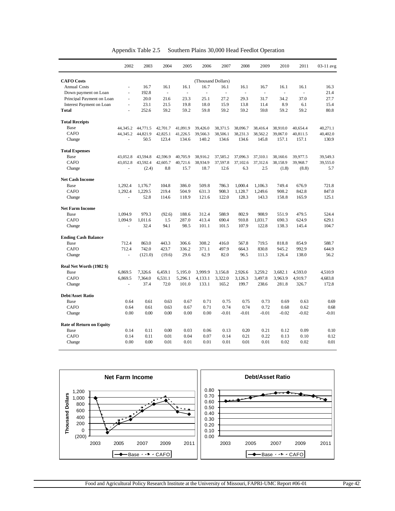|                                 | 2002                     | 2003     | 2004                     | 2005     | 2006                     | 2007     | 2008     | 2009                     | 2010     | 2011     | 03-11 avg |
|---------------------------------|--------------------------|----------|--------------------------|----------|--------------------------|----------|----------|--------------------------|----------|----------|-----------|
| <b>CAFO</b> Costs               |                          |          |                          |          | (Thousand Dollars)       |          |          |                          |          |          |           |
| <b>Annual Costs</b>             | $\blacksquare$           | 16.7     | 16.1                     | 16.1     | 16.7                     | 16.1     | 16.1     | 16.7                     | 16.1     | 16.1     | 16.3      |
| Down payment on Loan            | L.                       | 192.8    | $\overline{\phantom{a}}$ |          | $\overline{\phantom{a}}$ | $\omega$ |          | $\overline{\phantom{a}}$ |          |          | 21.4      |
| Principal Payment on Loan       | $\overline{\phantom{a}}$ | 20.0     | 21.6                     | 23.3     | 25.1                     | 27.2     | 29.3     | 31.7                     | 34.2     | 37.0     | 27.7      |
| Interest Payment on Loan        | L.                       | 23.1     | 21.5                     | 19.8     | 18.0                     | 15.9     | 13.8     | 11.4                     | 8.9      | 6.1      | 15.4      |
| <b>Total</b>                    | ÷,                       | 252.6    | 59.2                     | 59.2     | 59.8                     | 59.2     | 59.2     | 59.8                     | 59.2     | 59.2     | 80.8      |
| <b>Total Receipts</b>           |                          |          |                          |          |                          |          |          |                          |          |          |           |
| Base                            | 44,345.2                 | 44,771.5 | 42,701.7                 | 41,091.9 | 39,426.0                 | 38,371.5 | 38,096.7 | 38,416.4                 | 38,910.0 | 40,654.4 | 40,271.1  |
| <b>CAFO</b>                     | 44,345.2                 | 44,821.9 | 42,825.1                 | 41,226.5 | 39,566.3                 | 38,506.1 | 38,231.3 | 38,562.2                 | 39,067.0 | 40,811.5 | 40,402.0  |
| Change                          |                          | 50.5     | 123.4                    | 134.6    | 140.2                    | 134.6    | 134.6    | 145.8                    | 157.1    | 157.1    | 130.9     |
| <b>Total Expenses</b>           |                          |          |                          |          |                          |          |          |                          |          |          |           |
| Base                            | 43.052.8                 | 43,594.8 | 42,596.9                 | 40,705.9 | 38,916.2                 | 37,585.2 | 37,096.3 | 37,310.1                 | 38,160.6 | 39,977.5 | 39,549.3  |
| CAFO                            | 43,052.8                 | 43,592.4 | 42,605.7                 | 40,721.6 | 38,934.9                 | 37,597.8 | 37,102.6 | 37,312.6                 | 38,158.9 | 39,968.7 | 39,555.0  |
| Change                          | ä,                       | (2.4)    | 8.8                      | 15.7     | 18.7                     | 12.6     | 6.3      | 2.5                      | (1.8)    | (8.8)    | 5.7       |
| <b>Net Cash Income</b>          |                          |          |                          |          |                          |          |          |                          |          |          |           |
| Base                            | 1.292.4                  | 1.176.7  | 104.8                    | 386.0    | 509.8                    | 786.3    | 1.000.4  | 1.106.3                  | 749.4    | 676.9    | 721.8     |
| CAFO                            | 1,292.4                  | 1,229.5  | 219.4                    | 504.9    | 631.3                    | 908.3    | 1,128.7  | 1,249.6                  | 908.2    | 842.8    | 847.0     |
| Change                          |                          | 52.8     | 114.6                    | 118.9    | 121.6                    | 122.0    | 128.3    | 143.3                    | 158.8    | 165.9    | 125.1     |
| <b>Net Farm Income</b>          |                          |          |                          |          |                          |          |          |                          |          |          |           |
| Base                            | 1,094.9                  | 979.3    | (92.6)                   | 188.6    | 312.4                    | 588.9    | 802.9    | 908.9                    | 551.9    | 479.5    | 524.4     |
| <b>CAFO</b>                     | 1,094.9                  | 1,011.6  | 1.5                      | 287.0    | 413.4                    | 690.4    | 910.8    | 1,031.7                  | 690.3    | 624.9    | 629.1     |
| Change                          | L.                       | 32.4     | 94.1                     | 98.5     | 101.1                    | 101.5    | 107.9    | 122.8                    | 138.3    | 145.4    | 104.7     |
| <b>Ending Cash Balance</b>      |                          |          |                          |          |                          |          |          |                          |          |          |           |
| Base                            | 712.4                    | 863.0    | 443.3                    | 306.6    | 308.2                    | 416.0    | 567.8    | 719.5                    | 818.8    | 854.9    | 588.7     |
| CAFO                            | 712.4                    | 742.0    | 423.7                    | 336.2    | 371.1                    | 497.9    | 664.3    | 830.8                    | 945.2    | 992.9    | 644.9     |
| Change                          |                          | (121.0)  | (19.6)                   | 29.6     | 62.9                     | 82.0     | 96.5     | 111.3                    | 126.4    | 138.0    | 56.2      |
| Real Net Worth (1982 \$)        |                          |          |                          |          |                          |          |          |                          |          |          |           |
| Base                            | 6,869.5                  | 7,326.6  | 6,459.1                  | 5,195.0  | 3.999.9                  | 3,156.8  | 2,926.6  | 3.259.2                  | 3,682.1  | 4,593.0  | 4,510.9   |
| CAFO                            | 6,869.5                  | 7,364.0  | 6,531.1                  | 5,296.1  | 4,133.1                  | 3,322.0  | 3,126.3  | 3,497.8                  | 3,963.9  | 4,919.7  | 4,683.8   |
| Change                          | ÷.                       | 37.4     | 72.0                     | 101.0    | 133.1                    | 165.2    | 199.7    | 238.6                    | 281.8    | 326.7    | 172.8     |
| <b>Debt/Asset Ratio</b>         |                          |          |                          |          |                          |          |          |                          |          |          |           |
| Base                            | 0.64                     | 0.61     | 0.63                     | 0.67     | 0.71                     | 0.75     | 0.75     | 0.73                     | 0.69     | 0.63     | 0.69      |
| <b>CAFO</b>                     | 0.64                     | 0.61     | 0.63                     | 0.67     | 0.71                     | 0.74     | 0.74     | 0.72                     | 0.68     | 0.62     | 0.68      |
| Change                          | 0.00                     | 0.00     | 0.00                     | 0.00     | 0.00                     | $-0.01$  | $-0.01$  | $-0.01$                  | $-0.02$  | $-0.02$  | $-0.01$   |
| <b>Rate of Return on Equity</b> |                          |          |                          |          |                          |          |          |                          |          |          |           |
| Base                            | 0.14                     | 0.11     | 0.00                     | 0.03     | 0.06                     | 0.13     | 0.20     | 0.21                     | 0.12     | 0.09     | 0.10      |
| CAFO                            | 0.14                     | 0.11     | 0.01                     | 0.04     | 0.07                     | 0.14     | 0.21     | 0.22                     | 0.13     | 0.10     | 0.12      |
| Change                          | 0.00                     | 0.00     | 0.01                     | 0.01     | 0.01                     | 0.01     | 0.01     | 0.01                     | 0.02     | 0.02     | 0.01      |

| Appendix Table 2.5 | Southern Plains 30,000 Head Feedlot Operation |  |  |
|--------------------|-----------------------------------------------|--|--|
|                    |                                               |  |  |

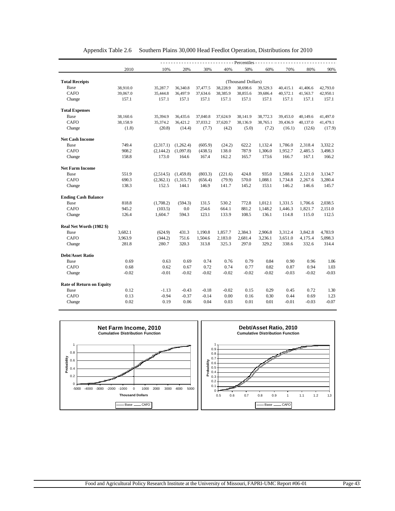|                                 |          |           |           |          |          | - Percentiles -    |          |          |          |          |
|---------------------------------|----------|-----------|-----------|----------|----------|--------------------|----------|----------|----------|----------|
|                                 | 2010     | 10%       | 20%       | 30%      | 40%      | 50%                | 60%      | 70%      | 80%      | 90%      |
| <b>Total Receipts</b>           |          |           |           |          |          | (Thousand Dollars) |          |          |          |          |
| Base                            | 38,910.0 | 35,287.7  | 36,340.8  | 37,477.5 | 38,228.9 | 38,698.6           | 39,529.3 | 40,415.1 | 41,406.6 | 42,793.0 |
| CAFO                            | 39,067.0 | 35,444.8  | 36,497.9  | 37,634.6 | 38,385.9 | 38,855.6           | 39,686.4 | 40,572.1 | 41,563.7 | 42,950.1 |
| Change                          | 157.1    | 157.1     | 157.1     | 157.1    | 157.1    | 157.1              | 157.1    | 157.1    | 157.1    | 157.1    |
|                                 |          |           |           |          |          |                    |          |          |          |          |
| <b>Total Expenses</b>           |          |           |           |          |          |                    |          |          |          |          |
| Base                            | 38,160.6 | 35,394.9  | 36,435.6  | 37,040.8 | 37,624.9 | 38,141.9           | 38,772.3 | 39,453.0 | 40,149.6 | 41,497.0 |
| <b>CAFO</b>                     | 38,158.9 | 35,374.2  | 36,421.2  | 37,033.2 | 37,620.7 | 38,136.9           | 38,765.1 | 39,436.9 | 40,137.0 | 41,479.1 |
| Change                          | (1.8)    | (20.8)    | (14.4)    | (7.7)    | (4.2)    | (5.0)              | (7.2)    | (16.1)   | (12.6)   | (17.9)   |
| <b>Net Cash Income</b>          |          |           |           |          |          |                    |          |          |          |          |
| Base                            | 749.4    | (2,317.1) | (1,262.4) | (605.9)  | (24.2)   | 622.2              | 1,132.4  | 1,786.0  | 2,318.4  | 3,332.2  |
| <b>CAFO</b>                     | 908.2    | (2,144.2) | (1,097.8) | (438.5)  | 138.0    | 787.9              | 1,306.0  | 1,952.7  | 2,485.5  | 3,498.3  |
| Change                          | 158.8    | 173.0     | 164.6     | 167.4    | 162.2    | 165.7              | 173.6    | 166.7    | 167.1    | 166.2    |
| <b>Net Farm Income</b>          |          |           |           |          |          |                    |          |          |          |          |
| Base                            | 551.9    | (2,514.5) | (1,459.8) | (803.3)  | (221.6)  | 424.8              | 935.0    | 1,588.6  | 2,121.0  | 3,134.7  |
| CAFO                            | 690.3    | (2,362.1) | (1,315.7) | (656.4)  | (79.9)   | 570.0              | 1,088.1  | 1,734.8  | 2,267.6  | 3,280.4  |
| Change                          | 138.3    | 152.5     | 144.1     | 146.9    | 141.7    | 145.2              | 153.1    | 146.2    | 146.6    | 145.7    |
|                                 |          |           |           |          |          |                    |          |          |          |          |
| <b>Ending Cash Balance</b>      |          |           |           |          |          |                    |          |          |          |          |
| Base                            | 818.8    | (1,708.2) | (594.3)   | 131.5    | 530.2    | 772.8              | 1.012.1  | 1,331.5  | 1,706.6  | 2,038.5  |
| <b>CAFO</b>                     | 945.2    | (103.5)   | 0.0       | 254.6    | 664.1    | 881.2              | 1,148.2  | 1.446.3  | 1,821.7  | 2,151.0  |
| Change                          | 126.4    | 1,604.7   | 594.3     | 123.1    | 133.9    | 108.5              | 136.1    | 114.8    | 115.0    | 112.5    |
| Real Net Worth (1982 \$)        |          |           |           |          |          |                    |          |          |          |          |
| Base                            | 3,682.1  | (624.9)   | 431.3     | 1,190.8  | 1,857.7  | 2,384.3            | 2,906.8  | 3,312.4  | 3,842.8  | 4,783.9  |
| CAFO                            | 3,963.9  | (344.2)   | 751.6     | 1,504.6  | 2,183.0  | 2,681.4            | 3,236.1  | 3,651.0  | 4,175.4  | 5,098.3  |
| Change                          | 281.8    | 280.7     | 320.3     | 313.8    | 325.3    | 297.0              | 329.2    | 338.6    | 332.6    | 314.4    |
| <b>Debt/Asset Ratio</b>         |          |           |           |          |          |                    |          |          |          |          |
| Base                            | 0.69     | 0.63      | 0.69      | 0.74     | 0.76     | 0.79               | 0.84     | 0.90     | 0.96     | 1.06     |
| <b>CAFO</b>                     | 0.68     | 0.62      | 0.67      | 0.72     | 0.74     | 0.77               | 0.82     | 0.87     | 0.94     | 1.03     |
| Change                          | $-0.02$  | $-0.01$   | $-0.02$   | $-0.02$  | $-0.02$  | $-0.02$            | $-0.02$  | $-0.03$  | $-0.02$  | $-0.03$  |
|                                 |          |           |           |          |          |                    |          |          |          |          |
| <b>Rate of Return on Equity</b> |          |           |           |          |          |                    |          |          |          |          |
| Base                            | 0.12     | $-1.13$   | $-0.43$   | $-0.18$  | $-0.02$  | 0.15               | 0.29     | 0.45     | 0.72     | 1.30     |
| <b>CAFO</b>                     | 0.13     | $-0.94$   | $-0.37$   | $-0.14$  | 0.00     | 0.16               | 0.30     | 0.44     | 0.69     | 1.23     |
| Change                          | 0.02     | 0.19      | 0.06      | 0.04     | 0.03     | 0.01               | 0.01     | $-0.01$  | $-0.03$  | $-0.07$  |

#### Appendix Table 2.6 Southern Plains 30,000 Head Feedlot Operation, Distributions for 2010

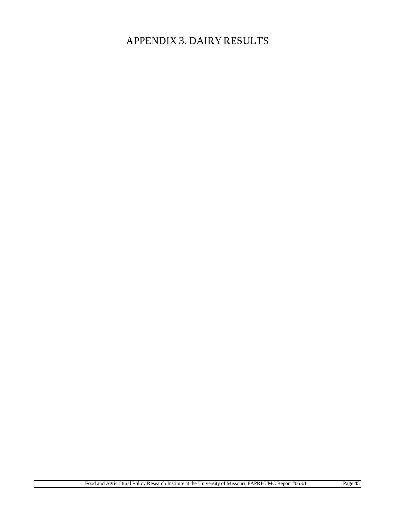# APPENDIX 3. DAIRY RESULTS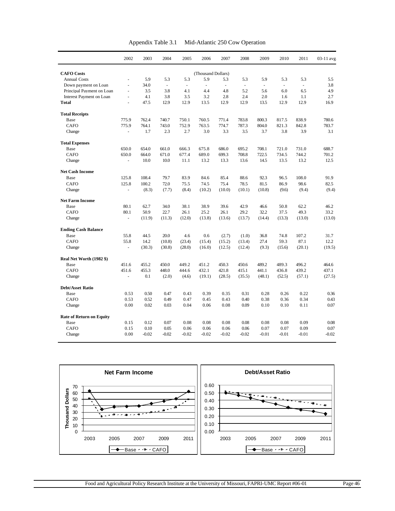|                                 | 2002  | 2003       | 2004    | 2005    | 2006                     | 2007     | 2008    | 2009                     | 2010   | 2011   | 03-11 avg  |
|---------------------------------|-------|------------|---------|---------|--------------------------|----------|---------|--------------------------|--------|--------|------------|
|                                 |       |            |         |         |                          |          |         |                          |        |        |            |
| <b>CAFO</b> Costs               |       |            |         |         | (Thousand Dollars)       |          |         |                          |        |        |            |
| <b>Annual Costs</b>             |       | 5.9        | 5.3     | 5.3     | 5.9                      | 5.3      | 5.3     | 5.9                      | 5.3    | 5.3    | 5.5        |
| Down payment on Loan            | ÷,    | 34.0       | ä,      | ÷,      | $\overline{\phantom{a}}$ | $\omega$ | ÷,      | $\overline{\phantom{a}}$ | $\Box$ | ä,     | 3.8        |
| Principal Payment on Loan       | ÷,    | 3.5<br>4.1 | 3.8     | 4.1     | 4.4                      | 4.8      | 5.2     | 5.6                      | 6.0    | 6.5    | 4.9<br>2.7 |
| <b>Interest Payment on Loan</b> | ÷,    |            | 3.8     | 3.5     | 3.2                      | 2.8      | 2.4     | 2.0                      | 1.6    | 1.1    |            |
| <b>Total</b>                    |       | 47.5       | 12.9    | 12.9    | 13.5                     | 12.9     | 12.9    | 13.5                     | 12.9   | 12.9   | 16.9       |
| <b>Total Receipts</b>           |       |            |         |         |                          |          |         |                          |        |        |            |
| Base                            | 775.9 | 762.4      | 740.7   | 750.1   | 760.5                    | 771.4    | 783.8   | 800.3                    | 817.5  | 838.9  | 780.6      |
| CAFO                            | 775.9 | 764.1      | 743.0   | 752.9   | 763.5                    | 774.7    | 787.3   | 804.0                    | 821.3  | 842.8  | 783.7      |
| Change                          | ä,    | 1.7        | 2.3     | 2.7     | 3.0                      | 3.3      | 3.5     | 3.7                      | 3.8    | 3.9    | 3.1        |
| <b>Total Expenses</b>           |       |            |         |         |                          |          |         |                          |        |        |            |
| Base                            | 650.0 | 654.0      | 661.0   | 666.3   | 675.8                    | 686.0    | 695.2   | 708.1                    | 721.0  | 731.0  | 688.7      |
| CAFO                            | 650.0 | 664.0      | 671.0   | 677.4   | 689.0                    | 699.3    | 708.8   | 722.5                    | 734.5  | 744.2  | 701.2      |
| Change                          |       | 10.0       | 10.0    | 11.1    | 13.2                     | 13.3     | 13.6    | 14.5                     | 13.5   | 13.2   | 12.5       |
| <b>Net Cash Income</b>          |       |            |         |         |                          |          |         |                          |        |        |            |
| Base                            | 125.8 | 108.4      | 79.7    | 83.9    | 84.6                     | 85.4     | 88.6    | 92.3                     | 96.5   | 108.0  | 91.9       |
| CAFO                            | 125.8 | 100.2      | 72.0    | 75.5    | 74.5                     | 75.4     | 78.5    | 81.5                     | 86.9   | 98.6   | 82.5       |
| Change                          | ä,    | (8.3)      | (7.7)   | (8.4)   | (10.2)                   | (10.0)   | (10.1)  | (10.8)                   | (9.6)  | (9.4)  | (9.4)      |
| <b>Net Farm Income</b>          |       |            |         |         |                          |          |         |                          |        |        |            |
| Base                            | 80.1  | 62.7       | 34.0    | 38.1    | 38.9                     | 39.6     | 42.9    | 46.6                     | 50.8   | 62.2   | 46.2       |
| CAFO                            | 80.1  | 50.9       | 22.7    | 26.1    | 25.2                     | 26.1     | 29.2    | 32.2                     | 37.5   | 49.3   | 33.2       |
| Change                          |       | (11.9)     | (11.3)  | (12.0)  | (13.8)                   | (13.6)   | (13.7)  | (14.4)                   | (13.3) | (13.0) | (13.0)     |
| <b>Ending Cash Balance</b>      |       |            |         |         |                          |          |         |                          |        |        |            |
| Base                            | 55.8  | 44.5       | 20.0    | 4.6     | 0.6                      | (2.7)    | (1.0)   | 36.8                     | 74.8   | 107.2  | 31.7       |
| CAFO                            | 55.8  | 14.2       | (10.8)  | (23.4)  | (15.4)                   | (15.2)   | (13.4)  | 27.4                     | 59.3   | 87.1   | 12.2       |
| Change                          | ÷,    | (30.3)     | (30.8)  | (28.0)  | (16.0)                   | (12.5)   | (12.4)  | (9.3)                    | (15.6) | (20.1) | (19.5)     |
| Real Net Worth (1982 \$)        |       |            |         |         |                          |          |         |                          |        |        |            |
| Base                            | 451.6 | 455.2      | 450.0   | 449.2   | 451.2                    | 450.3    | 450.6   | 489.2                    | 489.3  | 496.2  | 464.6      |
| CAFO                            | 451.6 | 455.3      | 448.0   | 444.6   | 432.1                    | 421.8    | 415.1   | 441.1                    | 436.8  | 439.2  | 437.1      |
| Change                          |       | 0.1        | (2.0)   | (4.6)   | (19.1)                   | (28.5)   | (35.5)  | (48.1)                   | (52.5) | (57.1) | (27.5)     |
| <b>Debt/Asset Ratio</b>         |       |            |         |         |                          |          |         |                          |        |        |            |
| Base                            | 0.53  | 0.50       | 0.47    | 0.43    | 0.39                     | 0.35     | 0.31    | 0.28                     | 0.26   | 0.22   | 0.36       |
| <b>CAFO</b>                     | 0.53  | 0.52       | 0.49    | 0.47    | 0.45                     | 0.43     | 0.40    | 0.38                     | 0.36   | 0.34   | 0.43       |
| Change                          | 0.00  | 0.02       | 0.03    | 0.04    | 0.06                     | 0.08     | 0.09    | 0.10                     | 0.10   | 0.11   | 0.07       |
| <b>Rate of Return on Equity</b> |       |            |         |         |                          |          |         |                          |        |        |            |
| Base                            | 0.15  | 0.12       | 0.07    | 0.08    | 0.08                     | 0.08     | 0.08    | 0.08                     | 0.08   | 0.09   | 0.08       |
| CAFO                            | 0.15  | 0.10       | 0.05    | 0.06    | 0.06                     | 0.06     | 0.06    | 0.07                     | 0.07   | 0.09   | 0.07       |
| Change                          | 0.00  | $-0.02$    | $-0.02$ | $-0.02$ | -0.02                    | $-0.02$  | $-0.02$ | $-0.01$                  | -0.01  | -0.01  | $-0.02$    |

| <b>Debt/Asset Ratio</b>                                                                              |
|------------------------------------------------------------------------------------------------------|
| 0.60<br>0.50<br>$\sim$ $\sim$ $\sim$<br>0.40<br>ы<br>$\sim$ - $\sim$<br>0.30<br>0.20<br>0.10<br>0.00 |
| 2011<br>2003<br>2005<br>2009<br>2007<br>$  CAFO$<br>— Base                                           |
|                                                                                                      |

Appendix Table 3.1 Mid-Atlantic 250 Cow Operation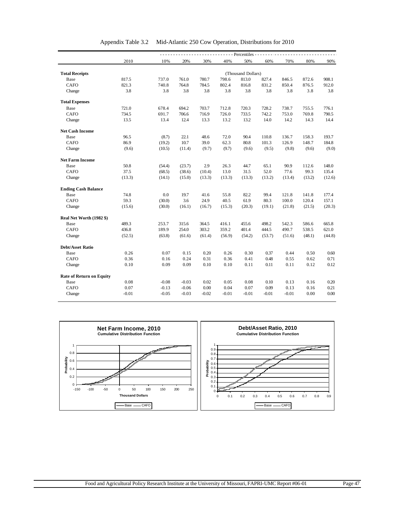|                                 | - - - - Percentiles - - - |         |         |        |        |                    |        |        |        |        |
|---------------------------------|---------------------------|---------|---------|--------|--------|--------------------|--------|--------|--------|--------|
|                                 | 2010                      | 10%     | 20%     | 30%    | 40%    | 50%                | 60%    | 70%    | 80%    | 90%    |
|                                 |                           |         |         |        |        |                    |        |        |        |        |
| <b>Total Receipts</b>           |                           |         |         |        |        | (Thousand Dollars) |        |        |        |        |
| Base                            | 817.5                     | 737.0   | 761.0   | 780.7  | 798.6  | 813.0              | 827.4  | 846.5  | 872.6  | 908.1  |
| <b>CAFO</b>                     | 821.3                     | 740.8   | 764.8   | 784.5  | 802.4  | 816.8              | 831.2  | 850.4  | 876.5  | 912.0  |
| Change                          | 3.8                       | 3.8     | 3.8     | 3.8    | 3.8    | 3.8                | 3.8    | 3.8    | 3.8    | 3.8    |
| <b>Total Expenses</b>           |                           |         |         |        |        |                    |        |        |        |        |
| Base                            | 721.0                     | 678.4   | 694.2   | 703.7  | 712.8  | 720.3              | 728.2  | 738.7  | 755.5  | 776.1  |
| <b>CAFO</b>                     | 734.5                     | 691.7   | 706.6   | 716.9  | 726.0  | 733.5              | 742.2  | 753.0  | 769.8  | 790.5  |
| Change                          | 13.5                      | 13.4    | 12.4    | 13.3   | 13.2   | 13.2               | 14.0   | 14.2   | 14.3   | 14.4   |
| <b>Net Cash Income</b>          |                           |         |         |        |        |                    |        |        |        |        |
| Base                            | 96.5                      | (8.7)   | 22.1    | 48.6   | 72.0   | 90.4               | 110.8  | 136.7  | 158.3  | 193.7  |
| <b>CAFO</b>                     | 86.9                      | (19.2)  | 10.7    | 39.0   | 62.3   | 80.8               | 101.3  | 126.9  | 148.7  | 184.8  |
| Change                          | (9.6)                     | (10.5)  | (11.4)  | (9.7)  | (9.7)  | (9.6)              | (9.5)  | (9.8)  | (9.6)  | (9.0)  |
| <b>Net Farm Income</b>          |                           |         |         |        |        |                    |        |        |        |        |
| Base                            | 50.8                      | (54.4)  | (23.7)  | 2.9    | 26.3   | 44.7               | 65.1   | 90.9   | 112.6  | 148.0  |
| <b>CAFO</b>                     | 37.5                      | (68.5)  | (38.6)  | (10.4) | 13.0   | 31.5               | 52.0   | 77.6   | 99.3   | 135.4  |
| Change                          | (13.3)                    | (14.1)  | (15.0)  | (13.3) | (13.3) | (13.3)             | (13.2) | (13.4) | (13.2) | (12.6) |
| <b>Ending Cash Balance</b>      |                           |         |         |        |        |                    |        |        |        |        |
| Base                            | 74.8                      | 0.0     | 19.7    | 41.6   | 55.8   | 82.2               | 99.4   | 121.8  | 141.8  | 177.4  |
| <b>CAFO</b>                     | 59.3                      | (30.0)  | 3.6     | 24.9   | 40.5   | 61.9               | 80.3   | 100.0  | 120.4  | 157.1  |
| Change                          | (15.6)                    | (30.0)  | (16.1)  | (16.7) | (15.3) | (20.3)             | (19.1) | (21.8) | (21.5) | (20.3) |
| Real Net Worth (1982 \$)        |                           |         |         |        |        |                    |        |        |        |        |
| Base                            | 489.3                     | 253.7   | 315.6   | 364.5  | 416.1  | 455.6              | 498.2  | 542.3  | 586.6  | 665.8  |
| CAFO                            | 436.8                     | 189.9   | 254.0   | 303.2  | 359.2  | 401.4              | 444.5  | 490.7  | 538.5  | 621.0  |
| Change                          | (52.5)                    | (63.8)  | (61.6)  | (61.4) | (56.9) | (54.2)             | (53.7) | (51.6) | (48.1) | (44.8) |
| <b>Debt/Asset Ratio</b>         |                           |         |         |        |        |                    |        |        |        |        |
| Base                            | 0.26                      | 0.07    | 0.15    | 0.20   | 0.26   | 0.30               | 0.37   | 0.44   | 0.50   | 0.60   |
| <b>CAFO</b>                     | 0.36                      | 0.16    | 0.24    | 0.31   | 0.36   | 0.41               | 0.48   | 0.55   | 0.62   | 0.71   |
| Change                          | 0.10                      | 0.09    | 0.09    | 0.10   | 0.10   | 0.11               | 0.11   | 0.11   | 0.12   | 0.12   |
| <b>Rate of Return on Equity</b> |                           |         |         |        |        |                    |        |        |        |        |
| Base                            | 0.08                      | $-0.08$ | $-0.03$ | 0.02   | 0.05   | 0.08               | 0.10   | 0.13   | 0.16   | 0.20   |
| CAFO                            | 0.07                      | $-0.13$ | $-0.06$ | 0.00   | 0.04   | 0.07               | 0.09   | 0.13   | 0.16   | 0.21   |
|                                 |                           |         |         |        |        |                    |        |        |        |        |

Appendix Table 3.2 Mid-Atlantic 250 Cow Operation, Distributions for 2010

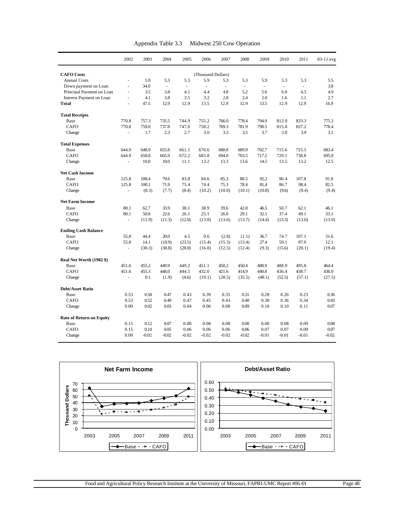| Appendix Table 3.3 | Midwest 250 Cow Operation |
|--------------------|---------------------------|
|--------------------|---------------------------|

|                                 | 2002           | 2003    | 2004                     | 2005    | 2006               | 2007                     | 2008     | 2009     | 2010     | 2011    | 03-11 avg |
|---------------------------------|----------------|---------|--------------------------|---------|--------------------|--------------------------|----------|----------|----------|---------|-----------|
| <b>CAFO</b> Costs               |                |         |                          |         | (Thousand Dollars) |                          |          |          |          |         |           |
| <b>Annual Costs</b>             | ÷.             | 5.9     | 5.3                      | 5.3     | 5.9                | 5.3                      | 5.3      | 5.9      | 5.3      | 5.3     | 5.5       |
| Down payment on Loan            | L.             | 34.0    | $\overline{\phantom{a}}$ | $\sim$  | $\omega$           | $\overline{\phantom{a}}$ | $\omega$ | $\omega$ | $\omega$ | u,      | 3.8       |
| Principal Payment on Loan       | ä,             | 3.5     | 3.8                      | 4.1     | 4.4                | 4.8                      | 5.2      | 5.6      | 6.0      | 6.5     | 4.9       |
| Interest Payment on Loan        | L.             | 4.1     | 3.8                      | 3.5     | 3.2                | 2.8                      | 2.4      | 2.0      | 1.6      | 1.1     | 2.7       |
| <b>Total</b>                    | L.             | 47.5    | 12.9                     | 12.9    | 13.5               | 12.9                     | 12.9     | 13.5     | 12.9     | 12.9    | 16.9      |
| <b>Total Receipts</b>           |                |         |                          |         |                    |                          |          |          |          |         |           |
| Base                            | 770.8          | 757.3   | 735.5                    | 744.9   | 755.2              | 766.0                    | 778.4    | 794.9    | 812.0    | 833.3   | 775.3     |
| CAFO                            | 770.8          | 759.0   | 737.8                    | 747.6   | 758.2              | 769.3                    | 781.9    | 798.5    | 815.8    | 837.2   | 778.4     |
| Change                          |                | 1.7     | 2.3                      | 2.7     | 3.0                | 3.3                      | 3.5      | 3.7      | 3.8      | 3.9     | 3.1       |
| <b>Total Expenses</b>           |                |         |                          |         |                    |                          |          |          |          |         |           |
| Base                            | 644.9          | 648.9   | 655.8                    | 661.1   | 670.6              | 680.8                    | 689.9    | 702.7    | 715.6    | 725.5   | 683.4     |
| <b>CAFO</b>                     | 644.9          | 658.8   | 665.9                    | 672.2   | 683.8              | 694.0                    | 703.5    | 717.2    | 729.1    | 738.8   | 695.9     |
| Change                          | ÷.             | 10.0    | 10.0                     | 11.1    | 13.2               | 13.3                     | 13.6     | 14.5     | 13.5     | 13.2    | 12.5      |
| <b>Net Cash Income</b>          |                |         |                          |         |                    |                          |          |          |          |         |           |
| Base                            | 125.8          | 108.4   | 79.6                     | 83.8    | 84.6               | 85.3                     | 88.5     | 92.2     | 96.4     | 107.8   | 91.8      |
| <b>CAFO</b>                     | 125.8          | 100.1   | 71.9                     | 75.4    | 74.4               | 75.3                     | 78.4     | 81.4     | 86.7     | 98.4    | 82.5      |
| Change                          | ÷.             | (8.3)   | (7.7)                    | (8.4)   | (10.2)             | (10.0)                   | (10.1)   | (10.8)   | (9.6)    | (9.4)   | (9.4)     |
| <b>Net Farm Income</b>          |                |         |                          |         |                    |                          |          |          |          |         |           |
| Base                            | 80.1           | 62.7    | 33.9                     | 38.1    | 38.9               | 39.6                     | 42.8     | 46.5     | 50.7     | 62.1    | 46.1      |
| <b>CAFO</b>                     | 80.1           | 50.8    | 22.6                     | 26.1    | 25.1               | 26.0                     | 29.1     | 32.1     | 37.4     | 49.1    | 33.1      |
| Change                          | ä,             | (11.9)  | (11.3)                   | (12.0)  | (13.8)             | (13.6)                   | (13.7)   | (14.4)   | (13.3)   | (13.0)  | (13.0)    |
| <b>Ending Cash Balance</b>      |                |         |                          |         |                    |                          |          |          |          |         |           |
| Base                            | 55.8           | 44.4    | 20.0                     | 4.5     | 0.6                | (2.8)                    | (1.1)    | 36.7     | 74.7     | 107.1   | 31.6      |
| CAFO                            | 55.8           | 14.1    | (10.9)                   | (23.5)  | (15.4)             | (15.3)                   | (13.4)   | 27.4     | 59.1     | 87.0    | 12.1      |
| Change                          | ÷.             | (30.3)  | (30.8)                   | (28.0)  | (16.0)             | (12.5)                   | (12.4)   | (9.3)    | (15.6)   | (20.1)  | (19.4)    |
| Real Net Worth (1982 \$)        |                |         |                          |         |                    |                          |          |          |          |         |           |
| Base                            | 451.6          | 455.2   | 449.9                    | 449.2   | 451.1              | 450.2                    | 450.4    | 488.9    | 488.9    | 495.8   | 464.4     |
| <b>CAFO</b>                     | 451.6          | 455.3   | 448.0                    | 444.5   | 432.0              | 421.6                    | 414.9    | 440.8    | 436.4    | 438.7   | 436.9     |
| Change                          | $\blacksquare$ | 0.1     | (1.9)                    | (4.6)   | (19.1)             | (28.5)                   | (35.5)   | (48.1)   | (52.5)   | (57.1)  | (27.5)    |
| <b>Debt/Asset Ratio</b>         |                |         |                          |         |                    |                          |          |          |          |         |           |
| Base                            | 0.53           | 0.50    | 0.47                     | 0.43    | 0.39               | 0.35                     | 0.31     | 0.28     | 0.26     | 0.23    | 0.36      |
| CAFO                            | 0.53           | 0.52    | 0.49                     | 0.47    | 0.45               | 0.43                     | 0.40     | 0.38     | 0.36     | 0.34    | 0.43      |
| Change                          | 0.00           | 0.02    | 0.03                     | 0.04    | 0.06               | 0.08                     | 0.09     | 0.10     | 0.10     | 0.11    | 0.07      |
| <b>Rate of Return on Equity</b> |                |         |                          |         |                    |                          |          |          |          |         |           |
| Base                            | 0.15           | 0.12    | 0.07                     | 0.08    | 0.08               | 0.08                     | 0.08     | 0.08     | 0.08     | 0.09    | 0.08      |
| <b>CAFO</b>                     | 0.15           | 0.10    | 0.05                     | 0.06    | 0.06               | 0.06                     | 0.06     | 0.07     | 0.07     | 0.09    | 0.07      |
| Change                          | 0.00           | $-0.02$ | $-0.02$                  | $-0.02$ | $-0.02$            | $-0.02$                  | $-0.02$  | $-0.01$  | $-0.01$  | $-0.01$ | $-0.02$   |

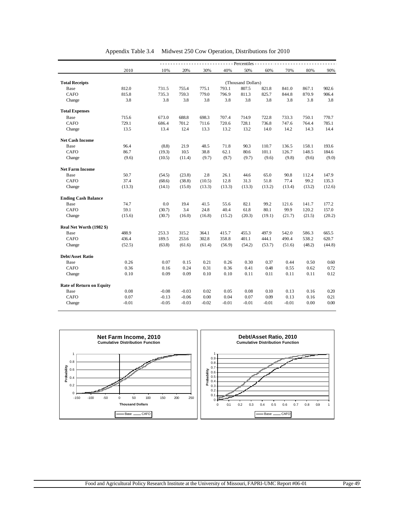|                                 |         |         |         |         |         | - - Percentiles - - - |         |         |        |        |
|---------------------------------|---------|---------|---------|---------|---------|-----------------------|---------|---------|--------|--------|
|                                 | 2010    | 10%     | 20%     | 30%     | 40%     | 50%                   | 60%     | 70%     | 80%    | 90%    |
|                                 |         |         |         |         |         |                       |         |         |        |        |
| <b>Total Receipts</b>           |         |         |         |         |         | (Thousand Dollars)    |         |         |        |        |
| Base                            | 812.0   | 731.5   | 755.4   | 775.1   | 793.1   | 807.5                 | 821.8   | 841.0   | 867.1  | 902.6  |
| <b>CAFO</b>                     | 815.8   | 735.3   | 759.3   | 779.0   | 796.9   | 811.3                 | 825.7   | 844.8   | 870.9  | 906.4  |
| Change                          | 3.8     | 3.8     | 3.8     | 3.8     | 3.8     | 3.8                   | 3.8     | 3.8     | 3.8    | 3.8    |
| <b>Total Expenses</b>           |         |         |         |         |         |                       |         |         |        |        |
| Base                            | 715.6   | 673.0   | 688.8   | 698.3   | 707.4   | 714.9                 | 722.8   | 733.3   | 750.1  | 770.7  |
| CAFO                            | 729.1   | 686.4   | 701.2   | 711.6   | 720.6   | 728.1                 | 736.8   | 747.6   | 764.4  | 785.1  |
| Change                          | 13.5    | 13.4    | 12.4    | 13.3    | 13.2    | 13.2                  | 14.0    | 14.2    | 14.3   | 14.4   |
| <b>Net Cash Income</b>          |         |         |         |         |         |                       |         |         |        |        |
| Base                            | 96.4    | (8.8)   | 21.9    | 48.5    | 71.8    | 90.3                  | 110.7   | 136.5   | 158.1  | 193.6  |
| <b>CAFO</b>                     | 86.7    | (19.3)  | 10.5    | 38.8    | 62.1    | 80.6                  | 101.1   | 126.7   | 148.5  | 184.6  |
| Change                          | (9.6)   | (10.5)  | (11.4)  | (9.7)   | (9.7)   | (9.7)                 | (9.6)   | (9.8)   | (9.6)  | (9.0)  |
| <b>Net Farm Income</b>          |         |         |         |         |         |                       |         |         |        |        |
| Base                            | 50.7    | (54.5)  | (23.8)  | 2.8     | 26.1    | 44.6                  | 65.0    | 90.8    | 112.4  | 147.9  |
| <b>CAFO</b>                     | 37.4    | (68.6)  | (38.8)  | (10.5)  | 12.8    | 31.3                  | 51.8    | 77.4    | 99.2   | 135.3  |
| Change                          | (13.3)  | (14.1)  | (15.0)  | (13.3)  | (13.3)  | (13.3)                | (13.2)  | (13.4)  | (13.2) | (12.6) |
|                                 |         |         |         |         |         |                       |         |         |        |        |
| <b>Ending Cash Balance</b>      |         |         |         |         |         |                       |         |         |        |        |
| Base                            | 74.7    | 0.0     | 19.4    | 41.5    | 55.6    | 82.1                  | 99.2    | 121.6   | 141.7  | 177.2  |
| <b>CAFO</b>                     | 59.1    | (30.7)  | 3.4     | 24.8    | 40.4    | 61.8                  | 80.1    | 99.9    | 120.2  | 157.0  |
| Change                          | (15.6)  | (30.7)  | (16.0)  | (16.8)  | (15.2)  | (20.3)                | (19.1)  | (21.7)  | (21.5) | (20.2) |
| Real Net Worth (1982 \$)        |         |         |         |         |         |                       |         |         |        |        |
| Base                            | 488.9   | 253.3   | 315.2   | 364.1   | 415.7   | 455.3                 | 497.9   | 542.0   | 586.3  | 665.5  |
| <b>CAFO</b>                     | 436.4   | 189.5   | 253.6   | 302.8   | 358.8   | 401.1                 | 444.1   | 490.4   | 538.2  | 620.7  |
| Change                          | (52.5)  | (63.8)  | (61.6)  | (61.4)  | (56.9)  | (54.2)                | (53.7)  | (51.6)  | (48.2) | (44.8) |
| <b>Debt/Asset Ratio</b>         |         |         |         |         |         |                       |         |         |        |        |
| Base                            | 0.26    | 0.07    | 0.15    | 0.21    | 0.26    | 0.30                  | 0.37    | 0.44    | 0.50   | 0.60   |
| <b>CAFO</b>                     | 0.36    | 0.16    | 0.24    | 0.31    | 0.36    | 0.41                  | 0.48    | 0.55    | 0.62   | 0.72   |
| Change                          | 0.10    | 0.09    | 0.09    | 0.10    | 0.10    | 0.11                  | 0.11    | 0.11    | 0.11   | 0.12   |
|                                 |         |         |         |         |         |                       |         |         |        |        |
| <b>Rate of Return on Equity</b> | 0.08    | $-0.08$ | $-0.03$ | 0.02    | 0.05    | 0.08                  | 0.10    | 0.13    | 0.16   | 0.20   |
| Base<br><b>CAFO</b>             | 0.07    |         | $-0.06$ | 0.00    | 0.04    | 0.07                  | 0.09    | 0.13    |        |        |
|                                 |         | $-0.13$ |         |         |         |                       |         |         | 0.16   | 0.21   |
| Change                          | $-0.01$ | $-0.05$ | $-0.03$ | $-0.02$ | $-0.01$ | $-0.01$               | $-0.01$ | $-0.01$ | 0.00   | 0.00   |

|  | Appendix Table 3.4 Midwest 250 Cow Operation, Distributions for 2010 |  |
|--|----------------------------------------------------------------------|--|
|  |                                                                      |  |

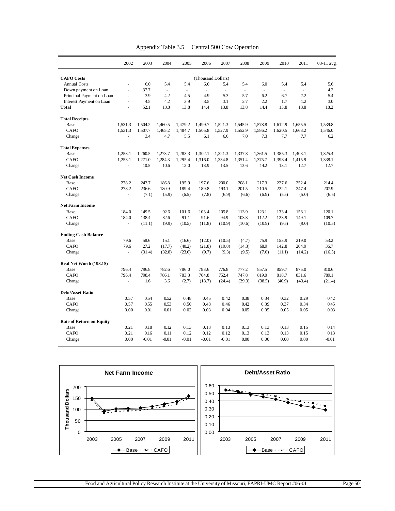|  |  | Appendix Table 3.5 | Central 500 Cow Operation |  |  |
|--|--|--------------------|---------------------------|--|--|
|--|--|--------------------|---------------------------|--|--|

|                                 | 2002                     | 2003    | 2004     | 2005    | 2006               | 2007                     | 2008           | 2009                     | 2010           | 2011          | 03-11 avg |
|---------------------------------|--------------------------|---------|----------|---------|--------------------|--------------------------|----------------|--------------------------|----------------|---------------|-----------|
| <b>CAFO</b> Costs               |                          |         |          |         | (Thousand Dollars) |                          |                |                          |                |               |           |
| <b>Annual Costs</b>             | $\overline{a}$           | 6.0     | 5.4      | 5.4     | 6.0                | 5.4                      | 5.4            | 6.0                      | 5.4            | 5.4           | 5.6       |
| Down payment on Loan            | ä,                       | 37.7    | $\omega$ | ä,      | ÷,                 | $\overline{\phantom{a}}$ | $\blacksquare$ | $\overline{\phantom{a}}$ | $\blacksquare$ | $\frac{1}{2}$ | 4.2       |
| Principal Payment on Loan       | $\blacksquare$           | 3.9     | 4.2      | 4.5     | 4.9                | 5.3                      | 5.7            | 6.2                      | 6.7            | 7.2           | 5.4       |
| Interest Payment on Loan        |                          | 4.5     | 4.2      | 3.9     | 3.5                | 3.1                      | 2.7            | 2.2                      | 1.7            | 1.2           | 3.0       |
| <b>Total</b>                    | ä,                       | 52.1    | 13.8     | 13.8    | 14.4               | 13.8                     | 13.8           | 14.4                     | 13.8           | 13.8          | 18.2      |
| <b>Total Receipts</b>           |                          |         |          |         |                    |                          |                |                          |                |               |           |
| Base                            | 1.531.3                  | 1.504.2 | 1,460.5  | 1,479.2 | 1,499.7            | 1,521.3                  | 1,545.9        | 1,578.8                  | 1.612.9        | 1.655.5       | 1.539.8   |
| <b>CAFO</b>                     | 1,531.3                  | 1,507.7 | 1,465.2  | 1,484.7 | 1,505.8            | 1,527.9                  | 1,552.9        | 1,586.2                  | 1,620.5        | 1.663.2       | 1,546.0   |
| Change                          |                          | 3.4     | 4.7      | 5.5     | 6.1                | 6.6                      | 7.0            | 7.3                      | 7.7            | 7.7           | 6.2       |
| <b>Total Expenses</b>           |                          |         |          |         |                    |                          |                |                          |                |               |           |
| Base                            | 1.253.1                  | 1,260.5 | 1,273.7  | 1,283.3 | 1.302.1            | 1.321.3                  | 1,337.8        | 1.361.5                  | 1.385.3        | 1.403.1       | 1.325.4   |
| <b>CAFO</b>                     | 1,253.1                  | 1,271.0 | 1,284.3  | 1,295.4 | 1,316.0            | 1,334.8                  | 1,351.4        | 1,375.7                  | 1,398.4        | 1,415.9       | 1,338.1   |
| Change                          | L.                       | 10.5    | 10.6     | 12.0    | 13.9               | 13.5                     | 13.6           | 14.2                     | 13.1           | 12.7          | 12.7      |
| <b>Net Cash Income</b>          |                          |         |          |         |                    |                          |                |                          |                |               |           |
| Base                            | 278.2                    | 243.7   | 186.8    | 195.9   | 197.6              | 200.0                    | 208.1          | 217.3                    | 227.6          | 252.4         | 214.4     |
| CAFO                            | 278.2                    | 236.6   | 180.9    | 189.4   | 189.8              | 193.1                    | 201.5          | 210.5                    | 222.1          | 247.4         | 207.9     |
| Change                          |                          | (7.1)   | (5.9)    | (6.5)   | (7.8)              | (6.9)                    | (6.6)          | (6.9)                    | (5.5)          | (5.0)         | (6.5)     |
| <b>Net Farm Income</b>          |                          |         |          |         |                    |                          |                |                          |                |               |           |
| Base                            | 184.0                    | 149.5   | 92.6     | 101.6   | 103.4              | 105.8                    | 113.9          | 123.1                    | 133.4          | 158.1         | 120.1     |
| <b>CAFO</b>                     | 184.0                    | 138.4   | 82.6     | 91.1    | 91.6               | 94.9                     | 103.3          | 112.2                    | 123.9          | 149.1         | 109.7     |
| Change                          | ä,                       | (11.1)  | (9.9)    | (10.5)  | (11.8)             | (10.9)                   | (10.6)         | (10.9)                   | (9.5)          | (9.0)         | (10.5)    |
| <b>Ending Cash Balance</b>      |                          |         |          |         |                    |                          |                |                          |                |               |           |
| Base                            | 79.6                     | 58.6    | 15.1     | (16.6)  | (12.0)             | (10.5)                   | (4.7)          | 75.9                     | 153.9          | 219.0         | 53.2      |
| CAFO                            | 79.6                     | 27.2    | (17.7)   | (40.2)  | (21.8)             | (19.8)                   | (14.3)         | 68.9                     | 142.8          | 204.9         | 36.7      |
| Change                          | ÷.                       | (31.4)  | (32.8)   | (23.6)  | (9.7)              | (9.3)                    | (9.5)          | (7.0)                    | (11.1)         | (14.2)        | (16.5)    |
| Real Net Worth (1982 \$)        |                          |         |          |         |                    |                          |                |                          |                |               |           |
| Base                            | 796.4                    | 796.8   | 782.6    | 786.0   | 783.6              | 776.8                    | 777.2          | 857.5                    | 859.7          | 875.0         | 810.6     |
| CAFO                            | 796.4                    | 798.4   | 786.1    | 783.3   | 764.8              | 752.4                    | 747.8          | 819.0                    | 818.7          | 831.6         | 789.1     |
| Change                          | $\overline{\phantom{a}}$ | 1.6     | 3.6      | (2.7)   | (18.7)             | (24.4)                   | (29.3)         | (38.5)                   | (40.9)         | (43.4)        | (21.4)    |
| <b>Debt/Asset Ratio</b>         |                          |         |          |         |                    |                          |                |                          |                |               |           |
| Base                            | 0.57                     | 0.54    | 0.52     | 0.48    | 0.45               | 0.42                     | 0.38           | 0.34                     | 0.32           | 0.29          | 0.42      |
| <b>CAFO</b>                     | 0.57                     | 0.55    | 0.53     | 0.50    | 0.48               | 0.46                     | 0.42           | 0.39                     | 0.37           | 0.34          | 0.45      |
| Change                          | 0.00                     | 0.01    | 0.01     | 0.02    | 0.03               | 0.04                     | 0.05           | 0.05                     | 0.05           | 0.05          | 0.03      |
| <b>Rate of Return on Equity</b> |                          |         |          |         |                    |                          |                |                          |                |               |           |
| Base                            | 0.21                     | 0.18    | 0.12     | 0.13    | 0.13               | 0.13                     | 0.13           | 0.13                     | 0.13           | 0.15          | 0.14      |
| <b>CAFO</b>                     | 0.21                     | 0.16    | 0.11     | 0.12    | 0.12               | 0.12                     | 0.13           | 0.13                     | 0.13           | 0.15          | 0.13      |
| Change                          | 0.00                     | $-0.01$ | $-0.01$  | $-0.01$ | $-0.01$            | $-0.01$                  | 0.00           | 0.00                     | 0.00           | 0.00          | $-0.01$   |

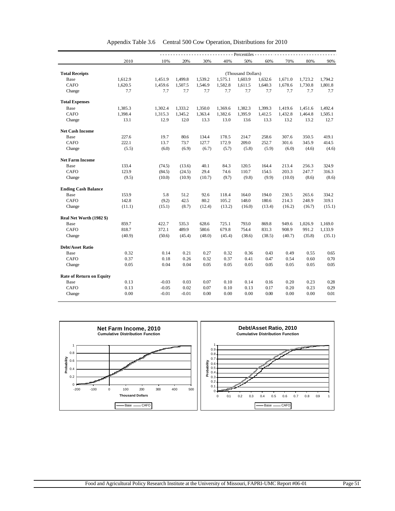|                                 |         |         |         |         |         | - - - - Percentiles - - - |         |         |         |         |
|---------------------------------|---------|---------|---------|---------|---------|---------------------------|---------|---------|---------|---------|
|                                 | 2010    | 10%     | 20%     | 30%     | 40%     | 50%                       | 60%     | 70%     | 80%     | 90%     |
|                                 |         |         |         |         |         |                           |         |         |         |         |
| <b>Total Receipts</b>           |         |         |         |         |         | (Thousand Dollars)        |         |         |         |         |
| Base                            | 1,612.9 | 1,451.9 | 1,499.8 | 1,539.2 | 1,575.1 | 1,603.9                   | 1,632.6 | 1,671.0 | 1,723.2 | 1,794.2 |
| <b>CAFO</b>                     | 1,620.5 | 1,459.6 | 1,507.5 | 1,546.9 | 1,582.8 | 1,611.5                   | 1,640.3 | 1,678.6 | 1,730.8 | 1,801.8 |
| Change                          | 7.7     | 7.7     | 7.7     | 7.7     | 7.7     | 7.7                       | 7.7     | 7.7     | 7.7     | 7.7     |
| <b>Total Expenses</b>           |         |         |         |         |         |                           |         |         |         |         |
| Base                            | 1,385.3 | 1,302.4 | 1,333.2 | 1,350.0 | 1,369.6 | 1,382.3                   | 1,399.3 | 1,419.6 | 1,451.6 | 1,492.4 |
| <b>CAFO</b>                     | 1,398.4 | 1,315.3 | 1,345.2 | 1,363.4 | 1,382.6 | 1,395.9                   | 1,412.5 | 1,432.8 | 1,464.8 | 1,505.1 |
| Change                          | 13.1    | 12.9    | 12.0    | 13.3    | 13.0    | 13.6                      | 13.3    | 13.2    | 13.2    | 12.7    |
| <b>Net Cash Income</b>          |         |         |         |         |         |                           |         |         |         |         |
| Base                            | 227.6   | 19.7    | 80.6    | 134.4   | 178.5   | 214.7                     | 258.6   | 307.6   | 350.5   | 419.1   |
| <b>CAFO</b>                     | 222.1   | 13.7    | 73.7    | 127.7   | 172.9   | 209.0                     | 252.7   | 301.6   | 345.9   | 414.5   |
| Change                          | (5.5)   | (6.0)   | (6.9)   | (6.7)   | (5.7)   | (5.8)                     | (5.9)   | (6.0)   | (4.6)   | (4.6)   |
| <b>Net Farm Income</b>          |         |         |         |         |         |                           |         |         |         |         |
| Base                            | 133.4   | (74.5)  | (13.6)  | 40.1    | 84.3    | 120.5                     | 164.4   | 213.4   | 256.3   | 324.9   |
| <b>CAFO</b>                     | 123.9   | (84.5)  | (24.5)  | 29.4    | 74.6    | 110.7                     | 154.5   | 203.3   | 247.7   | 316.3   |
| Change                          | (9.5)   | (10.0)  | (10.9)  | (10.7)  | (9.7)   | (9.8)                     | (9.9)   | (10.0)  | (8.6)   | (8.6)   |
| <b>Ending Cash Balance</b>      |         |         |         |         |         |                           |         |         |         |         |
| Base                            | 153.9   | 5.8     | 51.2    | 92.6    | 118.4   | 164.0                     | 194.0   | 230.5   | 265.6   | 334.2   |
| CAFO                            | 142.8   | (9.2)   | 42.5    | 80.2    | 105.2   | 148.0                     | 180.6   | 214.3   | 248.9   | 319.1   |
| Change                          | (11.1)  | (15.1)  | (8.7)   | (12.4)  | (13.2)  | (16.0)                    | (13.4)  | (16.2)  | (16.7)  | (15.1)  |
| Real Net Worth (1982 \$)        |         |         |         |         |         |                           |         |         |         |         |
| Base                            | 859.7   | 422.7   | 535.3   | 628.6   | 725.1   | 793.0                     | 869.8   | 949.6   | 1,026.9 | 1,169.0 |
| CAFO                            | 818.7   | 372.1   | 489.9   | 580.6   | 679.8   | 754.4                     | 831.3   | 908.9   | 991.2   | 1,133.9 |
| Change                          | (40.9)  | (50.6)  | (45.4)  | (48.0)  | (45.4)  | (38.6)                    | (38.5)  | (40.7)  | (35.8)  | (35.1)  |
| <b>Debt/Asset Ratio</b>         |         |         |         |         |         |                           |         |         |         |         |
| Base                            | 0.32    | 0.14    | 0.21    | 0.27    | 0.32    | 0.36                      | 0.43    | 0.49    | 0.55    | 0.65    |
| <b>CAFO</b>                     | 0.37    | 0.18    | 0.26    | 0.32    | 0.37    | 0.41                      | 0.47    | 0.54    | 0.60    | 0.70    |
| Change                          | 0.05    | 0.04    | 0.04    | 0.05    | 0.05    | 0.05                      | 0.05    | 0.05    | 0.05    | 0.05    |
| <b>Rate of Return on Equity</b> |         |         |         |         |         |                           |         |         |         |         |
| Base                            | 0.13    | $-0.03$ | 0.03    | 0.07    | 0.10    | 0.14                      | 0.16    | 0.20    | 0.23    | 0.28    |
| <b>CAFO</b>                     | 0.13    | $-0.05$ | 0.02    | 0.07    | 0.10    | 0.13                      | 0.17    | 0.20    | 0.23    | 0.29    |
|                                 |         |         |         |         |         |                           |         |         |         | 0.01    |
| Change                          | 0.00    | $-0.01$ | $-0.01$ | 0.00    | 0.00    | 0.00                      | 0.00    | 0.00    | 0.00    |         |

Appendix Table 3.6 Central 500 Cow Operation, Distributions for 2010

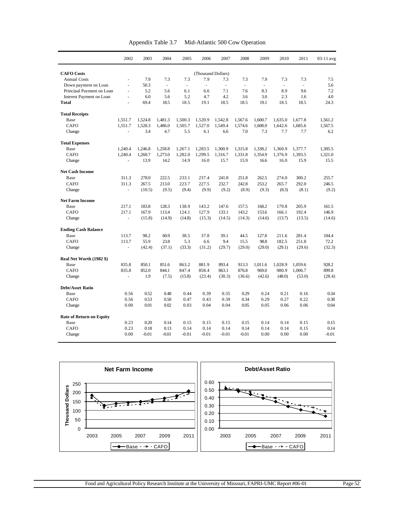|                           |                          | --rr -  |                          |                          |         | ---------- - - - - - - - |                          |                          |                          |         |             |
|---------------------------|--------------------------|---------|--------------------------|--------------------------|---------|--------------------------|--------------------------|--------------------------|--------------------------|---------|-------------|
|                           | 2002                     | 2003    | 2004                     | 2005                     | 2006    | 2007                     | 2008                     | 2009                     | 2010                     | 2011    | $03-11$ avg |
| <b>CAFO</b> Costs         |                          |         |                          |                          |         | (Thousand Dollars)       |                          |                          |                          |         |             |
| <b>Annual Costs</b>       | ۰                        | 7.9     | 7.3                      | 7.3                      | 7.9     | 7.3                      | 7.3                      | 7.9                      | 7.3                      | 7.3     | 7.5         |
| Down payment on Loan      | $\overline{\phantom{a}}$ | 50.3    | $\overline{\phantom{a}}$ | $\overline{\phantom{a}}$ | ۰       | $\overline{\phantom{a}}$ | $\overline{\phantom{a}}$ | $\overline{\phantom{a}}$ | $\overline{\phantom{a}}$ | ۰       | 5.6         |
| Principal Payment on Loan | $\overline{\phantom{a}}$ | 5.2     | 5.6                      | 6.1                      | 6.6     | 7.1                      | 7.6                      | 8.3                      | 8.9                      | 9.6     | 7.2         |
| Interest Payment on Loan  | $\overline{\phantom{a}}$ | 6.0     | 5.6                      | 5.2                      | 4.7     | 4.2                      | 3.6                      | 3.0                      | 2.3                      | 1.6     | 4.0         |
| <b>Total</b>              | ۰                        | 69.4    | 18.5                     | 18.5                     | 19.1    | 18.5                     | 18.5                     | 19.1                     | 18.5                     | 18.5    | 24.3        |
| <b>Total Receipts</b>     |                          |         |                          |                          |         |                          |                          |                          |                          |         |             |
| Base                      | 1,551.7                  | 1.524.8 | 1.481.3                  | 1,500.3                  | 1,520.9 | 1,542.8                  | 1,567.6                  | 1.600.7                  | 1,635.0                  | 1,677.8 | 1,561.2     |
| <b>CAFO</b>               | 1,551.7                  | 1,528.3 | 1,486.0                  | 1,505.7                  | 1,527.0 | 1,549.4                  | 1,574.6                  | 1,608.0                  | 1,642.6                  | 1,685.6 | 1,567.5     |
| Change                    | ٠                        | 3.4     | 4.7                      | 5.5                      | 6.1     | 6.6                      | 7.0                      | 7.3                      | 7.7                      | 7.7     | 6.2         |
| <b>Total Expenses</b>     |                          |         |                          |                          |         |                          |                          |                          |                          |         |             |
| Base                      | 1,240.4                  | 1.246.8 | 1,258.8                  | 1,267.1                  | 1,283.5 | 1,300.9                  | 1,315.8                  | 1.338.2                  | 1.360.9                  | 1,377.7 | 1,305.5     |
| <b>CAFO</b>               | 1,240.4                  | 1,260.7 | 1,273.0                  | 1,282.0                  | 1,299.5 | 1,316.7                  | 1,331.8                  | 1.354.9                  | 1.376.9                  | 1.393.5 | 1,321.0     |

| Appendix Table 3.7 | Mid-Atlantic 500 Cow Operation |
|--------------------|--------------------------------|
|--------------------|--------------------------------|

| Total                           |         | 69.4    | 18.5    | 18.5    | 19.1    | 18.5    | 18.5    | 19.1    | 18.5    | 18.5    | 24.3    |
|---------------------------------|---------|---------|---------|---------|---------|---------|---------|---------|---------|---------|---------|
| <b>Total Receipts</b>           |         |         |         |         |         |         |         |         |         |         |         |
| Base                            | 1,551.7 | 1,524.8 | 1.481.3 | 1,500.3 | 1,520.9 | 1.542.8 | 1,567.6 | 1,600.7 | 1.635.0 | 1,677.8 | 1,561.2 |
| <b>CAFO</b>                     | 1,551.7 | 1,528.3 | 1,486.0 | 1,505.7 | 1,527.0 | 1.549.4 | 1,574.6 | 1,608.0 | 1.642.6 | 1,685.6 | 1,567.5 |
| Change                          | L.      | 3.4     | 4.7     | 5.5     | 6.1     | 6.6     | 7.0     | 7.3     | 7.7     | 7.7     | 6.2     |
| <b>Total Expenses</b>           |         |         |         |         |         |         |         |         |         |         |         |
| Base                            | 1,240.4 | 1,246.8 | 1,258.8 | 1,267.1 | 1,283.5 | 1,300.9 | 1,315.8 | 1,338.2 | 1,360.9 | 1,377.7 | 1,305.5 |
| CAFO                            | 1,240.4 | 1,260.7 | 1,273.0 | 1,282.0 | 1,299.5 | 1,316.7 | 1,331.8 | 1,354.9 | 1,376.9 | 1,393.5 | 1,321.0 |
| Change                          | L.      | 13.9    | 14.2    | 14.9    | 16.0    | 15.7    | 15.9    | 16.6    | 16.0    | 15.9    | 15.5    |
| <b>Net Cash Income</b>          |         |         |         |         |         |         |         |         |         |         |         |
| Base                            | 311.3   | 278.0   | 222.5   | 233.1   | 237.4   | 241.8   | 251.8   | 262.5   | 274.0   | 300.2   | 255.7   |
| <b>CAFO</b>                     | 311.3   | 267.5   | 213.0   | 223.7   | 227.5   | 232.7   | 242.8   | 253.2   | 265.7   | 292.0   | 246.5   |
| Change                          | L.      | (10.5)  | (9.5)   | (9.4)   | (9.9)   | (9.2)   | (8.9)   | (9.3)   | (8.3)   | (8.1)   | (9.2)   |
| <b>Net Farm Income</b>          |         |         |         |         |         |         |         |         |         |         |         |
| Base                            | 217.1   | 183.8   | 128.3   | 138.9   | 143.2   | 147.6   | 157.5   | 168.2   | 179.8   | 205.9   | 161.5   |
| <b>CAFO</b>                     | 217.1   | 167.9   | 113.4   | 124.1   | 127.9   | 133.1   | 143.2   | 153.6   | 166.1   | 192.4   | 146.9   |
| Change                          | L.      | (15.8)  | (14.9)  | (14.8)  | (15.3)  | (14.5)  | (14.3)  | (14.6)  | (13.7)  | (13.5)  | (14.6)  |
| <b>Ending Cash Balance</b>      |         |         |         |         |         |         |         |         |         |         |         |
| Base                            | 113.7   | 98.2    | 60.9    | 38.5    | 37.8    | 39.1    | 44.5    | 127.8   | 211.6   | 281.4   | 104.4   |
| <b>CAFO</b>                     | 113.7   | 55.9    | 23.8    | 5.3     | 6.6     | 9.4     | 15.5    | 98.8    | 182.5   | 251.8   | 72.2    |
| Change                          | ÷.      | (42.4)  | (37.1)  | (33.3)  | (31.2)  | (29.7)  | (29.0)  | (29.0)  | (29.1)  | (29.6)  | (32.3)  |
| Real Net Worth (1982 \$)        |         |         |         |         |         |         |         |         |         |         |         |
| Base                            | 835.8   | 850.1   | 851.6   | 863.2   | 881.9   | 893.4   | 913.3   | 1,011.6 | 1,028.9 | 1,059.6 | 928.2   |
| <b>CAFO</b>                     | 835.8   | 852.0   | 844.1   | 847.4   | 858.4   | 863.1   | 876.8   | 969.0   | 980.9   | 1,006.7 | 899.8   |
| Change                          | L.      | 1.9     | (7.5)   | (15.8)  | (23.4)  | (30.3)  | (36.6)  | (42.6)  | (48.0)  | (53.0)  | (28.4)  |
| <b>Debt/Asset Ratio</b>         |         |         |         |         |         |         |         |         |         |         |         |
| Base                            | 0.56    | 0.52    | 0.48    | 0.44    | 0.39    | 0.35    | 0.29    | 0.24    | 0.21    | 0.16    | 0.34    |
| <b>CAFO</b>                     | 0.56    | 0.53    | 0.50    | 0.47    | 0.43    | 0.39    | 0.34    | 0.29    | 0.27    | 0.22    | 0.38    |
| Change                          | 0.00    | 0.01    | 0.02    | 0.03    | 0.04    | 0.04    | 0.05    | 0.05    | 0.06    | 0.06    | 0.04    |
| <b>Rate of Return on Equity</b> |         |         |         |         |         |         |         |         |         |         |         |
| Base                            | 0.23    | 0.20    | 0.14    | 0.15    | 0.15    | 0.15    | 0.15    | 0.14    | 0.14    | 0.15    | 0.15    |
| <b>CAFO</b>                     | 0.23    | 0.18    | 0.13    | 0.14    | 0.14    | 0.14    | 0.14    | 0.14    | 0.14    | 0.15    | 0.14    |
| Change                          | 0.00    | $-0.01$ | $-0.01$ | $-0.01$ | $-0.01$ | $-0.01$ | $-0.01$ | 0.00    | 0.00    | 0.00    | $-0.01$ |

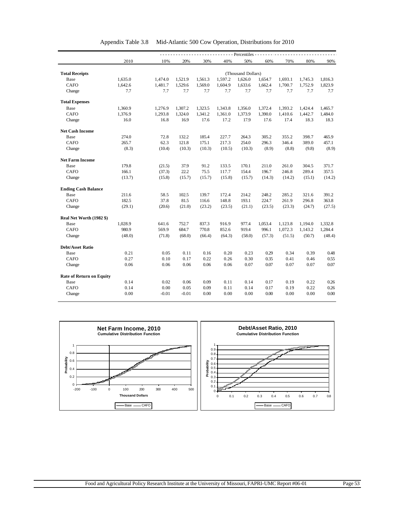|                                 |         |         |         |         |         | - Percentiles -    |         |         |         |         |
|---------------------------------|---------|---------|---------|---------|---------|--------------------|---------|---------|---------|---------|
|                                 | 2010    | 10%     | 20%     | 30%     | 40%     | 50%                | 60%     | 70%     | 80%     | 90%     |
|                                 |         |         |         |         |         |                    |         |         |         |         |
| <b>Total Receipts</b>           |         |         |         |         |         | (Thousand Dollars) |         |         |         |         |
| Base                            | 1,635.0 | 1,474.0 | 1,521.9 | 1,561.3 | 1,597.2 | 1,626.0            | 1,654.7 | 1,693.1 | 1,745.3 | 1,816.3 |
| CAFO                            | 1,642.6 | 1,481.7 | 1,529.6 | 1,569.0 | 1,604.9 | 1,633.6            | 1,662.4 | 1,700.7 | 1,752.9 | 1,823.9 |
| Change                          | 7.7     | 7.7     | 7.7     | 7.7     | 7.7     | 7.7                | 7.7     | 7.7     | 7.7     | 7.7     |
| <b>Total Expenses</b>           |         |         |         |         |         |                    |         |         |         |         |
| Base                            | 1,360.9 | 1,276.9 | 1,307.2 | 1,323.5 | 1,343.8 | 1,356.0            | 1,372.4 | 1,393.2 | 1,424.4 | 1,465.7 |
| <b>CAFO</b>                     | 1,376.9 | 1,293.8 | 1,324.0 | 1,341.2 | 1,361.0 | 1,373.9            | 1,390.0 | 1,410.6 | 1,442.7 | 1,484.0 |
| Change                          | 16.0    | 16.8    | 16.9    | 17.6    | 17.2    | 17.9               | 17.6    | 17.4    | 18.3    | 18.3    |
| <b>Net Cash Income</b>          |         |         |         |         |         |                    |         |         |         |         |
| Base                            | 274.0   | 72.8    | 132.2   | 185.4   | 227.7   | 264.3              | 305.2   | 355.2   | 398.7   | 465.9   |
| <b>CAFO</b>                     | 265.7   | 62.3    | 121.8   | 175.1   | 217.3   | 254.0              | 296.3   | 346.4   | 389.0   | 457.1   |
| Change                          | (8.3)   | (10.4)  | (10.3)  | (10.3)  | (10.5)  | (10.3)             | (8.9)   | (8.8)   | (9.8)   | (8.9)   |
| <b>Net Farm Income</b>          |         |         |         |         |         |                    |         |         |         |         |
| Base                            | 179.8   | (21.5)  | 37.9    | 91.2    | 133.5   | 170.1              | 211.0   | 261.0   | 304.5   | 371.7   |
| <b>CAFO</b>                     | 166.1   | (37.3)  | 22.2    | 75.5    | 117.7   | 154.4              | 196.7   | 246.8   | 289.4   | 357.5   |
| Change                          | (13.7)  | (15.8)  | (15.7)  | (15.7)  | (15.8)  | (15.7)             | (14.3)  | (14.2)  | (15.1)  | (14.2)  |
| <b>Ending Cash Balance</b>      |         |         |         |         |         |                    |         |         |         |         |
| Base                            | 211.6   | 58.5    | 102.5   | 139.7   | 172.4   | 214.2              | 248.2   | 285.2   | 321.6   | 391.2   |
| <b>CAFO</b>                     | 182.5   | 37.8    | 81.5    | 116.6   | 148.8   | 193.1              | 224.7   | 261.9   | 296.8   | 363.8   |
| Change                          | (29.1)  | (20.6)  | (21.0)  | (23.2)  | (23.5)  | (21.1)             | (23.5)  | (23.3)  | (24.7)  | (27.5)  |
| Real Net Worth (1982 \$)        |         |         |         |         |         |                    |         |         |         |         |
| Base                            | 1,028.9 | 641.6   | 752.7   | 837.3   | 916.9   | 977.4              | 1,053.4 | 1,123.8 | 1,194.0 | 1,332.8 |
| CAFO                            | 980.9   | 569.9   | 684.7   | 770.8   | 852.6   | 919.4              | 996.1   | 1,072.3 | 1,143.2 | 1,284.4 |
| Change                          | (48.0)  | (71.8)  | (68.0)  | (66.4)  | (64.3)  | (58.0)             | (57.3)  | (51.5)  | (50.7)  | (48.4)  |
| <b>Debt/Asset Ratio</b>         |         |         |         |         |         |                    |         |         |         |         |
| Base                            | 0.21    | 0.05    | 0.11    | 0.16    | 0.20    | 0.23               | 0.29    | 0.34    | 0.39    | 0.48    |
| <b>CAFO</b>                     | 0.27    | 0.10    | 0.17    | 0.22    | 0.26    | 0.30               | 0.35    | 0.41    | 0.46    | 0.55    |
| Change                          | 0.06    | 0.06    | 0.06    | 0.06    | 0.06    | 0.07               | 0.07    | 0.07    | 0.07    | 0.07    |
| <b>Rate of Return on Equity</b> |         |         |         |         |         |                    |         |         |         |         |
| Base                            | 0.14    | 0.02    | 0.06    | 0.09    | 0.11    | 0.14               | 0.17    | 0.19    | 0.22    | 0.26    |
| <b>CAFO</b>                     | 0.14    | 0.00    | 0.05    | 0.09    | 0.11    | 0.14               | 0.17    | 0.19    | 0.22    | 0.26    |
| Change                          | 0.00    | $-0.01$ | $-0.01$ | 0.00    | 0.00    | 0.00               | 0.00    | 0.00    | 0.00    | 0.00    |

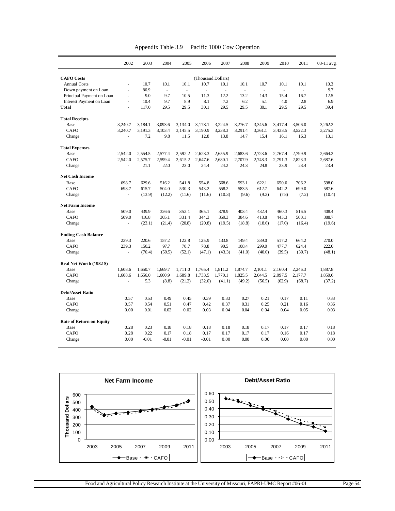| Appendix Table 3.9 |  | Pacific 1000 Cow Operation |
|--------------------|--|----------------------------|
|--------------------|--|----------------------------|

|                                 | 2002               | 2003    | 2004     | 2005    | 2006                | 2007    | 2008    | 2009                     | 2010                     | 2011                     | 03-11 avg |
|---------------------------------|--------------------|---------|----------|---------|---------------------|---------|---------|--------------------------|--------------------------|--------------------------|-----------|
| <b>CAFO</b> Costs               | (Thousand Dollars) |         |          |         |                     |         |         |                          |                          |                          |           |
| <b>Annual Costs</b>             | $\overline{a}$     | 10.7    | 10.1     | 10.1    | 10.7                | 10.1    | 10.1    | 10.7                     | 10.1                     | 10.1                     | 10.3      |
| Down payment on Loan            | ä,                 | 86.9    | $\omega$ | ÷,      | $\bar{\phantom{a}}$ | $\Box$  | ÷,      | $\overline{\phantom{a}}$ | $\overline{\phantom{a}}$ | $\overline{\phantom{a}}$ | 9.7       |
| Principal Payment on Loan       | $\blacksquare$     | 9.0     | 9.7      | 10.5    | 11.3                | 12.2    | 13.2    | 14.3                     | 15.4                     | 16.7                     | 12.5      |
| Interest Payment on Loan        | $\blacksquare$     | 10.4    | 9.7      | 8.9     | 8.1                 | 7.2     | 6.2     | 5.1                      | 4.0                      | 2.8                      | 6.9       |
| <b>Total</b>                    | ä,                 | 117.0   | 29.5     | 29.5    | 30.1                | 29.5    | 29.5    | 30.1                     | 29.5                     | 29.5                     | 39.4      |
| <b>Total Receipts</b>           |                    |         |          |         |                     |         |         |                          |                          |                          |           |
| Base                            | 3.240.7            | 3,184.1 | 3.093.6  | 3,134.0 | 3,178.1             | 3,224.5 | 3,276.7 | 3.345.6                  | 3,417.4                  | 3,506.0                  | 3.262.2   |
| CAFO                            | 3.240.7            | 3,191.3 | 3.103.4  | 3,145.5 | 3,190.9             | 3,238.3 | 3,291.4 | 3,361.1                  | 3,433.5                  | 3,522.3                  | 3,275.3   |
| Change                          |                    | 7.2     | 9.8      | 11.5    | 12.8                | 13.8    | 14.7    | 15.4                     | 16.1                     | 16.3                     | 13.1      |
| <b>Total Expenses</b>           |                    |         |          |         |                     |         |         |                          |                          |                          |           |
| Base                            | 2.542.0            | 2.554.5 | 2.577.4  | 2.592.2 | 2.623.3             | 2.655.9 | 2.683.6 | 2.723.6                  | 2.767.4                  | 2.799.9                  | 2.664.2   |
| CAFO                            | 2.542.0            | 2,575.7 | 2,599.4  | 2.615.2 | 2,647.6             | 2.680.1 | 2.707.9 | 2.748.3                  | 2,791.3                  | 2,823.3                  | 2.687.6   |
| Change                          | L,                 | 21.1    | 22.0     | 23.0    | 24.4                | 24.2    | 24.3    | 24.8                     | 23.9                     | 23.4                     | 23.4      |
| <b>Net Cash Income</b>          |                    |         |          |         |                     |         |         |                          |                          |                          |           |
| Base                            | 698.7              | 629.6   | 516.2    | 541.8   | 554.8               | 568.6   | 593.1   | 622.1                    | 650.0                    | 706.2                    | 598.0     |
| CAFO                            | 698.7              | 615.7   | 504.0    | 530.3   | 543.2               | 558.2   | 583.5   | 612.7                    | 642.2                    | 699.0                    | 587.6     |
| Change                          |                    | (13.9)  | (12.2)   | (11.6)  | (11.6)              | (10.3)  | (9.6)   | (9.3)                    | (7.8)                    | (7.2)                    | (10.4)    |
| <b>Net Farm Income</b>          |                    |         |          |         |                     |         |         |                          |                          |                          |           |
| Base                            | 509.0              | 439.9   | 326.6    | 352.1   | 365.1               | 378.9   | 403.4   | 432.4                    | 460.3                    | 516.5                    | 408.4     |
| CAFO                            | 509.0              | 416.8   | 305.1    | 331.4   | 344.3               | 359.3   | 384.6   | 413.8                    | 443.3                    | 500.1                    | 388.7     |
| Change                          | ä,                 | (23.1)  | (21.4)   | (20.8)  | (20.8)              | (19.5)  | (18.8)  | (18.6)                   | (17.0)                   | (16.4)                   | (19.6)    |
| <b>Ending Cash Balance</b>      |                    |         |          |         |                     |         |         |                          |                          |                          |           |
| Base                            | 239.3              | 220.6   | 157.2    | 122.8   | 125.9               | 133.8   | 149.4   | 339.0                    | 517.2                    | 664.2                    | 270.0     |
| <b>CAFO</b>                     | 239.3              | 150.2   | 97.7     | 70.7    | 78.8                | 90.5    | 108.4   | 299.0                    | 477.7                    | 624.4                    | 222.0     |
| Change                          |                    | (70.4)  | (59.5)   | (52.1)  | (47.1)              | (43.3)  | (41.0)  | (40.0)                   | (39.5)                   | (39.7)                   | (48.1)    |
| Real Net Worth (1982 \$)        |                    |         |          |         |                     |         |         |                          |                          |                          |           |
| Base                            | 1,608.6            | 1,650.7 | 1.669.7  | 1,711.0 | 1,765.4             | 1,811.2 | 1,874.7 | 2,101.1                  | 2,160.4                  | 2,246.3                  | 1.887.8   |
| CAFO                            | 1,608.6            | 1,656.0 | 1,660.9  | 1,689.8 | 1,733.5             | 1,770.1 | 1,825.5 | 2,044.5                  | 2,097.5                  | 2,177.7                  | 1,850.6   |
| Change                          | ä,                 | 5.3     | (8.8)    | (21.2)  | (32.0)              | (41.1)  | (49.2)  | (56.5)                   | (62.9)                   | (68.7)                   | (37.2)    |
| <b>Debt/Asset Ratio</b>         |                    |         |          |         |                     |         |         |                          |                          |                          |           |
| Base                            | 0.57               | 0.53    | 0.49     | 0.45    | 0.39                | 0.33    | 0.27    | 0.21                     | 0.17                     | 0.11                     | 0.33      |
| <b>CAFO</b>                     | 0.57               | 0.54    | 0.51     | 0.47    | 0.42                | 0.37    | 0.31    | 0.25                     | 0.21                     | 0.16                     | 0.36      |
| Change                          | 0.00               | 0.01    | 0.02     | 0.02    | 0.03                | 0.04    | 0.04    | 0.04                     | 0.04                     | 0.05                     | 0.03      |
| <b>Rate of Return on Equity</b> |                    |         |          |         |                     |         |         |                          |                          |                          |           |
| Base                            | 0.28               | 0.23    | 0.18     | 0.18    | 0.18                | 0.18    | 0.18    | 0.17                     | 0.17                     | 0.17                     | 0.18      |
| <b>CAFO</b>                     | 0.28               | 0.22    | 0.17     | 0.18    | 0.17                | 0.17    | 0.17    | 0.17                     | 0.16                     | 0.17                     | 0.18      |
| Change                          | 0.00               | $-0.01$ | $-0.01$  | $-0.01$ | $-0.01$             | 0.00    | 0.00    | 0.00                     | 0.00                     | 0.00                     | 0.00      |



Food and Agricultural Policy Research Institute at the University of Missouri, FAPRI-UMC Report #06-01 Page 54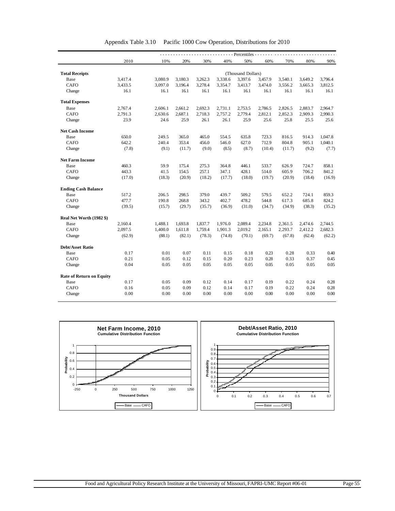|                                 | $---$ Percentiles - - |                    |         |         |         |         |         |         |         |         |  |  |
|---------------------------------|-----------------------|--------------------|---------|---------|---------|---------|---------|---------|---------|---------|--|--|
|                                 | 2010                  | 10%                | 20%     | 30%     | 40%     | 50%     | 60%     | 70%     | 80%     | 90%     |  |  |
|                                 |                       |                    |         |         |         |         |         |         |         |         |  |  |
| <b>Total Receipts</b>           |                       | (Thousand Dollars) |         |         |         |         |         |         |         |         |  |  |
| Base                            | 3,417.4               | 3,080.9            | 3,180.3 | 3,262.3 | 3,338.6 | 3,397.6 | 3,457.9 | 3,540.1 | 3,649.2 | 3,796.4 |  |  |
| <b>CAFO</b>                     | 3,433.5               | 3,097.0            | 3,196.4 | 3,278.4 | 3,354.7 | 3,413.7 | 3,474.0 | 3,556.2 | 3,665.3 | 3,812.5 |  |  |
| Change                          | 16.1                  | 16.1               | 16.1    | 16.1    | 16.1    | 16.1    | 16.1    | 16.1    | 16.1    | 16.1    |  |  |
| <b>Total Expenses</b>           |                       |                    |         |         |         |         |         |         |         |         |  |  |
| Base                            | 2,767.4               | 2,606.1            | 2,661.2 | 2,692.3 | 2,731.1 | 2,753.5 | 2,786.5 | 2,826.5 | 2,883.7 | 2,964.7 |  |  |
| <b>CAFO</b>                     | 2,791.3               | 2,630.6            | 2,687.1 | 2,718.3 | 2,757.2 | 2,779.4 | 2,812.1 | 2,852.3 | 2,909.3 | 2,990.3 |  |  |
| Change                          | 23.9                  | 24.6               | 25.9    | 26.1    | 26.1    | 25.9    | 25.6    | 25.8    | 25.5    | 25.6    |  |  |
| <b>Net Cash Income</b>          |                       |                    |         |         |         |         |         |         |         |         |  |  |
| Base                            | 650.0                 | 249.5              | 365.0   | 465.0   | 554.5   | 635.8   | 723.3   | 816.5   | 914.3   | 1,047.8 |  |  |
| <b>CAFO</b>                     | 642.2                 | 240.4              | 353.4   | 456.0   | 546.0   | 627.0   | 712.9   | 804.8   | 905.1   | 1,040.1 |  |  |
| Change                          | (7.8)                 | (9.1)              | (11.7)  | (9.0)   | (8.5)   | (8.7)   | (10.4)  | (11.7)  | (9.2)   | (7.7)   |  |  |
| <b>Net Farm Income</b>          |                       |                    |         |         |         |         |         |         |         |         |  |  |
| Base                            | 460.3                 | 59.9               | 175.4   | 275.3   | 364.8   | 446.1   | 533.7   | 626.9   | 724.7   | 858.1   |  |  |
| <b>CAFO</b>                     | 443.3                 | 41.5               | 154.5   | 257.1   | 347.1   | 428.1   | 514.0   | 605.9   | 706.2   | 841.2   |  |  |
| Change                          | (17.0)                | (18.3)             | (20.9)  | (18.2)  | (17.7)  | (18.0)  | (19.7)  | (20.9)  | (18.4)  | (16.9)  |  |  |
| <b>Ending Cash Balance</b>      |                       |                    |         |         |         |         |         |         |         |         |  |  |
| Base                            | 517.2                 | 206.5              | 298.5   | 379.0   | 439.7   | 509.2   | 579.5   | 652.2   | 724.1   | 859.3   |  |  |
| <b>CAFO</b>                     | 477.7                 | 190.8              | 268.8   | 343.2   | 402.7   | 478.2   | 544.8   | 617.3   | 685.8   | 824.2   |  |  |
| Change                          | (39.5)                | (15.7)             | (29.7)  | (35.7)  | (36.9)  | (31.0)  | (34.7)  | (34.9)  | (38.3)  | (35.2)  |  |  |
| Real Net Worth (1982 \$)        |                       |                    |         |         |         |         |         |         |         |         |  |  |
| Base                            | 2,160.4               | 1,488.1            | 1,693.8 | 1,837.7 | 1,976.0 | 2,089.4 | 2,234.8 | 2,361.5 | 2,474.6 | 2,744.5 |  |  |
| CAFO                            | 2,097.5               | 1,400.0            | 1,611.8 | 1,759.4 | 1,901.3 | 2,019.2 | 2,165.1 | 2,293.7 | 2,412.2 | 2,682.3 |  |  |
| Change                          | (62.9)                | (88.1)             | (82.1)  | (78.3)  | (74.8)  | (70.1)  | (69.7)  | (67.8)  | (62.4)  | (62.2)  |  |  |
| <b>Debt/Asset Ratio</b>         |                       |                    |         |         |         |         |         |         |         |         |  |  |
| Base                            | 0.17                  | 0.01               | 0.07    | 0.11    | 0.15    | 0.18    | 0.23    | 0.28    | 0.33    | 0.40    |  |  |
| CAFO                            | 0.21                  | 0.05               | 0.12    | 0.15    | 0.20    | 0.23    | 0.28    | 0.33    | 0.37    | 0.45    |  |  |
| Change                          | 0.04                  | 0.05               | 0.05    | 0.05    | 0.05    | 0.05    | 0.05    | 0.05    | 0.05    | 0.05    |  |  |
| <b>Rate of Return on Equity</b> |                       |                    |         |         |         |         |         |         |         |         |  |  |
| Base                            | 0.17                  | 0.05               | 0.09    | 0.12    | 0.14    | 0.17    | 0.19    | 0.22    | 0.24    | 0.28    |  |  |
| <b>CAFO</b>                     | 0.16                  | 0.05               | 0.09    | 0.12    | 0.14    | 0.17    | 0.19    | 0.22    | 0.24    | 0.28    |  |  |
|                                 |                       |                    |         |         |         |         |         |         |         |         |  |  |

Appendix Table 3.10 Pacific 1000 Cow Operation, Distributions for 2010

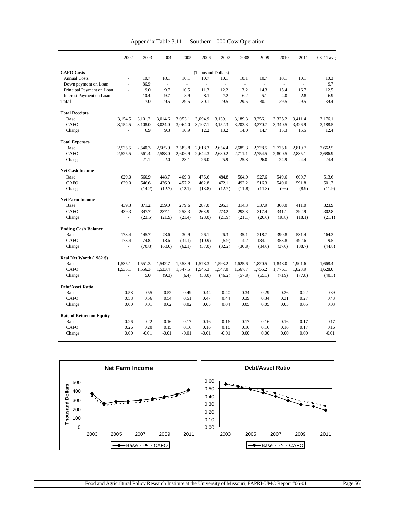|                                 | 2002           | 2003    | 2004                     | 2005    | 2006                     | 2007    | 2008    | 2009                | 2010                     | 2011    | 03-11 avg |
|---------------------------------|----------------|---------|--------------------------|---------|--------------------------|---------|---------|---------------------|--------------------------|---------|-----------|
| <b>CAFO</b> Costs               |                |         |                          |         | (Thousand Dollars)       |         |         |                     |                          |         |           |
| <b>Annual Costs</b>             | ä,             | 10.7    | 10.1                     | 10.1    | 10.7                     | 10.1    | 10.1    | 10.7                | 10.1                     | 10.1    | 10.3      |
| Down payment on Loan            | $\frac{1}{2}$  | 86.9    | $\overline{\phantom{a}}$ | ÷,      | $\overline{\phantom{a}}$ | $\Box$  | ÷,      | $\bar{\phantom{a}}$ | $\overline{\phantom{a}}$ | $\sim$  | 9.7       |
| Principal Payment on Loan       | $\blacksquare$ | 9.0     | 9.7                      | 10.5    | 11.3                     | 12.2    | 13.2    | 14.3                | 15.4                     | 16.7    | 12.5      |
| Interest Payment on Loan        | ä,             | 10.4    | 9.7                      | 8.9     | 8.1                      | 7.2     | 6.2     | 5.1                 | 4.0                      | 2.8     | 6.9       |
| <b>Total</b>                    | ä,             | 117.0   | 29.5                     | 29.5    | 30.1                     | 29.5    | 29.5    | 30.1                | 29.5                     | 29.5    | 39.4      |
| <b>Total Receipts</b>           |                |         |                          |         |                          |         |         |                     |                          |         |           |
| Base                            | 3.154.5        | 3.101.2 | 3.014.6                  | 3.053.1 | 3.094.9                  | 3.139.1 | 3,189.3 | 3.256.1             | 3.325.2                  | 3.411.4 | 3.176.1   |
| <b>CAFO</b>                     | 3.154.5        | 3,108.0 | 3.024.0                  | 3.064.0 | 3,107.1                  | 3,152.3 | 3,203.3 | 3,270.7             | 3,340.5                  | 3,426.9 | 3,188.5   |
| Change                          |                | 6.9     | 9.3                      | 10.9    | 12.2                     | 13.2    | 14.0    | 14.7                | 15.3                     | 15.5    | 12.4      |
| <b>Total Expenses</b>           |                |         |                          |         |                          |         |         |                     |                          |         |           |
| Base                            | 2,525.5        | 2,540.3 | 2,565.9                  | 2,583.8 | 2,618.3                  | 2,654.4 | 2,685.3 | 2,728.5             | 2,775.6                  | 2,810.7 | 2,662.5   |
| CAFO                            | 2,525.5        | 2,561.4 | 2,588.0                  | 2,606.9 | 2,644.3                  | 2,680.2 | 2,711.1 | 2,754.5             | 2,800.5                  | 2,835.1 | 2,686.9   |
| Change                          |                | 21.1    | 22.0                     | 23.1    | 26.0                     | 25.9    | 25.8    | 26.0                | 24.9                     | 24.4    | 24.4      |
| <b>Net Cash Income</b>          |                |         |                          |         |                          |         |         |                     |                          |         |           |
| Base                            | 629.0          | 560.9   | 448.7                    | 469.3   | 476.6                    | 484.8   | 504.0   | 527.6               | 549.6                    | 600.7   | 513.6     |
| <b>CAFO</b>                     | 629.0          | 546.6   | 436.0                    | 457.2   | 462.8                    | 472.1   | 492.2   | 516.3               | 540.0                    | 591.8   | 501.7     |
| Change                          |                | (14.2)  | (12.7)                   | (12.1)  | (13.8)                   | (12.7)  | (11.8)  | (11.3)              | (9.6)                    | (8.9)   | (11.9)    |
| <b>Net Farm Income</b>          |                |         |                          |         |                          |         |         |                     |                          |         |           |
| Base                            | 439.3          | 371.2   | 259.0                    | 279.6   | 287.0                    | 295.1   | 314.3   | 337.9               | 360.0                    | 411.0   | 323.9     |
| <b>CAFO</b>                     | 439.3          | 347.7   | 237.1                    | 258.3   | 263.9                    | 273.2   | 293.3   | 317.4               | 341.1                    | 392.9   | 302.8     |
| Change                          | ä,             | (23.5)  | (21.9)                   | (21.4)  | (23.0)                   | (21.9)  | (21.1)  | (20.6)              | (18.8)                   | (18.1)  | (21.1)    |
| <b>Ending Cash Balance</b>      |                |         |                          |         |                          |         |         |                     |                          |         |           |
| Base                            | 173.4          | 145.7   | 73.6                     | 30.9    | 26.1                     | 26.3    | 35.1    | 218.7               | 390.8                    | 531.4   | 164.3     |
| CAFO                            | 173.4          | 74.8    | 13.6                     | (31.1)  | (10.9)                   | (5.9)   | 4.2     | 184.1               | 353.8                    | 492.6   | 119.5     |
| Change                          |                | (70.8)  | (60.0)                   | (62.1)  | (37.0)                   | (32.2)  | (30.9)  | (34.6)              | (37.0)                   | (38.7)  | (44.8)    |
| Real Net Worth (1982 \$)        |                |         |                          |         |                          |         |         |                     |                          |         |           |
| Base                            | 1,535.1        | 1,551.3 | 1,542.7                  | 1,553.9 | 1,578.3                  | 1,593.2 | 1,625.6 | 1,820.5             | 1,848.0                  | 1,901.6 | 1,668.4   |
| <b>CAFO</b>                     | 1,535.1        | 1,556.3 | 1,533.4                  | 1,547.5 | 1,545.3                  | 1.547.0 | 1,567.7 | 1,755.2             | 1.776.1                  | 1,823.9 | 1,628.0   |
| Change                          | L.             | 5.0     | (9.3)                    | (6.4)   | (33.0)                   | (46.2)  | (57.9)  | (65.3)              | (71.9)                   | (77.8)  | (40.3)    |
| <b>Debt/Asset Ratio</b>         |                |         |                          |         |                          |         |         |                     |                          |         |           |
| Base                            | 0.58           | 0.55    | 0.52                     | 0.49    | 0.44                     | 0.40    | 0.34    | 0.29                | 0.26                     | 0.22    | 0.39      |
| CAFO                            | 0.58           | 0.56    | 0.54                     | 0.51    | 0.47                     | 0.44    | 0.39    | 0.34                | 0.31                     | 0.27    | 0.43      |
| Change                          | 0.00           | 0.01    | 0.02                     | 0.02    | 0.03                     | 0.04    | 0.05    | 0.05                | 0.05                     | 0.05    | 0.03      |
| <b>Rate of Return on Equity</b> |                |         |                          |         |                          |         |         |                     |                          |         |           |
| Base                            | 0.26           | 0.22    | 0.16                     | 0.17    | 0.16                     | 0.16    | 0.17    | 0.16                | 0.16                     | 0.17    | 0.17      |
| CAFO                            | 0.26           | 0.20    | 0.15                     | 0.16    | 0.16                     | 0.16    | 0.16    | 0.16                | 0.16                     | 0.17    | 0.16      |
| Change                          | 0.00           | $-0.01$ | $-0.01$                  | $-0.01$ | $-0.01$                  | $-0.01$ | 0.00    | 0.00                | 0.00                     | 0.00    | $-0.01$   |

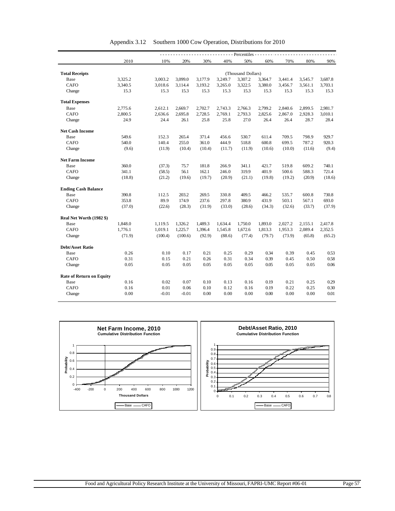|                                 | - - - - Percentiles - - - |                    |         |         |         |         |         |         |         |         |  |  |
|---------------------------------|---------------------------|--------------------|---------|---------|---------|---------|---------|---------|---------|---------|--|--|
|                                 | 2010                      | 10%                | 20%     | 30%     | 40%     | 50%     | 60%     | 70%     | 80%     | 90%     |  |  |
|                                 |                           |                    |         |         |         |         |         |         |         |         |  |  |
| <b>Total Receipts</b>           |                           | (Thousand Dollars) |         |         |         |         |         |         |         |         |  |  |
| Base                            | 3,325.2                   | 3,003.2            | 3,099.0 | 3,177.9 | 3,249.7 | 3,307.2 | 3,364.7 | 3,441.4 | 3,545.7 | 3,687.8 |  |  |
| <b>CAFO</b>                     | 3,340.5                   | 3,018.6            | 3,114.4 | 3,193.2 | 3,265.0 | 3,322.5 | 3,380.0 | 3,456.7 | 3,561.1 | 3,703.1 |  |  |
| Change                          | 15.3                      | 15.3               | 15.3    | 15.3    | 15.3    | 15.3    | 15.3    | 15.3    | 15.3    | 15.3    |  |  |
| <b>Total Expenses</b>           |                           |                    |         |         |         |         |         |         |         |         |  |  |
| Base                            | 2,775.6                   | 2,612.1            | 2,669.7 | 2,702.7 | 2,743.3 | 2,766.3 | 2,799.2 | 2,840.6 | 2,899.5 | 2,981.7 |  |  |
| <b>CAFO</b>                     | 2,800.5                   | 2,636.6            | 2,695.8 | 2,728.5 | 2,769.1 | 2,793.3 | 2,825.6 | 2,867.0 | 2,928.3 | 3,010.1 |  |  |
| Change                          | 24.9                      | 24.4               | 26.1    | 25.8    | 25.8    | 27.0    | 26.4    | 26.4    | 28.7    | 28.4    |  |  |
| <b>Net Cash Income</b>          |                           |                    |         |         |         |         |         |         |         |         |  |  |
| Base                            | 549.6                     | 152.3              | 265.4   | 371.4   | 456.6   | 530.7   | 611.4   | 709.5   | 798.9   | 929.7   |  |  |
| <b>CAFO</b>                     | 540.0                     | 140.4              | 255.0   | 361.0   | 444.9   | 518.8   | 600.8   | 699.5   | 787.2   | 920.3   |  |  |
| Change                          | (9.6)                     | (11.9)             | (10.4)  | (10.4)  | (11.7)  | (11.9)  | (10.6)  | (10.0)  | (11.6)  | (9.4)   |  |  |
| <b>Net Farm Income</b>          |                           |                    |         |         |         |         |         |         |         |         |  |  |
| Base                            | 360.0                     | (37.3)             | 75.7    | 181.8   | 266.9   | 341.1   | 421.7   | 519.8   | 609.2   | 740.1   |  |  |
| <b>CAFO</b>                     | 341.1                     | (58.5)             | 56.1    | 162.1   | 246.0   | 319.9   | 401.9   | 500.6   | 588.3   | 721.4   |  |  |
| Change                          | (18.8)                    | (21.2)             | (19.6)  | (19.7)  | (20.9)  | (21.1)  | (19.8)  | (19.2)  | (20.9)  | (18.6)  |  |  |
| <b>Ending Cash Balance</b>      |                           |                    |         |         |         |         |         |         |         |         |  |  |
| Base                            | 390.8                     | 112.5              | 203.2   | 269.5   | 330.8   | 409.5   | 466.2   | 535.7   | 600.8   | 730.8   |  |  |
| <b>CAFO</b>                     | 353.8                     | 89.9               | 174.9   | 237.6   | 297.8   | 380.9   | 431.9   | 503.1   | 567.1   | 693.0   |  |  |
| Change                          | (37.0)                    | (22.6)             | (28.3)  | (31.9)  | (33.0)  | (28.6)  | (34.3)  | (32.6)  | (33.7)  | (37.9)  |  |  |
| Real Net Worth (1982 \$)        |                           |                    |         |         |         |         |         |         |         |         |  |  |
| Base                            | 1,848.0                   | 1,119.5            | 1,326.2 | 1,489.3 | 1,634.4 | 1,750.0 | 1,893.0 | 2,027.2 | 2,155.1 | 2,417.8 |  |  |
| <b>CAFO</b>                     | 1,776.1                   | 1,019.1            | 1,225.7 | 1,396.4 | 1,545.8 | 1,672.6 | 1,813.3 | 1,953.3 | 2,089.4 | 2,352.5 |  |  |
| Change                          | (71.9)                    | (100.4)            | (100.6) | (92.9)  | (88.6)  | (77.4)  | (79.7)  | (73.9)  | (65.8)  | (65.2)  |  |  |
| <b>Debt/Asset Ratio</b>         |                           |                    |         |         |         |         |         |         |         |         |  |  |
| Base                            | 0.26                      | 0.10               | 0.17    | 0.21    | 0.25    | 0.29    | 0.34    | 0.39    | 0.45    | 0.53    |  |  |
| <b>CAFO</b>                     | 0.31                      | 0.15               | 0.21    | 0.26    | 0.31    | 0.34    | 0.39    | 0.45    | 0.50    | 0.58    |  |  |
| Change                          | 0.05                      | 0.05               | 0.05    | 0.05    | 0.05    | 0.05    | 0.05    | 0.05    | 0.05    | 0.06    |  |  |
| <b>Rate of Return on Equity</b> |                           |                    |         |         |         |         |         |         |         |         |  |  |
| Base                            | 0.16                      | 0.02               | 0.07    | 0.10    | 0.13    | 0.16    | 0.19    | 0.21    | 0.25    | 0.29    |  |  |
| <b>CAFO</b>                     | 0.16                      | 0.01               | 0.06    | 0.10    | 0.12    | 0.16    | 0.19    | 0.22    | 0.25    | 0.30    |  |  |
|                                 |                           |                    |         |         |         |         |         |         |         |         |  |  |

Appendix 3.12 Southern 1000 Cow Operation, Distributions for 2010

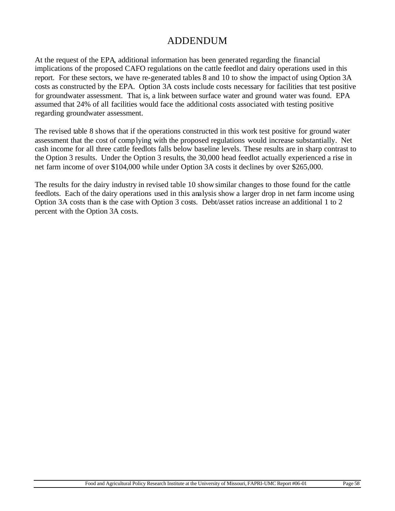# ADDENDUM

At the request of the EPA, additional information has been generated regarding the financial implications of the proposed CAFO regulations on the cattle feedlot and dairy operations used in this report. For these sectors, we have re-generated tables 8 and 10 to show the impact of using Option 3A costs as constructed by the EPA. Option 3A costs include costs necessary for facilities that test positive for groundwater assessment. That is, a link between surface water and ground water was found. EPA assumed that 24% of all facilities would face the additional costs associated with testing positive regarding groundwater assessment.

The revised table 8 shows that if the operations constructed in this work test positive for ground water assessment that the cost of complying with the proposed regulations would increase substantially. Net cash income for all three cattle feedlots falls below baseline levels. These results are in sharp contrast to the Option 3 results. Under the Option 3 results, the 30,000 head feedlot actually experienced a rise in net farm income of over \$104,000 while under Option 3A costs it declines by over \$265,000.

The results for the dairy industry in revised table 10 showsimilar changes to those found for the cattle feedlots. Each of the dairy operations used in this analysis show a larger drop in net farm income using Option 3A costs than is the case with Option 3 costs. Debt/asset ratios increase an additional 1 to 2 percent with the Option 3A costs.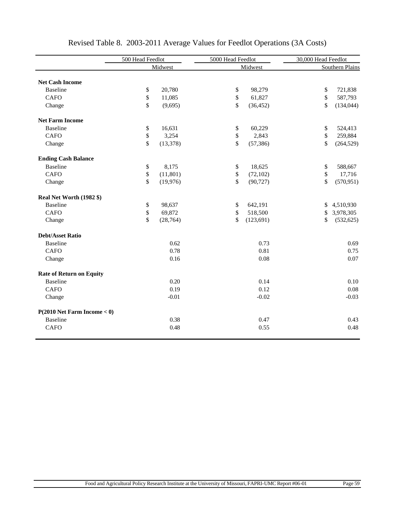|                                  | 500 Head Feedlot |           | 5000 Head Feedlot |            | 30,000 Head Feedlot |                 |  |
|----------------------------------|------------------|-----------|-------------------|------------|---------------------|-----------------|--|
|                                  |                  | Midwest   |                   | Midwest    |                     | Southern Plains |  |
|                                  |                  |           |                   |            |                     |                 |  |
| <b>Net Cash Income</b>           |                  |           |                   |            |                     |                 |  |
| <b>Baseline</b>                  | \$               | 20,780    | \$                | 98,279     | \$                  | 721,838         |  |
| <b>CAFO</b>                      | \$               | 11,085    | \$                | 61,827     | \$                  | 587,793         |  |
| Change                           | \$               | (9,695)   | \$                | (36, 452)  | \$                  | (134, 044)      |  |
| <b>Net Farm Income</b>           |                  |           |                   |            |                     |                 |  |
| <b>Baseline</b>                  | \$               | 16,631    | \$                | 60,229     | \$                  | 524,413         |  |
| <b>CAFO</b>                      | $\,$             | 3,254     | \$                | 2,843      | \$                  | 259,884         |  |
| Change                           | \$               | (13, 378) | \$                | (57, 386)  | \$                  | (264, 529)      |  |
| <b>Ending Cash Balance</b>       |                  |           |                   |            |                     |                 |  |
| <b>Baseline</b>                  | \$               | 8,175     | \$                | 18,625     | \$                  | 588,667         |  |
| <b>CAFO</b>                      | $\,$             | (11, 801) | \$                | (72, 102)  | \$                  | 17,716          |  |
| Change                           | $\mathbb{S}$     | (19,976)  | \$                | (90, 727)  | \$                  | (570, 951)      |  |
| Real Net Worth (1982 \$)         |                  |           |                   |            |                     |                 |  |
| <b>Baseline</b>                  | \$               | 98,637    | \$                | 642,191    | \$                  | 4,510,930       |  |
| <b>CAFO</b>                      | $\$$             | 69,872    | \$                | 518,500    | \$                  | 3,978,305       |  |
| Change                           | $\mathbb{S}$     | (28, 764) | \$                | (123, 691) | \$                  | (532, 625)      |  |
| <b>Debt/Asset Ratio</b>          |                  |           |                   |            |                     |                 |  |
| <b>Baseline</b>                  |                  | 0.62      |                   | 0.73       |                     | 0.69            |  |
| <b>CAFO</b>                      |                  | 0.78      |                   | 0.81       |                     | 0.75            |  |
| Change                           |                  | 0.16      |                   | 0.08       |                     | 0.07            |  |
| <b>Rate of Return on Equity</b>  |                  |           |                   |            |                     |                 |  |
| <b>Baseline</b>                  |                  | 0.20      |                   | 0.14       |                     | 0.10            |  |
| CAFO                             |                  | 0.19      |                   | 0.12       |                     | 0.08            |  |
| Change                           |                  | $-0.01$   |                   | $-0.02$    |                     | $-0.03$         |  |
| $P(2010$ Net Farm Income $< 0$ ) |                  |           |                   |            |                     |                 |  |
| <b>Baseline</b>                  |                  | 0.38      |                   | 0.47       |                     | 0.43            |  |
| <b>CAFO</b>                      |                  | 0.48      |                   | 0.55       |                     | 0.48            |  |

# Revised Table 8. 2003-2011 Average Values for Feedlot Operations (3A Costs)